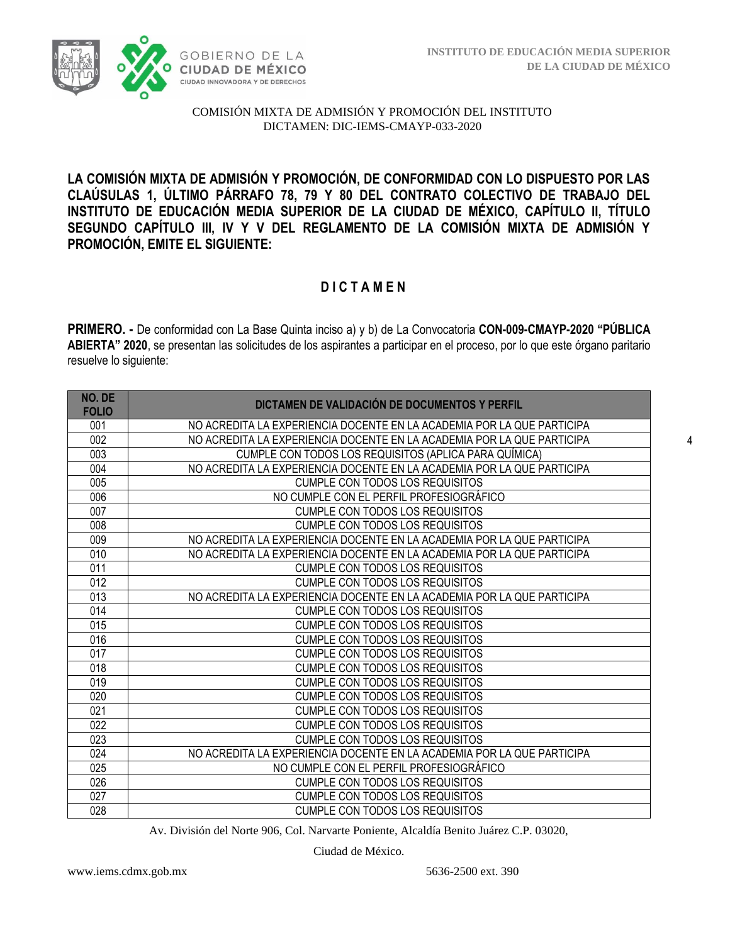

**LA COMISIÓN MIXTA DE ADMISIÓN Y PROMOCIÓN, DE CONFORMIDAD CON LO DISPUESTO POR LAS CLAÚSULAS 1, ÚLTIMO PÁRRAFO 78, 79 Y 80 DEL CONTRATO COLECTIVO DE TRABAJO DEL INSTITUTO DE EDUCACIÓN MEDIA SUPERIOR DE LA CIUDAD DE MÉXICO, CAPÍTULO II, TÍTULO SEGUNDO CAPÍTULO III, IV Y V DEL REGLAMENTO DE LA COMISIÓN MIXTA DE ADMISIÓN Y PROMOCIÓN, EMITE EL SIGUIENTE:**

# **D I C T A M E N**

**PRIMERO. -** De conformidad con La Base Quinta inciso a) y b) de La Convocatoria **CON-009-CMAYP-2020 "PÚBLICA ABIERTA" 2020**, se presentan las solicitudes de los aspirantes a participar en el proceso, por lo que este órgano paritario resuelve lo siguiente:

| NO. DE<br><b>FOLIO</b> | DICTAMEN DE VALIDACIÓN DE DOCUMENTOS Y PERFIL                          |
|------------------------|------------------------------------------------------------------------|
| 001                    | NO ACREDITA LA EXPERIENCIA DOCENTE EN LA ACADEMIA POR LA QUE PARTICIPA |
| 002                    | NO ACREDITA LA EXPERIENCIA DOCENTE EN LA ACADEMIA POR LA QUE PARTICIPA |
| 003                    | CUMPLE CON TODOS LOS REQUISITOS (APLICA PARA QUÍMICA)                  |
| 004                    | NO ACREDITA LA EXPERIENCIA DOCENTE EN LA ACADEMIA POR LA QUE PARTICIPA |
| 005                    | <b>CUMPLE CON TODOS LOS REQUISITOS</b>                                 |
| 006                    | NO CUMPLE CON EL PERFIL PROFESIOGRÁFICO                                |
| 007                    | <b>CUMPLE CON TODOS LOS REQUISITOS</b>                                 |
| 008                    | <b>CUMPLE CON TODOS LOS REQUISITOS</b>                                 |
| 009                    | NO ACREDITA LA EXPERIENCIA DOCENTE EN LA ACADEMIA POR LA QUE PARTICIPA |
| 010                    | NO ACREDITA LA EXPERIENCIA DOCENTE EN LA ACADEMIA POR LA QUE PARTICIPA |
| 011                    | <b>CUMPLE CON TODOS LOS REQUISITOS</b>                                 |
| 012                    | <b>CUMPLE CON TODOS LOS REQUISITOS</b>                                 |
| 013                    | NO ACREDITA LA EXPERIENCIA DOCENTE EN LA ACADEMIA POR LA QUE PARTICIPA |
| 014                    | <b>CUMPLE CON TODOS LOS REQUISITOS</b>                                 |
| 015                    | <b>CUMPLE CON TODOS LOS REQUISITOS</b>                                 |
| 016                    | <b>CUMPLE CON TODOS LOS REQUISITOS</b>                                 |
| 017                    | <b>CUMPLE CON TODOS LOS REQUISITOS</b>                                 |
| 018                    | <b>CUMPLE CON TODOS LOS REQUISITOS</b>                                 |
| 019                    | <b>CUMPLE CON TODOS LOS REQUISITOS</b>                                 |
| 020                    | <b>CUMPLE CON TODOS LOS REQUISITOS</b>                                 |
| 021                    | <b>CUMPLE CON TODOS LOS REQUISITOS</b>                                 |
| 022                    | <b>CUMPLE CON TODOS LOS REQUISITOS</b>                                 |
| 023                    | <b>CUMPLE CON TODOS LOS REQUISITOS</b>                                 |
| 024                    | NO ACREDITA LA EXPERIENCIA DOCENTE EN LA ACADEMIA POR LA QUE PARTICIPA |
| 025                    | NO CUMPLE CON EL PERFIL PROFESIOGRÁFICO                                |
| 026                    | <b>CUMPLE CON TODOS LOS REQUISITOS</b>                                 |
| 027                    | <b>CUMPLE CON TODOS LOS REQUISITOS</b>                                 |
| 028                    | <b>CUMPLE CON TODOS LOS REQUISITOS</b>                                 |

Av. División del Norte 906, Col. Narvarte Poniente, Alcaldía Benito Juárez C.P. 03020,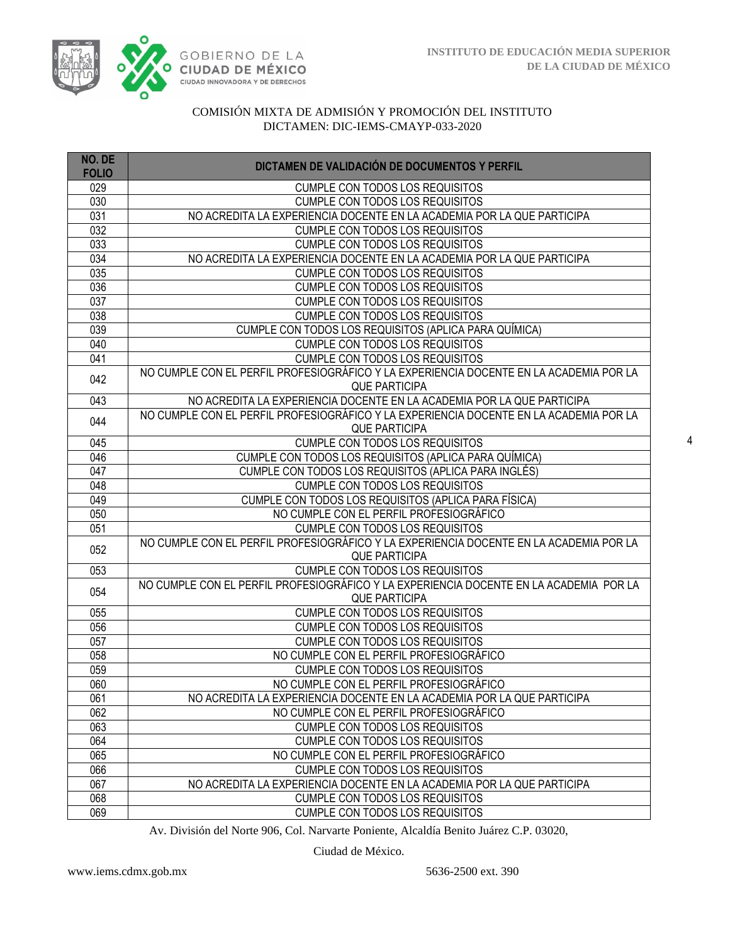

| NO. DE<br><b>FOLIO</b> | DICTAMEN DE VALIDACIÓN DE DOCUMENTOS Y PERFIL                                                                 |
|------------------------|---------------------------------------------------------------------------------------------------------------|
| 029                    | <b>CUMPLE CON TODOS LOS REQUISITOS</b>                                                                        |
| 030                    | <b>CUMPLE CON TODOS LOS REQUISITOS</b>                                                                        |
| 031                    | NO ACREDITA LA EXPERIENCIA DOCENTE EN LA ACADEMIA POR LA QUE PARTICIPA                                        |
| $\overline{032}$       | <b>CUMPLE CON TODOS LOS REQUISITOS</b>                                                                        |
| 033                    | <b>CUMPLE CON TODOS LOS REQUISITOS</b>                                                                        |
| 034                    | NO ACREDITA LA EXPERIENCIA DOCENTE EN LA ACADEMIA POR LA QUE PARTICIPA                                        |
| 035                    | CUMPLE CON TODOS LOS REQUISITOS                                                                               |
| 036                    | <b>CUMPLE CON TODOS LOS REQUISITOS</b>                                                                        |
| 037                    | <b>CUMPLE CON TODOS LOS REQUISITOS</b>                                                                        |
| 038                    | <b>CUMPLE CON TODOS LOS REQUISITOS</b>                                                                        |
| 039                    | CUMPLE CON TODOS LOS REQUISITOS (APLICA PARA QUÍMICA)                                                         |
| 040                    | <b>CUMPLE CON TODOS LOS REQUISITOS</b>                                                                        |
| 041                    | CUMPLE CON TODOS LOS REQUISITOS                                                                               |
| 042                    | NO CUMPLE CON EL PERFIL PROFESIOGRÁFICO Y LA EXPERIENCIA DOCENTE EN LA ACADEMIA POR LA                        |
|                        | <b>QUE PARTICIPA</b>                                                                                          |
| 043                    | NO ACREDITA LA EXPERIENCIA DOCENTE EN LA ACADEMIA POR LA QUE PARTICIPA                                        |
| 044                    | NO CUMPLE CON EL PERFIL PROFESIOGRÁFICO Y LA EXPERIENCIA DOCENTE EN LA ACADEMIA POR LA                        |
|                        | <b>QUE PARTICIPA</b>                                                                                          |
| 045                    | <b>CUMPLE CON TODOS LOS REQUISITOS</b>                                                                        |
| 046<br>047             | CUMPLE CON TODOS LOS REQUISITOS (APLICA PARA QUÍMICA)<br>CUMPLE CON TODOS LOS REQUISITOS (APLICA PARA INGLÉS) |
| 048                    | CUMPLE CON TODOS LOS REQUISITOS                                                                               |
| 049                    | CUMPLE CON TODOS LOS REQUISITOS (APLICA PARA FÍSICA)                                                          |
| 050                    | NO CUMPLE CON EL PERFIL PROFESIOGRÁFICO                                                                       |
| 051                    | <b>CUMPLE CON TODOS LOS REQUISITOS</b>                                                                        |
|                        | NO CUMPLE CON EL PERFIL PROFESIOGRÁFICO Y LA EXPERIENCIA DOCENTE EN LA ACADEMIA POR LA                        |
| 052                    | <b>QUE PARTICIPA</b>                                                                                          |
| 053                    | <b>CUMPLE CON TODOS LOS REQUISITOS</b>                                                                        |
|                        | NO CUMPLE CON EL PERFIL PROFESIOGRÁFICO Y LA EXPERIENCIA DOCENTE EN LA ACADEMIA POR LA                        |
| 054                    | <b>QUE PARTICIPA</b>                                                                                          |
| 055                    | <b>CUMPLE CON TODOS LOS REQUISITOS</b>                                                                        |
| 056                    | <b>CUMPLE CON TODOS LOS REQUISITOS</b>                                                                        |
| 057                    | <b>CUMPLE CON TODOS LOS REQUISITOS</b>                                                                        |
| 058                    | NO CUMPLE CON EL PERFIL PROFESIOGRÁFICO                                                                       |
| 059                    | <b>CUMPLE CON TODOS LOS REQUISITOS</b>                                                                        |
| 060                    | NO CUMPLE CON EL PERFIL PROFESIOGRÁFICO                                                                       |
| 061                    | NO ACREDITA LA EXPERIENCIA DOCENTE EN LA ACADEMIA POR LA QUE PARTICIPA                                        |
| 062                    | NO CUMPLE CON EL PERFIL PROFESIOGRÁFICO                                                                       |
| 063                    | <b>CUMPLE CON TODOS LOS REQUISITOS</b>                                                                        |
| 064                    | <b>CUMPLE CON TODOS LOS REQUISITOS</b>                                                                        |
| 065                    | NO CUMPLE CON EL PERFIL PROFESIOGRÁFICO                                                                       |
| 066                    | CUMPLE CON TODOS LOS REQUISITOS                                                                               |
| 067                    | NO ACREDITA LA EXPERIENCIA DOCENTE EN LA ACADEMIA POR LA QUE PARTICIPA                                        |
| 068                    | <b>CUMPLE CON TODOS LOS REQUISITOS</b>                                                                        |
| 069                    | <b>CUMPLE CON TODOS LOS REQUISITOS</b>                                                                        |

Av. División del Norte 906, Col. Narvarte Poniente, Alcaldía Benito Juárez C.P. 03020,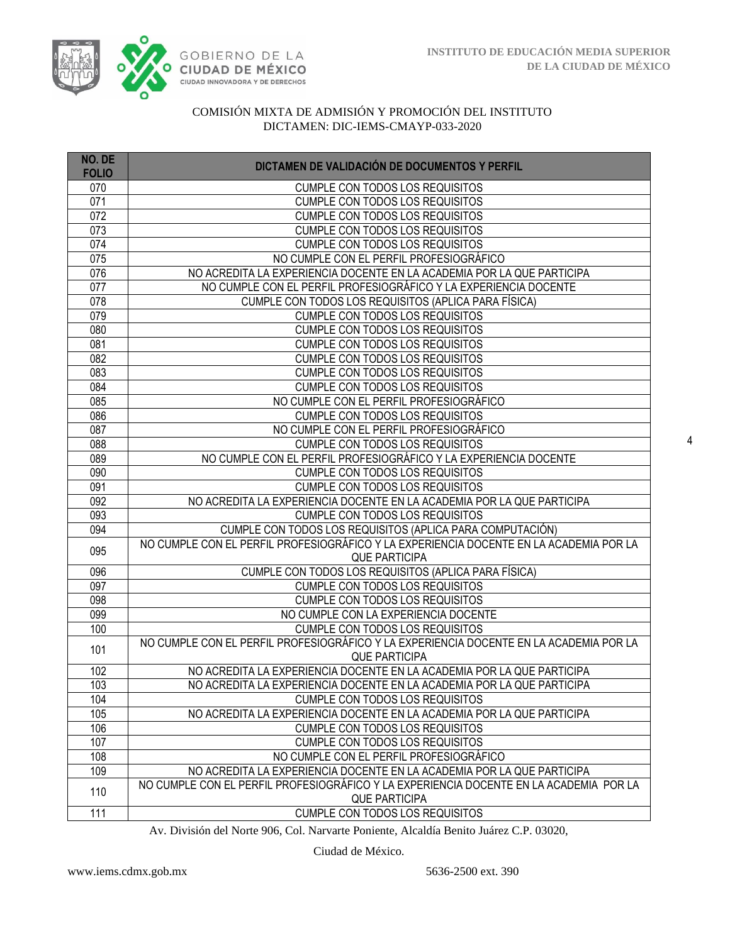

| NO. DE<br><b>FOLIO</b> | DICTAMEN DE VALIDACIÓN DE DOCUMENTOS Y PERFIL                                                  |
|------------------------|------------------------------------------------------------------------------------------------|
| 070                    | <b>CUMPLE CON TODOS LOS REQUISITOS</b>                                                         |
| 071                    | <b>CUMPLE CON TODOS LOS REQUISITOS</b>                                                         |
| 072                    | CUMPLE CON TODOS LOS REQUISITOS                                                                |
| 073                    | <b>CUMPLE CON TODOS LOS REQUISITOS</b>                                                         |
| 074                    | <b>CUMPLE CON TODOS LOS REQUISITOS</b>                                                         |
| 075                    | NO CUMPLE CON EL PERFIL PROFESIOGRÁFICO                                                        |
| 076                    | NO ACREDITA LA EXPERIENCIA DOCENTE EN LA ACADEMIA POR LA QUE PARTICIPA                         |
| 077                    | NO CUMPLE CON EL PERFIL PROFESIOGRÁFICO Y LA EXPERIENCIA DOCENTE                               |
| 078                    | CUMPLE CON TODOS LOS REQUISITOS (APLICA PARA FÍSICA)                                           |
| 079                    | CUMPLE CON TODOS LOS REQUISITOS                                                                |
| 080                    | CUMPLE CON TODOS LOS REQUISITOS                                                                |
| 081                    | CUMPLE CON TODOS LOS REQUISITOS                                                                |
| 082                    | CUMPLE CON TODOS LOS REQUISITOS                                                                |
| 083                    | <b>CUMPLE CON TODOS LOS REQUISITOS</b>                                                         |
| 084                    | <b>CUMPLE CON TODOS LOS REQUISITOS</b>                                                         |
| 085                    | NO CUMPLE CON EL PERFIL PROFESIOGRÁFICO                                                        |
| 086                    | CUMPLE CON TODOS LOS REQUISITOS                                                                |
| 087                    | NO CUMPLE CON EL PERFIL PROFESIOGRÁFICO                                                        |
| 088                    | CUMPLE CON TODOS LOS REQUISITOS                                                                |
| 089                    | NO CUMPLE CON EL PERFIL PROFESIOGRÁFICO Y LA EXPERIENCIA DOCENTE                               |
| 090                    | CUMPLE CON TODOS LOS REQUISITOS                                                                |
| 091                    | <b>CUMPLE CON TODOS LOS REQUISITOS</b>                                                         |
| 092                    | NO ACREDITA LA EXPERIENCIA DOCENTE EN LA ACADEMIA POR LA QUE PARTICIPA                         |
| 093                    | CUMPLE CON TODOS LOS REQUISITOS                                                                |
| 094                    | CUMPLE CON TODOS LOS REQUISITOS (APLICA PARA COMPUTACIÓN)                                      |
| 095                    | NO CUMPLE CON EL PERFIL PROFESIOGRÁFICO Y LA EXPERIENCIA DOCENTE EN LA ACADEMIA POR LA         |
|                        | <b>QUE PARTICIPA</b>                                                                           |
| 096                    | CUMPLE CON TODOS LOS REQUISITOS (APLICA PARA FÍSICA)                                           |
| 097                    | <b>CUMPLE CON TODOS LOS REQUISITOS</b>                                                         |
| 098                    | CUMPLE CON TODOS LOS REQUISITOS                                                                |
| 099                    | NO CUMPLE CON LA EXPERIENCIA DOCENTE                                                           |
| 100                    | CUMPLE CON TODOS LOS REQUISITOS                                                                |
| 101                    | NO CUMPLE CON EL PERFIL PROFESIOGRÁFICO Y LA EXPERIENCIA DOCENTE EN LA ACADEMIA POR LA         |
| 102                    | <b>QUE PARTICIPA</b><br>NO ACREDITA LA EXPERIENCIA DOCENTE EN LA ACADEMIA POR LA QUE PARTICIPA |
| 103                    | NO ACREDITA LA EXPERIENCIA DOCENTE EN LA ACADEMIA POR LA QUE PARTICIPA                         |
| 104                    | <b>CUMPLE CON TODOS LOS REQUISITOS</b>                                                         |
| 105                    | NO ACREDITA LA EXPERIENCIA DOCENTE EN LA ACADEMIA POR LA QUE PARTICIPA                         |
| 106                    | <b>CUMPLE CON TODOS LOS REQUISITOS</b>                                                         |
| 107                    | <b>CUMPLE CON TODOS LOS REQUISITOS</b>                                                         |
| 108                    | NO CUMPLE CON EL PERFIL PROFESIOGRÁFICO                                                        |
| 109                    | NO ACREDITA LA EXPERIENCIA DOCENTE EN LA ACADEMIA POR LA QUE PARTICIPA                         |
|                        | NO CUMPLE CON EL PERFIL PROFESIOGRÁFICO Y LA EXPERIENCIA DOCENTE EN LA ACADEMIA POR LA         |
| 110                    | <b>QUE PARTICIPA</b>                                                                           |
| 111                    | <b>CUMPLE CON TODOS LOS REQUISITOS</b>                                                         |

Av. División del Norte 906, Col. Narvarte Poniente, Alcaldía Benito Juárez C.P. 03020,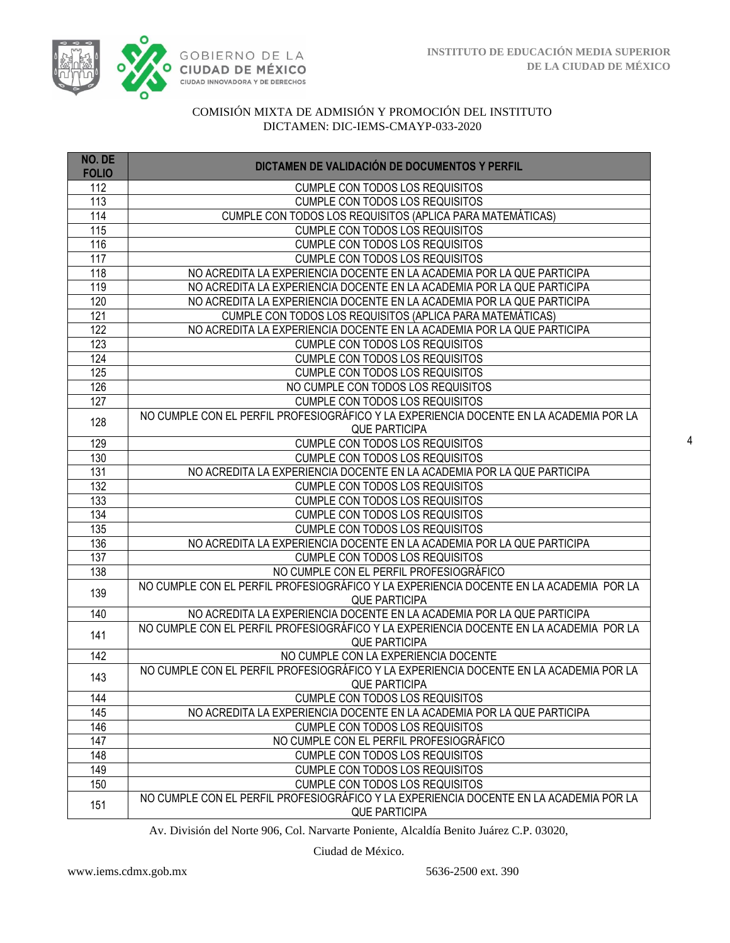

| NO. DE<br><b>FOLIO</b> | DICTAMEN DE VALIDACIÓN DE DOCUMENTOS Y PERFIL                                                                  |
|------------------------|----------------------------------------------------------------------------------------------------------------|
| 112                    | <b>CUMPLE CON TODOS LOS REQUISITOS</b>                                                                         |
| 113                    | <b>CUMPLE CON TODOS LOS REQUISITOS</b>                                                                         |
| 114                    | CUMPLE CON TODOS LOS REQUISITOS (APLICA PARA MATEMÁTICAS)                                                      |
| 115                    | <b>CUMPLE CON TODOS LOS REQUISITOS</b>                                                                         |
| 116                    | <b>CUMPLE CON TODOS LOS REQUISITOS</b>                                                                         |
| 117                    | CUMPLE CON TODOS LOS REQUISITOS                                                                                |
| 118                    | NO ACREDITA LA EXPERIENCIA DOCENTE EN LA ACADEMIA POR LA QUE PARTICIPA                                         |
| 119                    | NO ACREDITA LA EXPERIENCIA DOCENTE EN LA ACADEMIA POR LA QUE PARTICIPA                                         |
| 120                    | NO ACREDITA LA EXPERIENCIA DOCENTE EN LA ACADEMIA POR LA QUE PARTICIPA                                         |
| 121                    | CUMPLE CON TODOS LOS REQUISITOS (APLICA PARA MATEMÁTICAS)                                                      |
| 122                    | NO ACREDITA LA EXPERIENCIA DOCENTE EN LA ACADEMIA POR LA QUE PARTICIPA                                         |
| 123                    | CUMPLE CON TODOS LOS REQUISITOS                                                                                |
| 124                    | CUMPLE CON TODOS LOS REQUISITOS                                                                                |
| 125                    | CUMPLE CON TODOS LOS REQUISITOS                                                                                |
| 126                    | NO CUMPLE CON TODOS LOS REQUISITOS                                                                             |
| 127                    | CUMPLE CON TODOS LOS REQUISITOS                                                                                |
| 128                    | NO CUMPLE CON EL PERFIL PROFESIOGRÁFICO Y LA EXPERIENCIA DOCENTE EN LA ACADEMIA POR LA<br><b>QUE PARTICIPA</b> |
| 129                    | <b>CUMPLE CON TODOS LOS REQUISITOS</b>                                                                         |
| 130                    | <b>CUMPLE CON TODOS LOS REQUISITOS</b>                                                                         |
| 131                    | NO ACREDITA LA EXPERIENCIA DOCENTE EN LA ACADEMIA POR LA QUE PARTICIPA                                         |
| 132                    | CUMPLE CON TODOS LOS REQUISITOS                                                                                |
| 133                    | CUMPLE CON TODOS LOS REQUISITOS                                                                                |
| 134                    | <b>CUMPLE CON TODOS LOS REQUISITOS</b>                                                                         |
| 135                    | <b>CUMPLE CON TODOS LOS REQUISITOS</b>                                                                         |
| 136                    | NO ACREDITA LA EXPERIENCIA DOCENTE EN LA ACADEMIA POR LA QUE PARTICIPA                                         |
| 137                    | CUMPLE CON TODOS LOS REQUISITOS                                                                                |
| 138                    | NO CUMPLE CON EL PERFIL PROFESIOGRÁFICO                                                                        |
| 139                    | NO CUMPLE CON EL PERFIL PROFESIOGRÁFICO Y LA EXPERIENCIA DOCENTE EN LA ACADEMIA POR LA<br><b>QUE PARTICIPA</b> |
| 140                    | NO ACREDITA LA EXPERIENCIA DOCENTE EN LA ACADEMIA POR LA QUE PARTICIPA                                         |
| 141                    | NO CUMPLE CON EL PERFIL PROFESIOGRÁFICO Y LA EXPERIENCIA DOCENTE EN LA ACADEMIA POR LA<br><b>QUE PARTICIPA</b> |
| 142                    | NO CUMPLE CON LA EXPERIENCIA DOCENTE                                                                           |
| 143                    | NO CUMPLE CON EL PERFIL PROFESIOGRÁFICO Y LA EXPERIENCIA DOCENTE EN LA ACADEMIA POR LA<br><b>QUE PARTICIPA</b> |
| 144                    | <b>CUMPLE CON TODOS LOS REQUISITOS</b>                                                                         |
| 145                    | NO ACREDITA LA EXPERIENCIA DOCENTE EN LA ACADEMIA POR LA QUE PARTICIPA                                         |
| 146                    | <b>CUMPLE CON TODOS LOS REQUISITOS</b>                                                                         |
| 147                    | NO CUMPLE CON EL PERFIL PROFESIOGRÁFICO                                                                        |
| 148                    | <b>CUMPLE CON TODOS LOS REQUISITOS</b>                                                                         |
| 149                    | <b>CUMPLE CON TODOS LOS REQUISITOS</b>                                                                         |
| 150                    | <b>CUMPLE CON TODOS LOS REQUISITOS</b>                                                                         |
| 151                    | NO CUMPLE CON EL PERFIL PROFESIOGRÁFICO Y LA EXPERIENCIA DOCENTE EN LA ACADEMIA POR LA<br><b>QUE PARTICIPA</b> |

Av. División del Norte 906, Col. Narvarte Poniente, Alcaldía Benito Juárez C.P. 03020,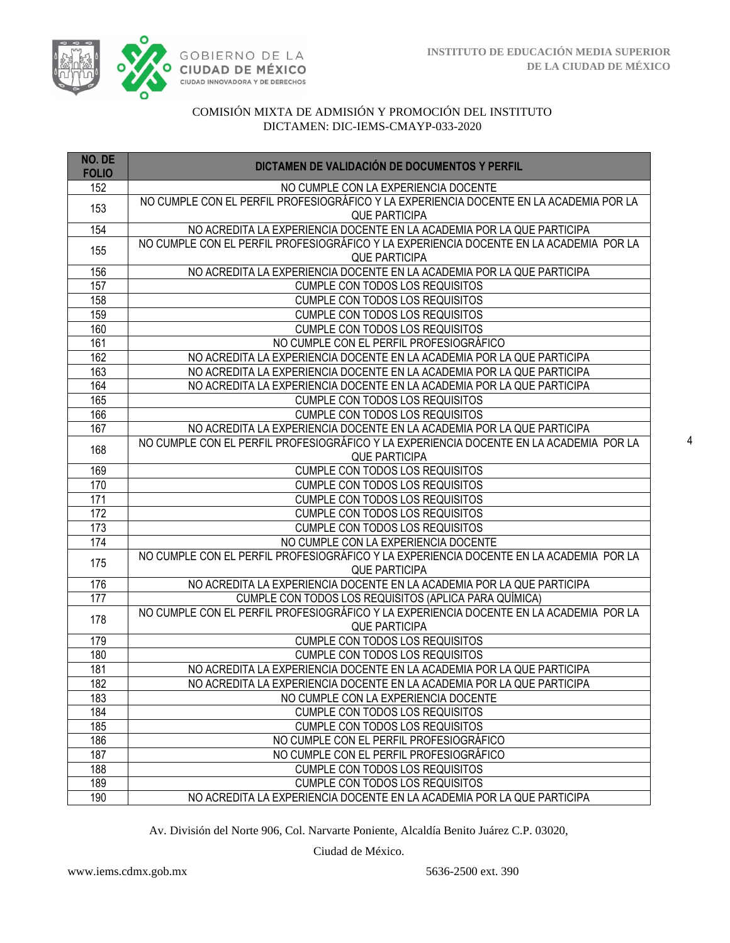

| NO. DE<br><b>FOLIO</b> | DICTAMEN DE VALIDACIÓN DE DOCUMENTOS Y PERFIL                                                                  |
|------------------------|----------------------------------------------------------------------------------------------------------------|
| 152                    | NO CUMPLE CON LA EXPERIENCIA DOCENTE                                                                           |
| 153                    | NO CUMPLE CON EL PERFIL PROFESIOGRÁFICO Y LA EXPERIENCIA DOCENTE EN LA ACADEMIA POR LA                         |
|                        | <b>QUE PARTICIPA</b>                                                                                           |
| 154                    | NO ACREDITA LA EXPERIENCIA DOCENTE EN LA ACADEMIA POR LA QUE PARTICIPA                                         |
| 155                    | NO CUMPLE CON EL PERFIL PROFESIOGRÁFICO Y LA EXPERIENCIA DOCENTE EN LA ACADEMIA POR LA                         |
|                        | <b>QUE PARTICIPA</b>                                                                                           |
| 156                    | NO ACREDITA LA EXPERIENCIA DOCENTE EN LA ACADEMIA POR LA QUE PARTICIPA                                         |
| 157                    | <b>CUMPLE CON TODOS LOS REQUISITOS</b>                                                                         |
| 158                    | <b>CUMPLE CON TODOS LOS REQUISITOS</b>                                                                         |
| 159                    | <b>CUMPLE CON TODOS LOS REQUISITOS</b>                                                                         |
| 160                    | <b>CUMPLE CON TODOS LOS REQUISITOS</b>                                                                         |
| 161                    | NO CUMPLE CON EL PERFIL PROFESIOGRÁFICO                                                                        |
| 162                    | NO ACREDITA LA EXPERIENCIA DOCENTE EN LA ACADEMIA POR LA QUE PARTICIPA                                         |
| 163                    | NO ACREDITA LA EXPERIENCIA DOCENTE EN LA ACADEMIA POR LA QUE PARTICIPA                                         |
| 164                    | NO ACREDITA LA EXPERIENCIA DOCENTE EN LA ACADEMIA POR LA QUE PARTICIPA                                         |
| 165                    | <b>CUMPLE CON TODOS LOS REQUISITOS</b>                                                                         |
| 166                    | CUMPLE CON TODOS LOS REQUISITOS                                                                                |
| 167                    | NO ACREDITA LA EXPERIENCIA DOCENTE EN LA ACADEMIA POR LA QUE PARTICIPA                                         |
| 168                    | NO CUMPLE CON EL PERFIL PROFESIOGRÁFICO Y LA EXPERIENCIA DOCENTE EN LA ACADEMIA POR LA<br><b>QUE PARTICIPA</b> |
| 169                    | <b>CUMPLE CON TODOS LOS REQUISITOS</b>                                                                         |
| 170                    | <b>CUMPLE CON TODOS LOS REQUISITOS</b>                                                                         |
| 171                    | <b>CUMPLE CON TODOS LOS REQUISITOS</b>                                                                         |
| 172                    | <b>CUMPLE CON TODOS LOS REQUISITOS</b>                                                                         |
| 173                    | <b>CUMPLE CON TODOS LOS REQUISITOS</b>                                                                         |
| 174                    | NO CUMPLE CON LA EXPERIENCIA DOCENTE                                                                           |
| 175                    | NO CUMPLE CON EL PERFIL PROFESIOGRÁFICO Y LA EXPERIENCIA DOCENTE EN LA ACADEMIA POR LA<br>QUE PARTICIPA        |
| 176                    | NO ACREDITA LA EXPERIENCIA DOCENTE EN LA ACADEMIA POR LA QUE PARTICIPA                                         |
| $\overline{177}$       | CUMPLE CON TODOS LOS REQUISITOS (APLICA PARA QUÍMICA)                                                          |
|                        | NO CUMPLE CON EL PERFIL PROFESIOGRÁFICO Y LA EXPERIENCIA DOCENTE EN LA ACADEMIA POR LA                         |
| 178                    | <b>QUE PARTICIPA</b>                                                                                           |
| 179                    | <b>CUMPLE CON TODOS LOS REQUISITOS</b>                                                                         |
| 180                    | <b>CUMPLE CON TODOS LOS REQUISITOS</b>                                                                         |
| 181                    | NO ACREDITA LA EXPERIENCIA DOCENTE EN LA ACADEMIA POR LA QUE PARTICIPA                                         |
| 182                    | NO ACREDITA LA EXPERIENCIA DOCENTE EN LA ACADEMIA POR LA QUE PARTICIPA                                         |
| 183                    | NO CUMPLE CON LA EXPERIENCIA DOCENTE                                                                           |
| 184                    | <b>CUMPLE CON TODOS LOS REQUISITOS</b>                                                                         |
| 185                    | <b>CUMPLE CON TODOS LOS REQUISITOS</b>                                                                         |
| 186                    | NO CUMPLE CON EL PERFIL PROFESIOGRÁFICO                                                                        |
| 187                    | NO CUMPLE CON EL PERFIL PROFESIOGRÁFICO                                                                        |
| 188                    | <b>CUMPLE CON TODOS LOS REQUISITOS</b>                                                                         |
| 189                    | <b>CUMPLE CON TODOS LOS REQUISITOS</b>                                                                         |
| 190                    | NO ACREDITA LA EXPERIENCIA DOCENTE EN LA ACADEMIA POR LA QUE PARTICIPA                                         |

Av. División del Norte 906, Col. Narvarte Poniente, Alcaldía Benito Juárez C.P. 03020,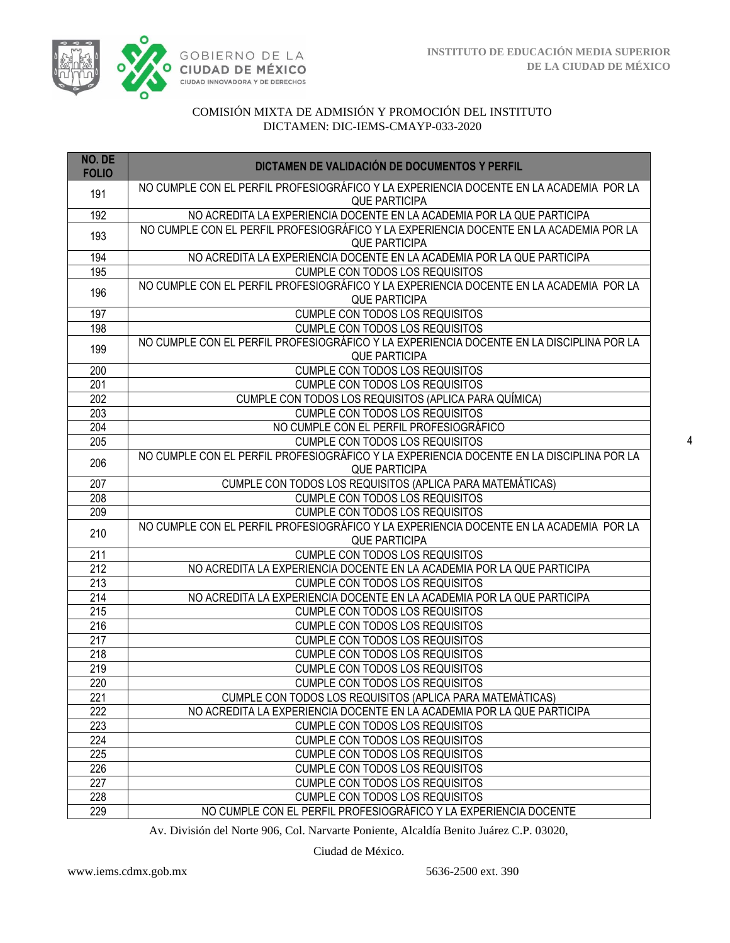

| NO. DE<br><b>FOLIO</b> | DICTAMEN DE VALIDACIÓN DE DOCUMENTOS Y PERFIL                                                                    |
|------------------------|------------------------------------------------------------------------------------------------------------------|
| 191                    | NO CUMPLE CON EL PERFIL PROFESIOGRÁFICO Y LA EXPERIENCIA DOCENTE EN LA ACADEMIA POR LA<br><b>QUE PARTICIPA</b>   |
| 192                    | NO ACREDITA LA EXPERIENCIA DOCENTE EN LA ACADEMIA POR LA QUE PARTICIPA                                           |
| 193                    | NO CUMPLE CON EL PERFIL PROFESIOGRÁFICO Y LA EXPERIENCIA DOCENTE EN LA ACADEMIA POR LA<br><b>QUE PARTICIPA</b>   |
| 194                    | NO ACREDITA LA EXPERIENCIA DOCENTE EN LA ACADEMIA POR LA QUE PARTICIPA                                           |
| 195                    | CUMPLE CON TODOS LOS REQUISITOS                                                                                  |
| 196                    | NO CUMPLE CON EL PERFIL PROFESIOGRÁFICO Y LA EXPERIENCIA DOCENTE EN LA ACADEMIA POR LA<br><b>QUE PARTICIPA</b>   |
| 197                    | <b>CUMPLE CON TODOS LOS REQUISITOS</b>                                                                           |
| 198                    | <b>CUMPLE CON TODOS LOS REQUISITOS</b>                                                                           |
| 199                    | NO CUMPLE CON EL PERFIL PROFESIOGRÁFICO Y LA EXPERIENCIA DOCENTE EN LA DISCIPLINA POR LA<br>QUE PARTICIPA        |
| 200                    | <b>CUMPLE CON TODOS LOS REQUISITOS</b>                                                                           |
| $\overline{201}$       | <b>CUMPLE CON TODOS LOS REQUISITOS</b>                                                                           |
| $\overline{202}$       | CUMPLE CON TODOS LOS REQUISITOS (APLICA PARA QUÍMICA)                                                            |
| $\overline{203}$       | <b>CUMPLE CON TODOS LOS REQUISITOS</b>                                                                           |
| 204                    | NO CUMPLE CON EL PERFIL PROFESIOGRÁFICO                                                                          |
| $\overline{205}$       | <b>CUMPLE CON TODOS LOS REQUISITOS</b>                                                                           |
| 206                    | NO CUMPLE CON EL PERFIL PROFESIOGRÁFICO Y LA EXPERIENCIA DOCENTE EN LA DISCIPLINA POR LA<br><b>QUE PARTICIPA</b> |
| 207                    | CUMPLE CON TODOS LOS REQUISITOS (APLICA PARA MATEMÁTICAS)                                                        |
| 208                    | <b>CUMPLE CON TODOS LOS REQUISITOS</b>                                                                           |
| 209                    | <b>CUMPLE CON TODOS LOS REQUISITOS</b>                                                                           |
| 210                    | NO CUMPLE CON EL PERFIL PROFESIOGRÁFICO Y LA EXPERIENCIA DOCENTE EN LA ACADEMIA POR LA<br><b>QUE PARTICIPA</b>   |
| 211                    | <b>CUMPLE CON TODOS LOS REQUISITOS</b>                                                                           |
| 212                    | NO ACREDITA LA EXPERIENCIA DOCENTE EN LA ACADEMIA POR LA QUE PARTICIPA                                           |
| 213                    | <b>CUMPLE CON TODOS LOS REQUISITOS</b>                                                                           |
| 214                    | NO ACREDITA LA EXPERIENCIA DOCENTE EN LA ACADEMIA POR LA QUE PARTICIPA                                           |
| 215                    | <b>CUMPLE CON TODOS LOS REQUISITOS</b>                                                                           |
| 216                    | CUMPLE CON TODOS LOS REQUISITOS                                                                                  |
| $\overline{217}$       | CUMPLE CON TODOS LOS REQUISITOS                                                                                  |
| $\overline{218}$       | <b>CUMPLE CON TODOS LOS REQUISITOS</b>                                                                           |
| $\overline{219}$       | <b>CUMPLE CON TODOS LOS REQUISITOS</b>                                                                           |
| 220                    | <b>CUMPLE CON TODOS LOS REQUISITOS</b>                                                                           |
| 221                    | CUMPLE CON TODOS LOS REQUISITOS (APLICA PARA MATEMÁTICAS)                                                        |
| $\overline{222}$       | NO ACREDITA LA EXPERIENCIA DOCENTE EN LA ACADEMIA POR LA QUE PARTICIPA                                           |
| 223                    | CUMPLE CON TODOS LOS REQUISITOS                                                                                  |
| 224                    | <b>CUMPLE CON TODOS LOS REQUISITOS</b>                                                                           |
| $\overline{225}$       | <b>CUMPLE CON TODOS LOS REQUISITOS</b>                                                                           |
| 226                    | <b>CUMPLE CON TODOS LOS REQUISITOS</b>                                                                           |
| 227                    | <b>CUMPLE CON TODOS LOS REQUISITOS</b>                                                                           |
| 228                    | <b>CUMPLE CON TODOS LOS REQUISITOS</b>                                                                           |
| 229                    | NO CUMPLE CON EL PERFIL PROFESIOGRÁFICO Y LA EXPERIENCIA DOCENTE                                                 |

Av. División del Norte 906, Col. Narvarte Poniente, Alcaldía Benito Juárez C.P. 03020,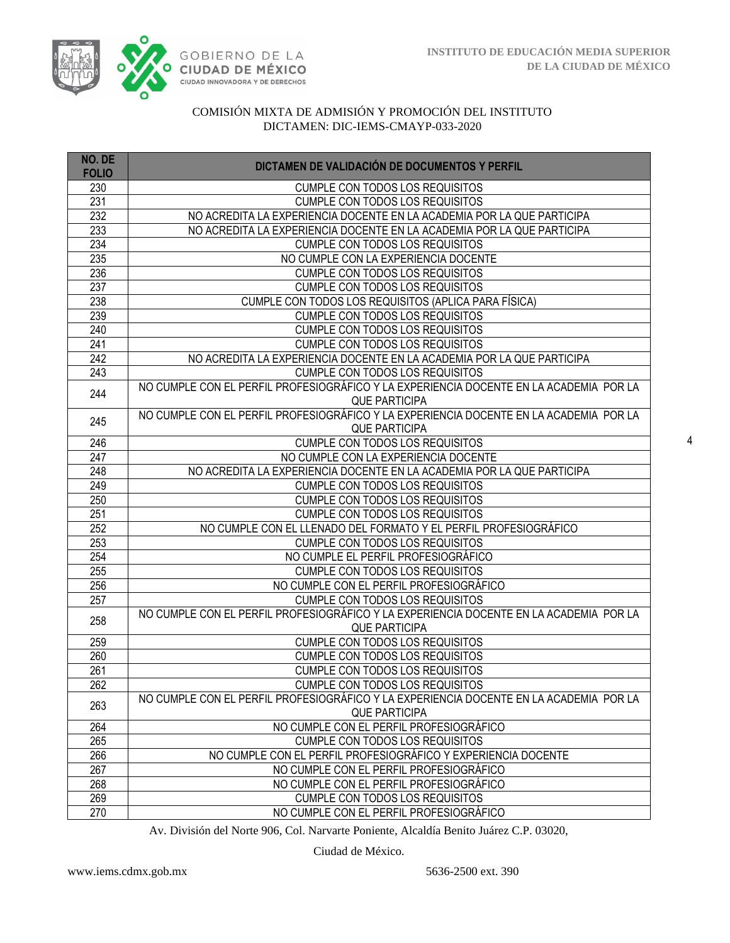

| NO. DE<br><b>FOLIO</b> | DICTAMEN DE VALIDACIÓN DE DOCUMENTOS Y PERFIL                                          |
|------------------------|----------------------------------------------------------------------------------------|
| 230                    | <b>CUMPLE CON TODOS LOS REQUISITOS</b>                                                 |
| 231                    | <b>CUMPLE CON TODOS LOS REQUISITOS</b>                                                 |
| 232                    | NO ACREDITA LA EXPERIENCIA DOCENTE EN LA ACADEMIA POR LA QUE PARTICIPA                 |
| 233                    | NO ACREDITA LA EXPERIENCIA DOCENTE EN LA ACADEMIA POR LA QUE PARTICIPA                 |
| 234                    | <b>CUMPLE CON TODOS LOS REQUISITOS</b>                                                 |
| 235                    | NO CUMPLE CON LA EXPERIENCIA DOCENTE                                                   |
| 236                    | CUMPLE CON TODOS LOS REQUISITOS                                                        |
| 237                    | <b>CUMPLE CON TODOS LOS REQUISITOS</b>                                                 |
| 238                    | CUMPLE CON TODOS LOS REQUISITOS (APLICA PARA FÍSICA)                                   |
| 239                    | <b>CUMPLE CON TODOS LOS REQUISITOS</b>                                                 |
| 240                    | CUMPLE CON TODOS LOS REQUISITOS                                                        |
| 241                    | <b>CUMPLE CON TODOS LOS REQUISITOS</b>                                                 |
| 242                    | NO ACREDITA LA EXPERIENCIA DOCENTE EN LA ACADEMIA POR LA QUE PARTICIPA                 |
| 243                    | CUMPLE CON TODOS LOS REQUISITOS                                                        |
| 244                    | NO CUMPLE CON EL PERFIL PROFESIOGRÁFICO Y LA EXPERIENCIA DOCENTE EN LA ACADEMIA POR LA |
|                        | <b>QUE PARTICIPA</b>                                                                   |
| 245                    | NO CUMPLE CON EL PERFIL PROFESIOGRÁFICO Y LA EXPERIENCIA DOCENTE EN LA ACADEMIA POR LA |
|                        | <b>QUE PARTICIPA</b>                                                                   |
| 246                    | <b>CUMPLE CON TODOS LOS REQUISITOS</b>                                                 |
| 247                    | NO CUMPLE CON LA EXPERIENCIA DOCENTE                                                   |
| 248                    | NO ACREDITA LA EXPERIENCIA DOCENTE EN LA ACADEMIA POR LA QUE PARTICIPA                 |
| 249                    | <b>CUMPLE CON TODOS LOS REQUISITOS</b>                                                 |
| 250                    | <b>CUMPLE CON TODOS LOS REQUISITOS</b>                                                 |
| 251                    | CUMPLE CON TODOS LOS REQUISITOS                                                        |
| $\overline{252}$       | NO CUMPLE CON EL LLENADO DEL FORMATO Y EL PERFIL PROFESIOGRÁFICO                       |
| 253<br>254             | CUMPLE CON TODOS LOS REQUISITOS<br>NO CUMPLE EL PERFIL PROFESIOGRÁFICO                 |
| 255                    | CUMPLE CON TODOS LOS REQUISITOS                                                        |
| 256                    | NO CUMPLE CON EL PERFIL PROFESIOGRÁFICO                                                |
| 257                    | <b>CUMPLE CON TODOS LOS REQUISITOS</b>                                                 |
|                        | NO CUMPLE CON EL PERFIL PROFESIOGRÁFICO Y LA EXPERIENCIA DOCENTE EN LA ACADEMIA POR LA |
| 258                    | <b>QUE PARTICIPA</b>                                                                   |
| 259                    | <b>CUMPLE CON TODOS LOS REQUISITOS</b>                                                 |
| 260                    | <b>CUMPLE CON TODOS LOS REQUISITOS</b>                                                 |
| 261                    | <b>CUMPLE CON TODOS LOS REQUISITOS</b>                                                 |
| 262                    | <b>CUMPLE CON TODOS LOS REQUISITOS</b>                                                 |
| 263                    | NO CUMPLE CON EL PERFIL PROFESIOGRÁFICO Y LA EXPERIENCIA DOCENTE EN LA ACADEMIA POR LA |
|                        | <b>QUE PARTICIPA</b>                                                                   |
| 264                    | NO CUMPLE CON EL PERFIL PROFESIOGRÁFICO                                                |
| 265                    | CUMPLE CON TODOS LOS REQUISITOS                                                        |
| 266                    | NO CUMPLE CON EL PERFIL PROFESIOGRÁFICO Y EXPERIENCIA DOCENTE                          |
| 267                    | NO CUMPLE CON EL PERFIL PROFESIOGRÁFICO                                                |
| 268                    | NO CUMPLE CON EL PERFIL PROFESIOGRÁFICO                                                |
| 269                    | CUMPLE CON TODOS LOS REQUISITOS                                                        |
| 270                    | NO CUMPLE CON EL PERFIL PROFESIOGRÁFICO                                                |

Av. División del Norte 906, Col. Narvarte Poniente, Alcaldía Benito Juárez C.P. 03020,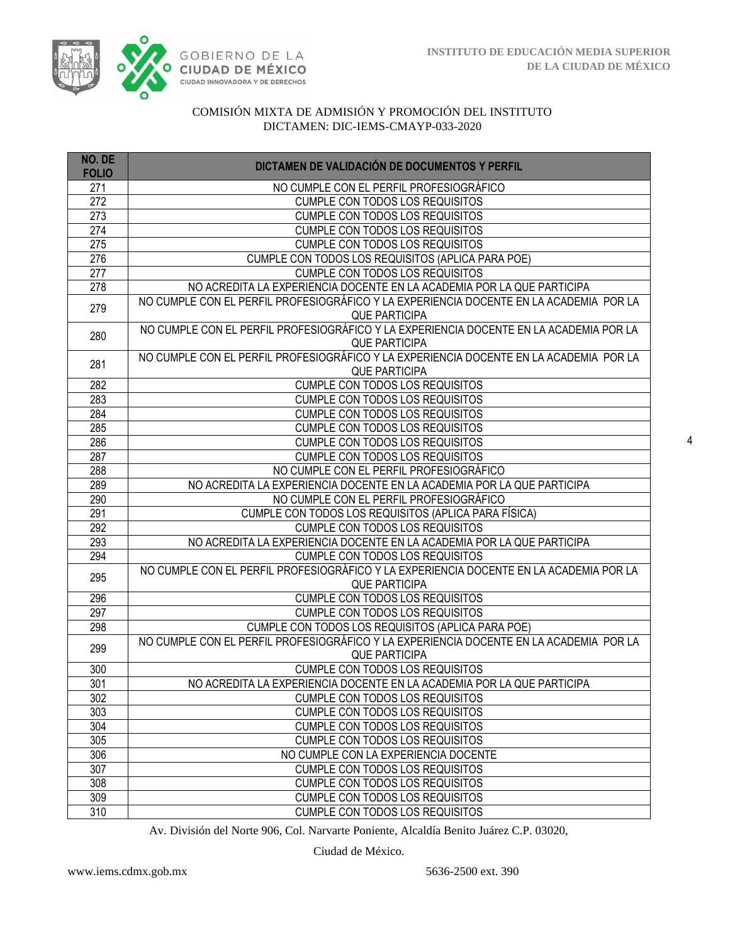

| NO. DE<br><b>FOLIO</b> | DICTAMEN DE VALIDACIÓN DE DOCUMENTOS Y PERFIL                                                                  |
|------------------------|----------------------------------------------------------------------------------------------------------------|
| 271                    | NO CUMPLE CON EL PERFIL PROFESIOGRÁFICO                                                                        |
| 272                    | CUMPLE CON TODOS LOS REQUISITOS                                                                                |
| 273                    | <b>CUMPLE CON TODOS LOS REQUISITOS</b>                                                                         |
| $\overline{274}$       | <b>CUMPLE CON TODOS LOS REQUISITOS</b>                                                                         |
| 275                    | <b>CUMPLE CON TODOS LOS REQUISITOS</b>                                                                         |
| 276                    | CUMPLE CON TODOS LOS REQUISITOS (APLICA PARA POE)                                                              |
| 277                    | CUMPLE CON TODOS LOS REQUISITOS                                                                                |
| 278                    | NO ACREDITA LA EXPERIENCIA DOCENTE EN LA ACADEMIA POR LA QUE PARTICIPA                                         |
| 279                    | NO CUMPLE CON EL PERFIL PROFESIOGRÁFICO Y LA EXPERIENCIA DOCENTE EN LA ACADEMIA POR LA<br><b>QUE PARTICIPA</b> |
| 280                    | NO CUMPLE CON EL PERFIL PROFESIOGRÁFICO Y LA EXPERIENCIA DOCENTE EN LA ACADEMIA POR LA                         |
|                        | <b>QUE PARTICIPA</b>                                                                                           |
| 281                    | NO CUMPLE CON EL PERFIL PROFESIOGRÁFICO Y LA EXPERIENCIA DOCENTE EN LA ACADEMIA POR LA<br><b>QUE PARTICIPA</b> |
| 282                    | <b>CUMPLE CON TODOS LOS REQUISITOS</b>                                                                         |
| 283                    | <b>CUMPLE CON TODOS LOS REQUISITOS</b>                                                                         |
| 284                    | <b>CUMPLE CON TODOS LOS REQUISITOS</b>                                                                         |
| 285                    | <b>CUMPLE CON TODOS LOS REQUISITOS</b>                                                                         |
| 286                    | <b>CUMPLE CON TODOS LOS REQUISITOS</b>                                                                         |
| 287                    | <b>CUMPLE CON TODOS LOS REQUISITOS</b>                                                                         |
| 288                    | NO CUMPLE CON EL PERFIL PROFESIOGRÁFICO                                                                        |
| 289                    | NO ACREDITA LA EXPERIENCIA DOCENTE EN LA ACADEMIA POR LA QUE PARTICIPA                                         |
| 290                    | NO CUMPLE CON EL PERFIL PROFESIOGRÁFICO                                                                        |
| 291                    | CUMPLE CON TODOS LOS REQUISITOS (APLICA PARA FÍSICA)                                                           |
| 292                    | <b>CUMPLE CON TODOS LOS REQUISITOS</b>                                                                         |
| 293                    | NO ACREDITA LA EXPERIENCIA DOCENTE EN LA ACADEMIA POR LA QUE PARTICIPA                                         |
| 294                    | <b>CUMPLE CON TODOS LOS REQUISITOS</b>                                                                         |
| 295                    | NO CUMPLE CON EL PERFIL PROFESIOGRÁFICO Y LA EXPERIENCIA DOCENTE EN LA ACADEMIA POR LA<br><b>QUE PARTICIPA</b> |
| 296                    | <b>CUMPLE CON TODOS LOS REQUISITOS</b>                                                                         |
| 297                    | <b>CUMPLE CON TODOS LOS REQUISITOS</b>                                                                         |
| 298                    | CUMPLE CON TODOS LOS REQUISITOS (APLICA PARA POE)                                                              |
| 299                    | NO CUMPLE CON EL PERFIL PROFESIOGRÁFICO Y LA EXPERIENCIA DOCENTE EN LA ACADEMIA POR LA                         |
|                        | <b>QUE PARTICIPA</b>                                                                                           |
| 300                    | <b>CUMPLE CON TODOS LOS REQUISITOS</b>                                                                         |
| 301                    | NO ACREDITA LA EXPERIENCIA DOCENTE EN LA ACADEMIA POR LA QUE PARTICIPA                                         |
| 302                    | CUMPLE CON TODOS LOS REQUISITOS                                                                                |
| 303                    | <b>CUMPLE CON TODOS LOS REQUISITOS</b>                                                                         |
| 304                    | <b>CUMPLE CON TODOS LOS REQUISITOS</b>                                                                         |
| 305                    | <b>CUMPLE CON TODOS LOS REQUISITOS</b>                                                                         |
| 306                    | NO CUMPLE CON LA EXPERIENCIA DOCENTE                                                                           |
| 307                    | <b>CUMPLE CON TODOS LOS REQUISITOS</b>                                                                         |
| 308                    | CUMPLE CON TODOS LOS REQUISITOS                                                                                |
| 309                    | <b>CUMPLE CON TODOS LOS REQUISITOS</b>                                                                         |
| 310                    | <b>CUMPLE CON TODOS LOS REQUISITOS</b>                                                                         |

Av. División del Norte 906, Col. Narvarte Poniente, Alcaldía Benito Juárez C.P. 03020,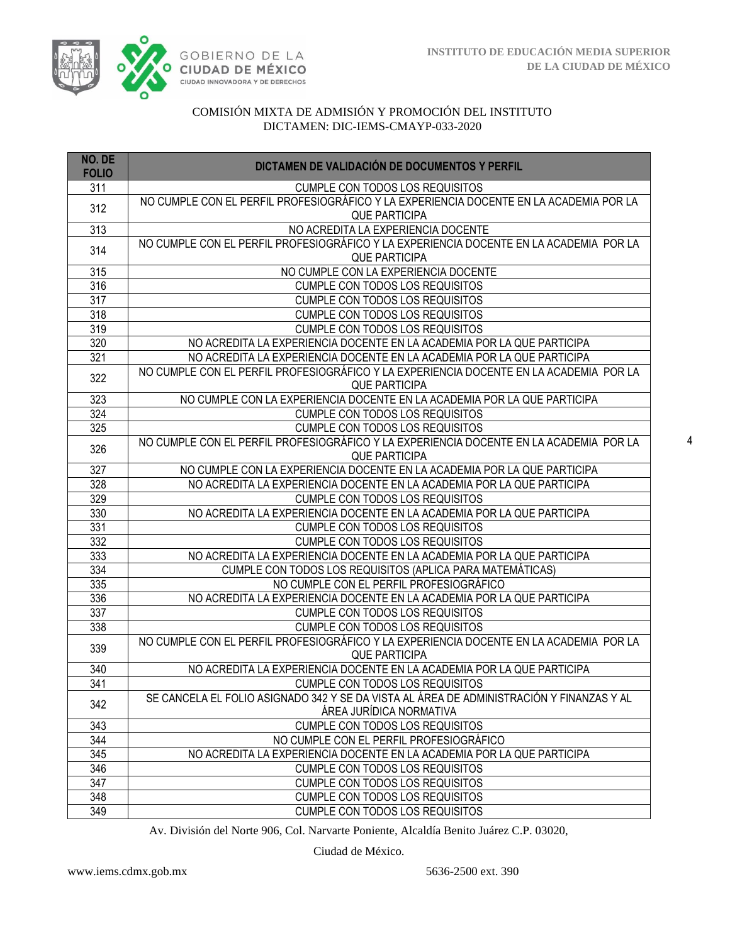

| NO. DE<br><b>FOLIO</b> | DICTAMEN DE VALIDACIÓN DE DOCUMENTOS Y PERFIL                                                                       |
|------------------------|---------------------------------------------------------------------------------------------------------------------|
| 311                    | <b>CUMPLE CON TODOS LOS REQUISITOS</b>                                                                              |
| 312                    | NO CUMPLE CON EL PERFIL PROFESIOGRÁFICO Y LA EXPERIENCIA DOCENTE EN LA ACADEMIA POR LA<br><b>QUE PARTICIPA</b>      |
| 313                    | NO ACREDITA LA EXPERIENCIA DOCENTE                                                                                  |
| 314                    | NO CUMPLE CON EL PERFIL PROFESIOGRÁFICO Y LA EXPERIENCIA DOCENTE EN LA ACADEMIA POR LA<br><b>QUE PARTICIPA</b>      |
| 315                    | NO CUMPLE CON LA EXPERIENCIA DOCENTE                                                                                |
| 316                    | CUMPLE CON TODOS LOS REQUISITOS                                                                                     |
| 317                    | CUMPLE CON TODOS LOS REQUISITOS                                                                                     |
| 318                    | <b>CUMPLE CON TODOS LOS REQUISITOS</b>                                                                              |
| 319                    | CUMPLE CON TODOS LOS REQUISITOS                                                                                     |
| 320                    | NO ACREDITA LA EXPERIENCIA DOCENTE EN LA ACADEMIA POR LA QUE PARTICIPA                                              |
| 321                    | NO ACREDITA LA EXPERIENCIA DOCENTE EN LA ACADEMIA POR LA QUE PARTICIPA                                              |
| 322                    | NO CUMPLE CON EL PERFIL PROFESIOGRÁFICO Y LA EXPERIENCIA DOCENTE EN LA ACADEMIA POR LA<br><b>QUE PARTICIPA</b>      |
| 323                    | NO CUMPLE CON LA EXPERIENCIA DOCENTE EN LA ACADEMIA POR LA QUE PARTICIPA                                            |
| 324                    | <b>CUMPLE CON TODOS LOS REQUISITOS</b>                                                                              |
| 325                    | CUMPLE CON TODOS LOS REQUISITOS                                                                                     |
| 326                    | NO CUMPLE CON EL PERFIL PROFESIOGRÁFICO Y LA EXPERIENCIA DOCENTE EN LA ACADEMIA POR LA<br><b>QUE PARTICIPA</b>      |
| 327                    | NO CUMPLE CON LA EXPERIENCIA DOCENTE EN LA ACADEMIA POR LA QUE PARTICIPA                                            |
| 328                    | NO ACREDITA LA EXPERIENCIA DOCENTE EN LA ACADEMIA POR LA QUE PARTICIPA                                              |
| 329                    | <b>CUMPLE CON TODOS LOS REQUISITOS</b>                                                                              |
| 330                    | NO ACREDITA LA EXPERIENCIA DOCENTE EN LA ACADEMIA POR LA QUE PARTICIPA                                              |
| 331                    | <b>CUMPLE CON TODOS LOS REQUISITOS</b>                                                                              |
| 332                    | <b>CUMPLE CON TODOS LOS REQUISITOS</b>                                                                              |
| 333                    | NO ACREDITA LA EXPERIENCIA DOCENTE EN LA ACADEMIA POR LA QUE PARTICIPA                                              |
| 334                    | CUMPLE CON TODOS LOS REQUISITOS (APLICA PARA MATEMÁTICAS)                                                           |
| 335                    | NO CUMPLE CON EL PERFIL PROFESIOGRÁFICO                                                                             |
| 336                    | NO ACREDITA LA EXPERIENCIA DOCENTE EN LA ACADEMIA POR LA QUE PARTICIPA                                              |
| 337                    | <b>CUMPLE CON TODOS LOS REQUISITOS</b>                                                                              |
| 338                    | CUMPLE CON TODOS LOS REQUISITOS                                                                                     |
| 339                    | NO CUMPLE CON EL PERFIL PROFESIOGRÁFICO Y LA EXPERIENCIA DOCENTE EN LA ACADEMIA POR LA<br><b>QUE PARTICIPA</b>      |
| 340                    | NO ACREDITA LA EXPERIENCIA DOCENTE EN LA ACADEMIA POR LA QUE PARTICIPA                                              |
| 341                    | CUMPLE CON TODOS LOS REQUISITOS                                                                                     |
| 342                    | SE CANCELA EL FOLIO ASIGNADO 342 Y SE DA VISTA AL ÁREA DE ADMINISTRACIÓN Y FINANZAS Y AL<br>ÁREA JURÍDICA NORMATIVA |
| 343                    | CUMPLE CON TODOS LOS REQUISITOS                                                                                     |
| 344                    | NO CUMPLE CON EL PERFIL PROFESIOGRÁFICO                                                                             |
| 345                    | NO ACREDITA LA EXPERIENCIA DOCENTE EN LA ACADEMIA POR LA QUE PARTICIPA                                              |
| 346                    | <b>CUMPLE CON TODOS LOS REQUISITOS</b>                                                                              |
| 347                    | <b>CUMPLE CON TODOS LOS REQUISITOS</b>                                                                              |
| 348                    | CUMPLE CON TODOS LOS REQUISITOS                                                                                     |
| 349                    | <b>CUMPLE CON TODOS LOS REQUISITOS</b>                                                                              |

Av. División del Norte 906, Col. Narvarte Poniente, Alcaldía Benito Juárez C.P. 03020,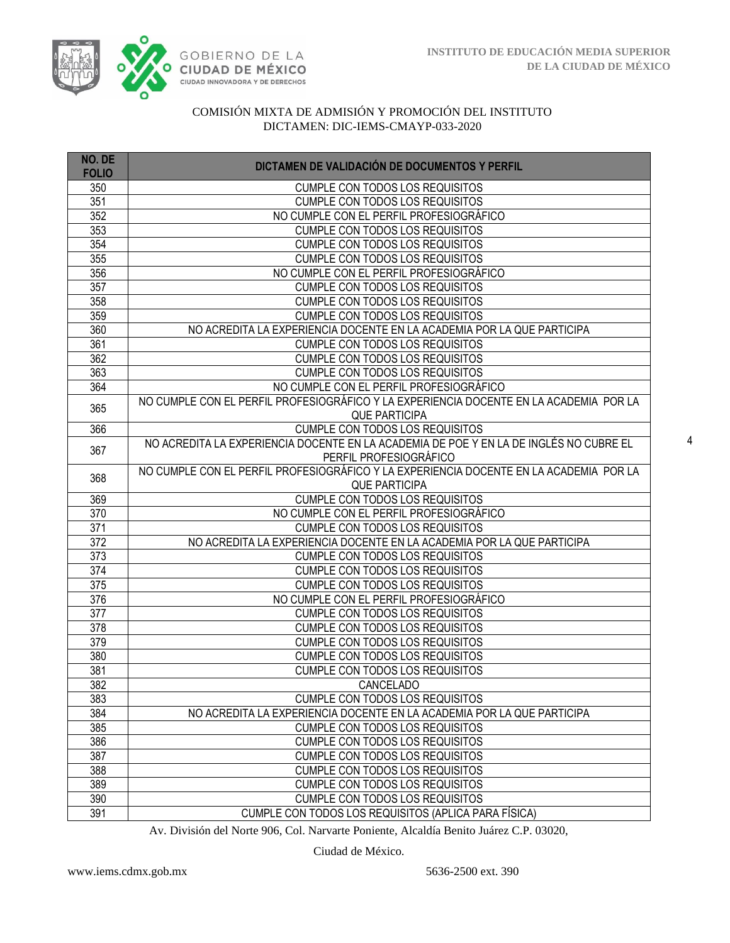

| NO. DE<br><b>FOLIO</b> | DICTAMEN DE VALIDACIÓN DE DOCUMENTOS Y PERFIL                                          |
|------------------------|----------------------------------------------------------------------------------------|
| 350                    | <b>CUMPLE CON TODOS LOS REQUISITOS</b>                                                 |
| 351                    | <b>CUMPLE CON TODOS LOS REQUISITOS</b>                                                 |
| 352                    | NO CUMPLE CON EL PERFIL PROFESIOGRÁFICO                                                |
| 353                    | <b>CUMPLE CON TODOS LOS REQUISITOS</b>                                                 |
| 354                    | <b>CUMPLE CON TODOS LOS REQUISITOS</b>                                                 |
| 355                    | <b>CUMPLE CON TODOS LOS REQUISITOS</b>                                                 |
| 356                    | NO CUMPLE CON EL PERFIL PROFESIOGRÁFICO                                                |
| 357                    | <b>CUMPLE CON TODOS LOS REQUISITOS</b>                                                 |
| 358                    | <b>CUMPLE CON TODOS LOS REQUISITOS</b>                                                 |
| 359                    | <b>CUMPLE CON TODOS LOS REQUISITOS</b>                                                 |
| 360                    | NO ACREDITA LA EXPERIENCIA DOCENTE EN LA ACADEMIA POR LA QUE PARTICIPA                 |
| 361                    | <b>CUMPLE CON TODOS LOS REQUISITOS</b>                                                 |
| 362                    | CUMPLE CON TODOS LOS REQUISITOS                                                        |
| 363                    | CUMPLE CON TODOS LOS REQUISITOS                                                        |
| 364                    | NO CUMPLE CON EL PERFIL PROFESIOGRÁFICO                                                |
|                        | NO CUMPLE CON EL PERFIL PROFESIOGRÁFICO Y LA EXPERIENCIA DOCENTE EN LA ACADEMIA POR LA |
| 365                    | <b>QUE PARTICIPA</b>                                                                   |
| 366                    | <b>CUMPLE CON TODOS LOS REQUISITOS</b>                                                 |
|                        | NO ACREDITA LA EXPERIENCIA DOCENTE EN LA ACADEMIA DE POE Y EN LA DE INGLÉS NO CUBRE EL |
| 367                    | PERFIL PROFESIOGRÁFICO                                                                 |
| 368                    | NO CUMPLE CON EL PERFIL PROFESIOGRÁFICO Y LA EXPERIENCIA DOCENTE EN LA ACADEMIA POR LA |
|                        | <b>QUE PARTICIPA</b>                                                                   |
| 369                    | CUMPLE CON TODOS LOS REQUISITOS                                                        |
| 370                    | NO CUMPLE CON EL PERFIL PROFESIOGRÁFICO                                                |
| 371                    | <b>CUMPLE CON TODOS LOS REQUISITOS</b>                                                 |
| 372                    | NO ACREDITA LA EXPERIENCIA DOCENTE EN LA ACADEMIA POR LA QUE PARTICIPA                 |
| 373                    | <b>CUMPLE CON TODOS LOS REQUISITOS</b>                                                 |
| 374                    | <b>CUMPLE CON TODOS LOS REQUISITOS</b>                                                 |
| 375                    | <b>CUMPLE CON TODOS LOS REQUISITOS</b>                                                 |
| 376                    | NO CUMPLE CON EL PERFIL PROFESIOGRÁFICO                                                |
| 377                    | <b>CUMPLE CON TODOS LOS REQUISITOS</b>                                                 |
| 378                    | <b>CUMPLE CON TODOS LOS REQUISITOS</b>                                                 |
| 379                    | <b>CUMPLE CON TODOS LOS REQUISITOS</b>                                                 |
| 380                    | <b>CUMPLE CON TODOS LOS REQUISITOS</b>                                                 |
| 381                    | <b>CUMPLE CON TODOS LOS REQUISITOS</b>                                                 |
| 382                    | CANCELADO                                                                              |
| 383                    | <b>CUMPLE CON TODOS LOS REQUISITOS</b>                                                 |
| 384                    | NO ACREDITA LA EXPERIENCIA DOCENTE EN LA ACADEMIA POR LA QUE PARTICIPA                 |
| 385                    | <b>CUMPLE CON TODOS LOS REQUISITOS</b>                                                 |
| 386                    | <b>CUMPLE CON TODOS LOS REQUISITOS</b>                                                 |
| 387                    | <b>CUMPLE CON TODOS LOS REQUISITOS</b>                                                 |
| 388                    | <b>CUMPLE CON TODOS LOS REQUISITOS</b>                                                 |
| 389                    | <b>CUMPLE CON TODOS LOS REQUISITOS</b>                                                 |
| 390                    | <b>CUMPLE CON TODOS LOS REQUISITOS</b>                                                 |
| 391                    | CUMPLE CON TODOS LOS REQUISITOS (APLICA PARA FÍSICA)                                   |

Av. División del Norte 906, Col. Narvarte Poniente, Alcaldía Benito Juárez C.P. 03020,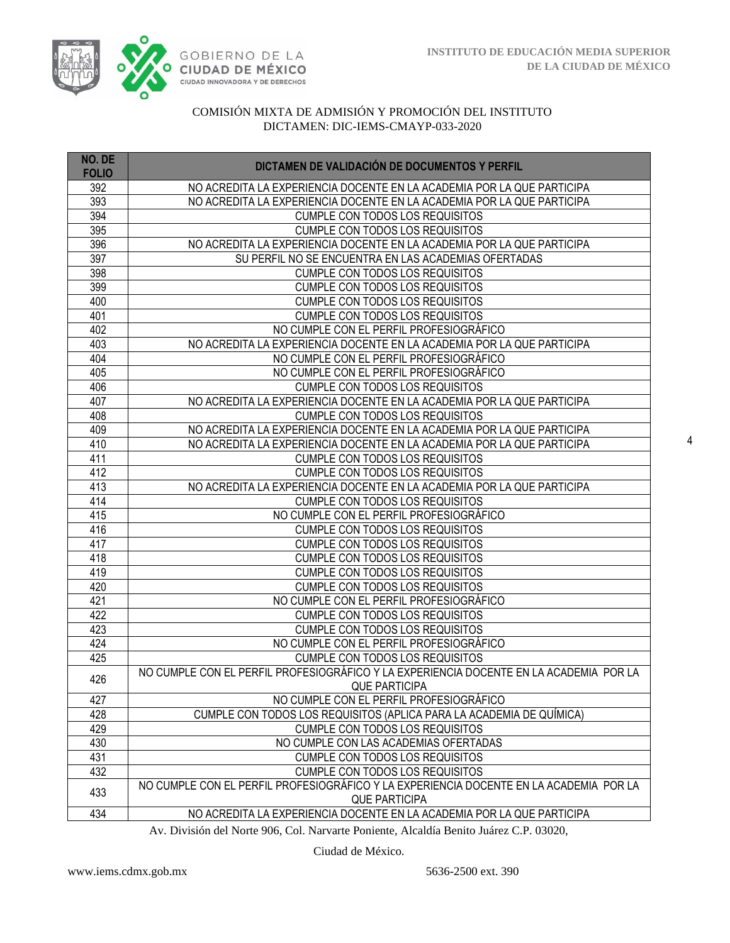

| NO. DE<br><b>FOLIO</b> | DICTAMEN DE VALIDACIÓN DE DOCUMENTOS Y PERFIL                                          |
|------------------------|----------------------------------------------------------------------------------------|
| 392                    | NO ACREDITA LA EXPERIENCIA DOCENTE EN LA ACADEMIA POR LA QUE PARTICIPA                 |
| 393                    | NO ACREDITA LA EXPERIENCIA DOCENTE EN LA ACADEMIA POR LA QUE PARTICIPA                 |
| 394                    | <b>CUMPLE CON TODOS LOS REQUISITOS</b>                                                 |
| 395                    | <b>CUMPLE CON TODOS LOS REQUISITOS</b>                                                 |
| 396                    | NO ACREDITA LA EXPERIENCIA DOCENTE EN LA ACADEMIA POR LA QUE PARTICIPA                 |
| 397                    | SU PERFIL NO SE ENCUENTRA EN LAS ACADEMIAS OFERTADAS                                   |
| 398                    | <b>CUMPLE CON TODOS LOS REQUISITOS</b>                                                 |
| 399                    | <b>CUMPLE CON TODOS LOS REQUISITOS</b>                                                 |
| 400                    | CUMPLE CON TODOS LOS REQUISITOS                                                        |
| 401                    | <b>CUMPLE CON TODOS LOS REQUISITOS</b>                                                 |
| 402                    | NO CUMPLE CON EL PERFIL PROFESIOGRÁFICO                                                |
| 403                    | NO ACREDITA LA EXPERIENCIA DOCENTE EN LA ACADEMIA POR LA QUE PARTICIPA                 |
| 404                    | NO CUMPLE CON EL PERFIL PROFESIOGRÁFICO                                                |
| 405                    | NO CUMPLE CON EL PERFIL PROFESIOGRÁFICO                                                |
| 406                    | CUMPLE CON TODOS LOS REQUISITOS                                                        |
| 407                    | NO ACREDITA LA EXPERIENCIA DOCENTE EN LA ACADEMIA POR LA QUE PARTICIPA                 |
| 408                    | CUMPLE CON TODOS LOS REQUISITOS                                                        |
| 409                    | NO ACREDITA LA EXPERIENCIA DOCENTE EN LA ACADEMIA POR LA QUE PARTICIPA                 |
| 410                    | NO ACREDITA LA EXPERIENCIA DOCENTE EN LA ACADEMIA POR LA QUE PARTICIPA                 |
| 411                    | <b>CUMPLE CON TODOS LOS REQUISITOS</b>                                                 |
| 412                    | <b>CUMPLE CON TODOS LOS REQUISITOS</b>                                                 |
| 413                    | NO ACREDITA LA EXPERIENCIA DOCENTE EN LA ACADEMIA POR LA QUE PARTICIPA                 |
| 414                    | CUMPLE CON TODOS LOS REQUISITOS                                                        |
| 415                    | NO CUMPLE CON EL PERFIL PROFESIOGRÁFICO                                                |
| 416                    | CUMPLE CON TODOS LOS REQUISITOS                                                        |
| 417                    | <b>CUMPLE CON TODOS LOS REQUISITOS</b>                                                 |
| 418                    | <b>CUMPLE CON TODOS LOS REQUISITOS</b>                                                 |
| 419                    | <b>CUMPLE CON TODOS LOS REQUISITOS</b>                                                 |
| 420                    | CUMPLE CON TODOS LOS REQUISITOS                                                        |
| 421                    | NO CUMPLE CON EL PERFIL PROFESIOGRÁFICO                                                |
| 422                    | <b>CUMPLE CON TODOS LOS REQUISITOS</b>                                                 |
| 423                    | <b>CUMPLE CON TODOS LOS REQUISITOS</b>                                                 |
| 424                    | NO CUMPLE CON EL PERFIL PROFESIOGRÁFICO                                                |
| 425                    | <b>CUMPLE CON TODOS LOS REQUISITOS</b>                                                 |
| 426                    | NO CUMPLE CON EL PERFIL PROFESIOGRÁFICO Y LA EXPERIENCIA DOCENTE EN LA ACADEMIA POR LA |
| 427                    | <b>QUE PARTICIPA</b><br>NO CUMPLE CON EL PERFIL PROFESIOGRÁFICO                        |
| 428                    | CUMPLE CON TODOS LOS REQUISITOS (APLICA PARA LA ACADEMIA DE QUÍMICA)                   |
| 429                    | CUMPLE CON TODOS LOS REQUISITOS                                                        |
| 430                    | NO CUMPLE CON LAS ACADEMIAS OFERTADAS                                                  |
| 431                    | <b>CUMPLE CON TODOS LOS REQUISITOS</b>                                                 |
| 432                    | <b>CUMPLE CON TODOS LOS REQUISITOS</b>                                                 |
|                        | NO CUMPLE CON EL PERFIL PROFESIOGRÁFICO Y LA EXPERIENCIA DOCENTE EN LA ACADEMIA POR LA |
| 433                    | <b>QUE PARTICIPA</b>                                                                   |
| 434                    | NO ACREDITA LA EXPERIENCIA DOCENTE EN LA ACADEMIA POR LA QUE PARTICIPA                 |

Av. División del Norte 906, Col. Narvarte Poniente, Alcaldía Benito Juárez C.P. 03020,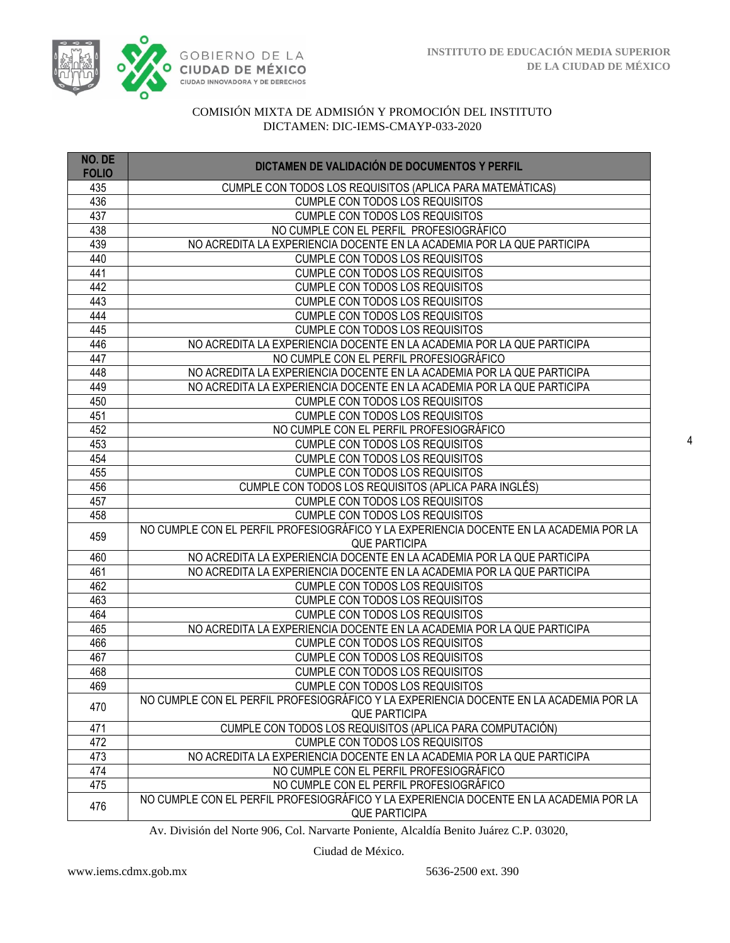

| CUMPLE CON TODOS LOS REQUISITOS (APLICA PARA MATEMÁTICAS)<br>435<br>436<br><b>CUMPLE CON TODOS LOS REQUISITOS</b><br><b>CUMPLE CON TODOS LOS REQUISITOS</b><br>437<br>NO CUMPLE CON EL PERFIL PROFESIOGRÁFICO<br>438<br>439<br>NO ACREDITA LA EXPERIENCIA DOCENTE EN LA ACADEMIA POR LA QUE PARTICIPA<br>440<br>CUMPLE CON TODOS LOS REQUISITOS<br>441<br>CUMPLE CON TODOS LOS REQUISITOS<br><b>CUMPLE CON TODOS LOS REQUISITOS</b><br>442<br>443<br><b>CUMPLE CON TODOS LOS REQUISITOS</b><br>444<br><b>CUMPLE CON TODOS LOS REQUISITOS</b><br><b>CUMPLE CON TODOS LOS REQUISITOS</b><br>445<br>446<br>NO ACREDITA LA EXPERIENCIA DOCENTE EN LA ACADEMIA POR LA QUE PARTICIPA<br>NO CUMPLE CON EL PERFIL PROFESIOGRÁFICO<br>447<br>448<br>NO ACREDITA LA EXPERIENCIA DOCENTE EN LA ACADEMIA POR LA QUE PARTICIPA<br>449<br>NO ACREDITA LA EXPERIENCIA DOCENTE EN LA ACADEMIA POR LA QUE PARTICIPA<br>450<br>CUMPLE CON TODOS LOS REQUISITOS<br><b>CUMPLE CON TODOS LOS REQUISITOS</b><br>451<br>NO CUMPLE CON EL PERFIL PROFESIOGRÁFICO<br>452<br>453<br><b>CUMPLE CON TODOS LOS REQUISITOS</b><br>454<br><b>CUMPLE CON TODOS LOS REQUISITOS</b><br><b>CUMPLE CON TODOS LOS REQUISITOS</b><br>455<br>CUMPLE CON TODOS LOS REQUISITOS (APLICA PARA INGLÉS)<br>456<br><b>CUMPLE CON TODOS LOS REQUISITOS</b><br>457<br><b>CUMPLE CON TODOS LOS REQUISITOS</b><br>458<br>NO CUMPLE CON EL PERFIL PROFESIOGRÁFICO Y LA EXPERIENCIA DOCENTE EN LA ACADEMIA POR LA<br>459<br><b>QUE PARTICIPA</b><br>460<br>NO ACREDITA LA EXPERIENCIA DOCENTE EN LA ACADEMIA POR LA QUE PARTICIPA<br>461<br>NO ACREDITA LA EXPERIENCIA DOCENTE EN LA ACADEMIA POR LA QUE PARTICIPA<br>462<br><b>CUMPLE CON TODOS LOS REQUISITOS</b><br>463<br><b>CUMPLE CON TODOS LOS REQUISITOS</b><br>464<br><b>CUMPLE CON TODOS LOS REQUISITOS</b><br>465<br>NO ACREDITA LA EXPERIENCIA DOCENTE EN LA ACADEMIA POR LA QUE PARTICIPA<br>466<br><b>CUMPLE CON TODOS LOS REQUISITOS</b><br>467<br><b>CUMPLE CON TODOS LOS REQUISITOS</b><br>468<br><b>CUMPLE CON TODOS LOS REQUISITOS</b><br>469<br><b>CUMPLE CON TODOS LOS REQUISITOS</b><br>NO CUMPLE CON EL PERFIL PROFESIOGRÁFICO Y LA EXPERIENCIA DOCENTE EN LA ACADEMIA POR LA<br>470 | NO. DE<br><b>FOLIO</b> | DICTAMEN DE VALIDACIÓN DE DOCUMENTOS Y PERFIL |
|---------------------------------------------------------------------------------------------------------------------------------------------------------------------------------------------------------------------------------------------------------------------------------------------------------------------------------------------------------------------------------------------------------------------------------------------------------------------------------------------------------------------------------------------------------------------------------------------------------------------------------------------------------------------------------------------------------------------------------------------------------------------------------------------------------------------------------------------------------------------------------------------------------------------------------------------------------------------------------------------------------------------------------------------------------------------------------------------------------------------------------------------------------------------------------------------------------------------------------------------------------------------------------------------------------------------------------------------------------------------------------------------------------------------------------------------------------------------------------------------------------------------------------------------------------------------------------------------------------------------------------------------------------------------------------------------------------------------------------------------------------------------------------------------------------------------------------------------------------------------------------------------------------------------------------------------------------------------------------------------------------------------------------------------------------------------------------------------------------------------------------------------------------------------------------------------------------|------------------------|-----------------------------------------------|
|                                                                                                                                                                                                                                                                                                                                                                                                                                                                                                                                                                                                                                                                                                                                                                                                                                                                                                                                                                                                                                                                                                                                                                                                                                                                                                                                                                                                                                                                                                                                                                                                                                                                                                                                                                                                                                                                                                                                                                                                                                                                                                                                                                                                         |                        |                                               |
|                                                                                                                                                                                                                                                                                                                                                                                                                                                                                                                                                                                                                                                                                                                                                                                                                                                                                                                                                                                                                                                                                                                                                                                                                                                                                                                                                                                                                                                                                                                                                                                                                                                                                                                                                                                                                                                                                                                                                                                                                                                                                                                                                                                                         |                        |                                               |
|                                                                                                                                                                                                                                                                                                                                                                                                                                                                                                                                                                                                                                                                                                                                                                                                                                                                                                                                                                                                                                                                                                                                                                                                                                                                                                                                                                                                                                                                                                                                                                                                                                                                                                                                                                                                                                                                                                                                                                                                                                                                                                                                                                                                         |                        |                                               |
|                                                                                                                                                                                                                                                                                                                                                                                                                                                                                                                                                                                                                                                                                                                                                                                                                                                                                                                                                                                                                                                                                                                                                                                                                                                                                                                                                                                                                                                                                                                                                                                                                                                                                                                                                                                                                                                                                                                                                                                                                                                                                                                                                                                                         |                        |                                               |
|                                                                                                                                                                                                                                                                                                                                                                                                                                                                                                                                                                                                                                                                                                                                                                                                                                                                                                                                                                                                                                                                                                                                                                                                                                                                                                                                                                                                                                                                                                                                                                                                                                                                                                                                                                                                                                                                                                                                                                                                                                                                                                                                                                                                         |                        |                                               |
|                                                                                                                                                                                                                                                                                                                                                                                                                                                                                                                                                                                                                                                                                                                                                                                                                                                                                                                                                                                                                                                                                                                                                                                                                                                                                                                                                                                                                                                                                                                                                                                                                                                                                                                                                                                                                                                                                                                                                                                                                                                                                                                                                                                                         |                        |                                               |
|                                                                                                                                                                                                                                                                                                                                                                                                                                                                                                                                                                                                                                                                                                                                                                                                                                                                                                                                                                                                                                                                                                                                                                                                                                                                                                                                                                                                                                                                                                                                                                                                                                                                                                                                                                                                                                                                                                                                                                                                                                                                                                                                                                                                         |                        |                                               |
|                                                                                                                                                                                                                                                                                                                                                                                                                                                                                                                                                                                                                                                                                                                                                                                                                                                                                                                                                                                                                                                                                                                                                                                                                                                                                                                                                                                                                                                                                                                                                                                                                                                                                                                                                                                                                                                                                                                                                                                                                                                                                                                                                                                                         |                        |                                               |
|                                                                                                                                                                                                                                                                                                                                                                                                                                                                                                                                                                                                                                                                                                                                                                                                                                                                                                                                                                                                                                                                                                                                                                                                                                                                                                                                                                                                                                                                                                                                                                                                                                                                                                                                                                                                                                                                                                                                                                                                                                                                                                                                                                                                         |                        |                                               |
|                                                                                                                                                                                                                                                                                                                                                                                                                                                                                                                                                                                                                                                                                                                                                                                                                                                                                                                                                                                                                                                                                                                                                                                                                                                                                                                                                                                                                                                                                                                                                                                                                                                                                                                                                                                                                                                                                                                                                                                                                                                                                                                                                                                                         |                        |                                               |
|                                                                                                                                                                                                                                                                                                                                                                                                                                                                                                                                                                                                                                                                                                                                                                                                                                                                                                                                                                                                                                                                                                                                                                                                                                                                                                                                                                                                                                                                                                                                                                                                                                                                                                                                                                                                                                                                                                                                                                                                                                                                                                                                                                                                         |                        |                                               |
|                                                                                                                                                                                                                                                                                                                                                                                                                                                                                                                                                                                                                                                                                                                                                                                                                                                                                                                                                                                                                                                                                                                                                                                                                                                                                                                                                                                                                                                                                                                                                                                                                                                                                                                                                                                                                                                                                                                                                                                                                                                                                                                                                                                                         |                        |                                               |
|                                                                                                                                                                                                                                                                                                                                                                                                                                                                                                                                                                                                                                                                                                                                                                                                                                                                                                                                                                                                                                                                                                                                                                                                                                                                                                                                                                                                                                                                                                                                                                                                                                                                                                                                                                                                                                                                                                                                                                                                                                                                                                                                                                                                         |                        |                                               |
|                                                                                                                                                                                                                                                                                                                                                                                                                                                                                                                                                                                                                                                                                                                                                                                                                                                                                                                                                                                                                                                                                                                                                                                                                                                                                                                                                                                                                                                                                                                                                                                                                                                                                                                                                                                                                                                                                                                                                                                                                                                                                                                                                                                                         |                        |                                               |
|                                                                                                                                                                                                                                                                                                                                                                                                                                                                                                                                                                                                                                                                                                                                                                                                                                                                                                                                                                                                                                                                                                                                                                                                                                                                                                                                                                                                                                                                                                                                                                                                                                                                                                                                                                                                                                                                                                                                                                                                                                                                                                                                                                                                         |                        |                                               |
|                                                                                                                                                                                                                                                                                                                                                                                                                                                                                                                                                                                                                                                                                                                                                                                                                                                                                                                                                                                                                                                                                                                                                                                                                                                                                                                                                                                                                                                                                                                                                                                                                                                                                                                                                                                                                                                                                                                                                                                                                                                                                                                                                                                                         |                        |                                               |
|                                                                                                                                                                                                                                                                                                                                                                                                                                                                                                                                                                                                                                                                                                                                                                                                                                                                                                                                                                                                                                                                                                                                                                                                                                                                                                                                                                                                                                                                                                                                                                                                                                                                                                                                                                                                                                                                                                                                                                                                                                                                                                                                                                                                         |                        |                                               |
|                                                                                                                                                                                                                                                                                                                                                                                                                                                                                                                                                                                                                                                                                                                                                                                                                                                                                                                                                                                                                                                                                                                                                                                                                                                                                                                                                                                                                                                                                                                                                                                                                                                                                                                                                                                                                                                                                                                                                                                                                                                                                                                                                                                                         |                        |                                               |
|                                                                                                                                                                                                                                                                                                                                                                                                                                                                                                                                                                                                                                                                                                                                                                                                                                                                                                                                                                                                                                                                                                                                                                                                                                                                                                                                                                                                                                                                                                                                                                                                                                                                                                                                                                                                                                                                                                                                                                                                                                                                                                                                                                                                         |                        |                                               |
|                                                                                                                                                                                                                                                                                                                                                                                                                                                                                                                                                                                                                                                                                                                                                                                                                                                                                                                                                                                                                                                                                                                                                                                                                                                                                                                                                                                                                                                                                                                                                                                                                                                                                                                                                                                                                                                                                                                                                                                                                                                                                                                                                                                                         |                        |                                               |
|                                                                                                                                                                                                                                                                                                                                                                                                                                                                                                                                                                                                                                                                                                                                                                                                                                                                                                                                                                                                                                                                                                                                                                                                                                                                                                                                                                                                                                                                                                                                                                                                                                                                                                                                                                                                                                                                                                                                                                                                                                                                                                                                                                                                         |                        |                                               |
|                                                                                                                                                                                                                                                                                                                                                                                                                                                                                                                                                                                                                                                                                                                                                                                                                                                                                                                                                                                                                                                                                                                                                                                                                                                                                                                                                                                                                                                                                                                                                                                                                                                                                                                                                                                                                                                                                                                                                                                                                                                                                                                                                                                                         |                        |                                               |
|                                                                                                                                                                                                                                                                                                                                                                                                                                                                                                                                                                                                                                                                                                                                                                                                                                                                                                                                                                                                                                                                                                                                                                                                                                                                                                                                                                                                                                                                                                                                                                                                                                                                                                                                                                                                                                                                                                                                                                                                                                                                                                                                                                                                         |                        |                                               |
|                                                                                                                                                                                                                                                                                                                                                                                                                                                                                                                                                                                                                                                                                                                                                                                                                                                                                                                                                                                                                                                                                                                                                                                                                                                                                                                                                                                                                                                                                                                                                                                                                                                                                                                                                                                                                                                                                                                                                                                                                                                                                                                                                                                                         |                        |                                               |
|                                                                                                                                                                                                                                                                                                                                                                                                                                                                                                                                                                                                                                                                                                                                                                                                                                                                                                                                                                                                                                                                                                                                                                                                                                                                                                                                                                                                                                                                                                                                                                                                                                                                                                                                                                                                                                                                                                                                                                                                                                                                                                                                                                                                         |                        |                                               |
|                                                                                                                                                                                                                                                                                                                                                                                                                                                                                                                                                                                                                                                                                                                                                                                                                                                                                                                                                                                                                                                                                                                                                                                                                                                                                                                                                                                                                                                                                                                                                                                                                                                                                                                                                                                                                                                                                                                                                                                                                                                                                                                                                                                                         |                        |                                               |
|                                                                                                                                                                                                                                                                                                                                                                                                                                                                                                                                                                                                                                                                                                                                                                                                                                                                                                                                                                                                                                                                                                                                                                                                                                                                                                                                                                                                                                                                                                                                                                                                                                                                                                                                                                                                                                                                                                                                                                                                                                                                                                                                                                                                         |                        |                                               |
|                                                                                                                                                                                                                                                                                                                                                                                                                                                                                                                                                                                                                                                                                                                                                                                                                                                                                                                                                                                                                                                                                                                                                                                                                                                                                                                                                                                                                                                                                                                                                                                                                                                                                                                                                                                                                                                                                                                                                                                                                                                                                                                                                                                                         |                        |                                               |
|                                                                                                                                                                                                                                                                                                                                                                                                                                                                                                                                                                                                                                                                                                                                                                                                                                                                                                                                                                                                                                                                                                                                                                                                                                                                                                                                                                                                                                                                                                                                                                                                                                                                                                                                                                                                                                                                                                                                                                                                                                                                                                                                                                                                         |                        |                                               |
|                                                                                                                                                                                                                                                                                                                                                                                                                                                                                                                                                                                                                                                                                                                                                                                                                                                                                                                                                                                                                                                                                                                                                                                                                                                                                                                                                                                                                                                                                                                                                                                                                                                                                                                                                                                                                                                                                                                                                                                                                                                                                                                                                                                                         |                        |                                               |
|                                                                                                                                                                                                                                                                                                                                                                                                                                                                                                                                                                                                                                                                                                                                                                                                                                                                                                                                                                                                                                                                                                                                                                                                                                                                                                                                                                                                                                                                                                                                                                                                                                                                                                                                                                                                                                                                                                                                                                                                                                                                                                                                                                                                         |                        |                                               |
|                                                                                                                                                                                                                                                                                                                                                                                                                                                                                                                                                                                                                                                                                                                                                                                                                                                                                                                                                                                                                                                                                                                                                                                                                                                                                                                                                                                                                                                                                                                                                                                                                                                                                                                                                                                                                                                                                                                                                                                                                                                                                                                                                                                                         |                        |                                               |
|                                                                                                                                                                                                                                                                                                                                                                                                                                                                                                                                                                                                                                                                                                                                                                                                                                                                                                                                                                                                                                                                                                                                                                                                                                                                                                                                                                                                                                                                                                                                                                                                                                                                                                                                                                                                                                                                                                                                                                                                                                                                                                                                                                                                         |                        |                                               |
|                                                                                                                                                                                                                                                                                                                                                                                                                                                                                                                                                                                                                                                                                                                                                                                                                                                                                                                                                                                                                                                                                                                                                                                                                                                                                                                                                                                                                                                                                                                                                                                                                                                                                                                                                                                                                                                                                                                                                                                                                                                                                                                                                                                                         |                        |                                               |
|                                                                                                                                                                                                                                                                                                                                                                                                                                                                                                                                                                                                                                                                                                                                                                                                                                                                                                                                                                                                                                                                                                                                                                                                                                                                                                                                                                                                                                                                                                                                                                                                                                                                                                                                                                                                                                                                                                                                                                                                                                                                                                                                                                                                         |                        |                                               |
|                                                                                                                                                                                                                                                                                                                                                                                                                                                                                                                                                                                                                                                                                                                                                                                                                                                                                                                                                                                                                                                                                                                                                                                                                                                                                                                                                                                                                                                                                                                                                                                                                                                                                                                                                                                                                                                                                                                                                                                                                                                                                                                                                                                                         |                        |                                               |
|                                                                                                                                                                                                                                                                                                                                                                                                                                                                                                                                                                                                                                                                                                                                                                                                                                                                                                                                                                                                                                                                                                                                                                                                                                                                                                                                                                                                                                                                                                                                                                                                                                                                                                                                                                                                                                                                                                                                                                                                                                                                                                                                                                                                         |                        |                                               |
|                                                                                                                                                                                                                                                                                                                                                                                                                                                                                                                                                                                                                                                                                                                                                                                                                                                                                                                                                                                                                                                                                                                                                                                                                                                                                                                                                                                                                                                                                                                                                                                                                                                                                                                                                                                                                                                                                                                                                                                                                                                                                                                                                                                                         |                        | <b>QUE PARTICIPA</b>                          |
| CUMPLE CON TODOS LOS REQUISITOS (APLICA PARA COMPUTACIÓN)<br>471                                                                                                                                                                                                                                                                                                                                                                                                                                                                                                                                                                                                                                                                                                                                                                                                                                                                                                                                                                                                                                                                                                                                                                                                                                                                                                                                                                                                                                                                                                                                                                                                                                                                                                                                                                                                                                                                                                                                                                                                                                                                                                                                        |                        |                                               |
| 472<br><b>CUMPLE CON TODOS LOS REQUISITOS</b>                                                                                                                                                                                                                                                                                                                                                                                                                                                                                                                                                                                                                                                                                                                                                                                                                                                                                                                                                                                                                                                                                                                                                                                                                                                                                                                                                                                                                                                                                                                                                                                                                                                                                                                                                                                                                                                                                                                                                                                                                                                                                                                                                           |                        |                                               |
| 473<br>NO ACREDITA LA EXPERIENCIA DOCENTE EN LA ACADEMIA POR LA QUE PARTICIPA<br>474                                                                                                                                                                                                                                                                                                                                                                                                                                                                                                                                                                                                                                                                                                                                                                                                                                                                                                                                                                                                                                                                                                                                                                                                                                                                                                                                                                                                                                                                                                                                                                                                                                                                                                                                                                                                                                                                                                                                                                                                                                                                                                                    |                        |                                               |
| NO CUMPLE CON EL PERFIL PROFESIOGRÁFICO<br>475<br>NO CUMPLE CON EL PERFIL PROFESIOGRÁFICO                                                                                                                                                                                                                                                                                                                                                                                                                                                                                                                                                                                                                                                                                                                                                                                                                                                                                                                                                                                                                                                                                                                                                                                                                                                                                                                                                                                                                                                                                                                                                                                                                                                                                                                                                                                                                                                                                                                                                                                                                                                                                                               |                        |                                               |
| NO CUMPLE CON EL PERFIL PROFESIOGRÁFICO Y LA EXPERIENCIA DOCENTE EN LA ACADEMIA POR LA                                                                                                                                                                                                                                                                                                                                                                                                                                                                                                                                                                                                                                                                                                                                                                                                                                                                                                                                                                                                                                                                                                                                                                                                                                                                                                                                                                                                                                                                                                                                                                                                                                                                                                                                                                                                                                                                                                                                                                                                                                                                                                                  |                        |                                               |
| 476<br><b>QUE PARTICIPA</b>                                                                                                                                                                                                                                                                                                                                                                                                                                                                                                                                                                                                                                                                                                                                                                                                                                                                                                                                                                                                                                                                                                                                                                                                                                                                                                                                                                                                                                                                                                                                                                                                                                                                                                                                                                                                                                                                                                                                                                                                                                                                                                                                                                             |                        |                                               |

Av. División del Norte 906, Col. Narvarte Poniente, Alcaldía Benito Juárez C.P. 03020,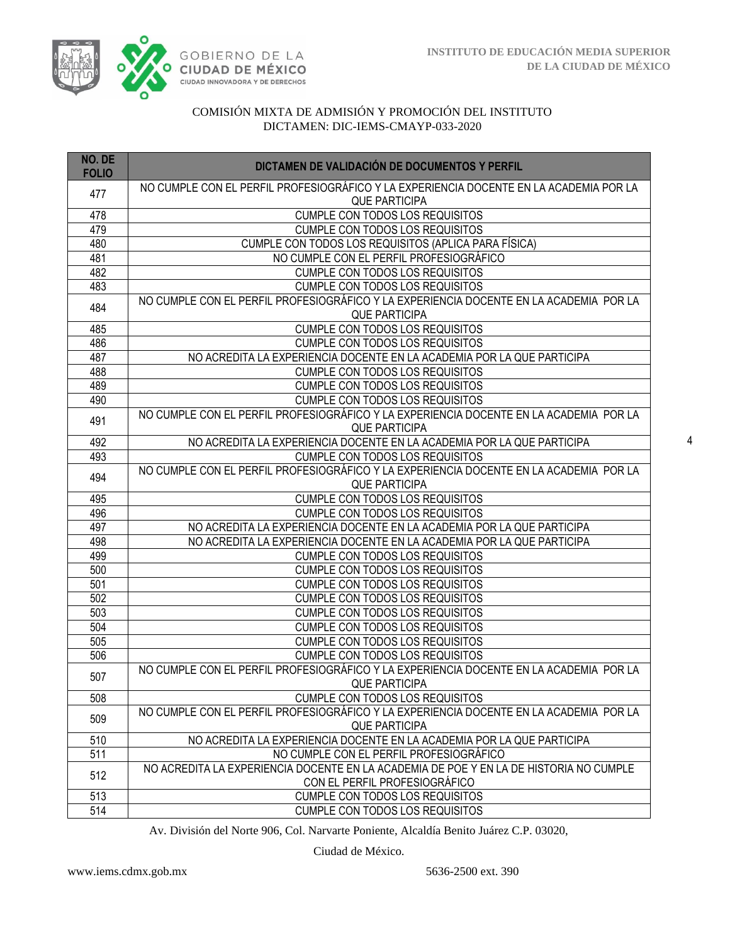

| NO. DE<br><b>FOLIO</b> | DICTAMEN DE VALIDACIÓN DE DOCUMENTOS Y PERFIL                                                                           |
|------------------------|-------------------------------------------------------------------------------------------------------------------------|
| 477                    | NO CUMPLE CON EL PERFIL PROFESIOGRÁFICO Y LA EXPERIENCIA DOCENTE EN LA ACADEMIA POR LA<br><b>QUE PARTICIPA</b>          |
| 478                    | <b>CUMPLE CON TODOS LOS REQUISITOS</b>                                                                                  |
| 479                    | <b>CUMPLE CON TODOS LOS REQUISITOS</b>                                                                                  |
| 480                    | CUMPLE CON TODOS LOS REQUISITOS (APLICA PARA FÍSICA)                                                                    |
| 481                    | NO CUMPLE CON EL PERFIL PROFESIOGRÁFICO                                                                                 |
| 482                    | CUMPLE CON TODOS LOS REQUISITOS                                                                                         |
| 483                    | <b>CUMPLE CON TODOS LOS REQUISITOS</b>                                                                                  |
| 484                    | NO CUMPLE CON EL PERFIL PROFESIOGRÁFICO Y LA EXPERIENCIA DOCENTE EN LA ACADEMIA POR LA<br><b>QUE PARTICIPA</b>          |
| 485                    | <b>CUMPLE CON TODOS LOS REQUISITOS</b>                                                                                  |
| 486                    | <b>CUMPLE CON TODOS LOS REQUISITOS</b>                                                                                  |
| 487                    | NO ACREDITA LA EXPERIENCIA DOCENTE EN LA ACADEMIA POR LA QUE PARTICIPA                                                  |
| 488                    | <b>CUMPLE CON TODOS LOS REQUISITOS</b>                                                                                  |
| 489                    | CUMPLE CON TODOS LOS REQUISITOS                                                                                         |
| 490                    | CUMPLE CON TODOS LOS REQUISITOS                                                                                         |
| 491                    | NO CUMPLE CON EL PERFIL PROFESIOGRÁFICO Y LA EXPERIENCIA DOCENTE EN LA ACADEMIA POR LA<br><b>QUE PARTICIPA</b>          |
| 492                    | NO ACREDITA LA EXPERIENCIA DOCENTE EN LA ACADEMIA POR LA QUE PARTICIPA                                                  |
| 493                    | <b>CUMPLE CON TODOS LOS REQUISITOS</b>                                                                                  |
| 494                    | NO CUMPLE CON EL PERFIL PROFESIOGRÁFICO Y LA EXPERIENCIA DOCENTE EN LA ACADEMIA POR LA<br><b>QUE PARTICIPA</b>          |
| 495                    | <b>CUMPLE CON TODOS LOS REQUISITOS</b>                                                                                  |
| 496                    | <b>CUMPLE CON TODOS LOS REQUISITOS</b>                                                                                  |
| 497                    | NO ACREDITA LA EXPERIENCIA DOCENTE EN LA ACADEMIA POR LA QUE PARTICIPA                                                  |
| 498                    | NO ACREDITA LA EXPERIENCIA DOCENTE EN LA ACADEMIA POR LA QUE PARTICIPA                                                  |
| 499                    | <b>CUMPLE CON TODOS LOS REQUISITOS</b>                                                                                  |
| 500                    | <b>CUMPLE CON TODOS LOS REQUISITOS</b>                                                                                  |
| 501                    | <b>CUMPLE CON TODOS LOS REQUISITOS</b>                                                                                  |
| 502                    | <b>CUMPLE CON TODOS LOS REQUISITOS</b>                                                                                  |
| 503                    | <b>CUMPLE CON TODOS LOS REQUISITOS</b>                                                                                  |
| 504                    | CUMPLE CON TODOS LOS REQUISITOS                                                                                         |
| 505                    | <b>CUMPLE CON TODOS LOS REQUISITOS</b>                                                                                  |
| 506                    | CUMPLE CON TODOS LOS REQUISITOS                                                                                         |
| 507                    | NO CUMPLE CON EL PERFIL PROFESIOGRÁFICO Y LA EXPERIENCIA DOCENTE EN LA ACADEMIA POR LA<br><b>QUE PARTICIPA</b>          |
| 508                    | <b>CUMPLE CON TODOS LOS REQUISITOS</b>                                                                                  |
| 509                    | NO CUMPLE CON EL PERFIL PROFESIOGRÁFICO Y LA EXPERIENCIA DOCENTE EN LA ACADEMIA POR LA<br><b>QUE PARTICIPA</b>          |
| 510                    | NO ACREDITA LA EXPERIENCIA DOCENTE EN LA ACADEMIA POR LA QUE PARTICIPA                                                  |
| 511                    | NO CUMPLE CON EL PERFIL PROFESIOGRÁFICO                                                                                 |
| 512                    | NO ACREDITA LA EXPERIENCIA DOCENTE EN LA ACADEMIA DE POE Y EN LA DE HISTORIA NO CUMPLE<br>CON EL PERFIL PROFESIOGRÁFICO |
| 513                    | CUMPLE CON TODOS LOS REQUISITOS                                                                                         |
| 514                    | <b>CUMPLE CON TODOS LOS REQUISITOS</b>                                                                                  |

Av. División del Norte 906, Col. Narvarte Poniente, Alcaldía Benito Juárez C.P. 03020,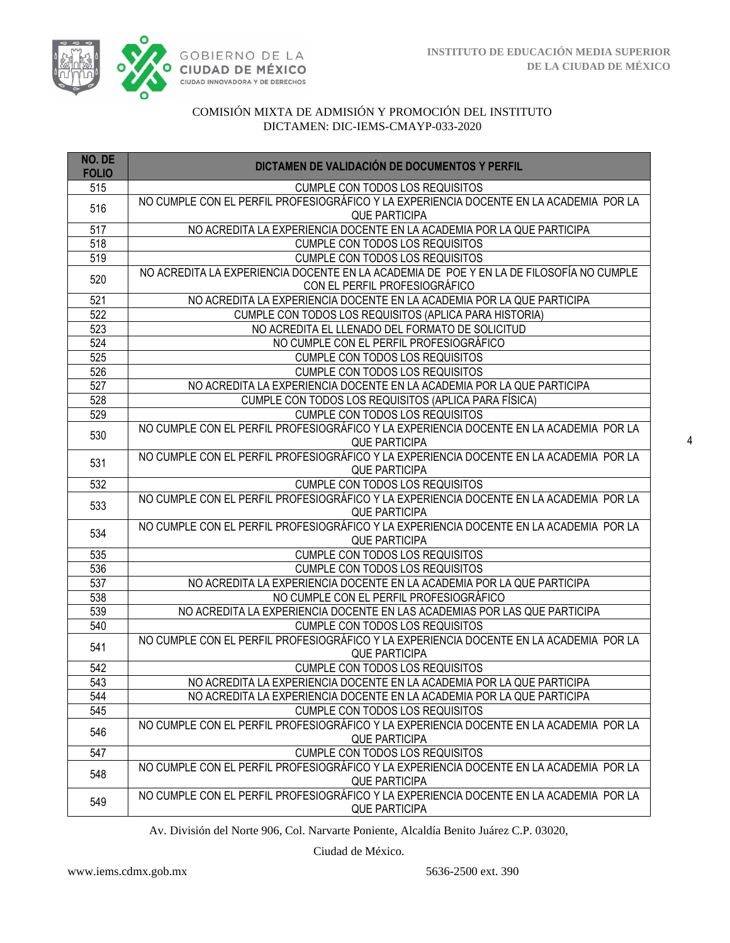

| NO. DE<br><b>FOLIO</b> | DICTAMEN DE VALIDACIÓN DE DOCUMENTOS Y PERFIL                                                                            |
|------------------------|--------------------------------------------------------------------------------------------------------------------------|
| 515                    | <b>CUMPLE CON TODOS LOS REQUISITOS</b>                                                                                   |
| 516                    | NO CUMPLE CON EL PERFIL PROFESIOGRÁFICO Y LA EXPERIENCIA DOCENTE EN LA ACADEMIA POR LA<br><b>QUE PARTICIPA</b>           |
| 517                    | NO ACREDITA LA EXPERIENCIA DOCENTE EN LA ACADEMIA POR LA QUE PARTICIPA                                                   |
| 518                    | <b>CUMPLE CON TODOS LOS REQUISITOS</b>                                                                                   |
| 519                    | <b>CUMPLE CON TODOS LOS REQUISITOS</b>                                                                                   |
| 520                    | NO ACREDITA LA EXPERIENCIA DOCENTE EN LA ACADEMIA DE POE Y EN LA DE FILOSOFÍA NO CUMPLE<br>CON EL PERFIL PROFESIOGRÁFICO |
| 521                    | NO ACREDITA LA EXPERIENCIA DOCENTE EN LA ACADEMIA POR LA QUE PARTICIPA                                                   |
| $\overline{522}$       | CUMPLE CON TODOS LOS REQUISITOS (APLICA PARA HISTORIA)                                                                   |
| 523                    | NO ACREDITA EL LLENADO DEL FORMATO DE SOLICITUD                                                                          |
| 524                    | NO CUMPLE CON EL PERFIL PROFESIOGRÁFICO                                                                                  |
| 525                    | <b>CUMPLE CON TODOS LOS REQUISITOS</b>                                                                                   |
| 526                    | <b>CUMPLE CON TODOS LOS REQUISITOS</b>                                                                                   |
| 527                    | NO ACREDITA LA EXPERIENCIA DOCENTE EN LA ACADEMIA POR LA QUE PARTICIPA                                                   |
| 528                    | CUMPLE CON TODOS LOS REQUISITOS (APLICA PARA FÍSICA)                                                                     |
| 529                    | <b>CUMPLE CON TODOS LOS REQUISITOS</b>                                                                                   |
| 530                    | NO CUMPLE CON EL PERFIL PROFESIOGRÁFICO Y LA EXPERIENCIA DOCENTE EN LA ACADEMIA POR LA<br><b>QUE PARTICIPA</b>           |
| 531                    | NO CUMPLE CON EL PERFIL PROFESIOGRÁFICO Y LA EXPERIENCIA DOCENTE EN LA ACADEMIA POR LA<br><b>QUE PARTICIPA</b>           |
| 532                    | <b>CUMPLE CON TODOS LOS REQUISITOS</b>                                                                                   |
| 533                    | NO CUMPLE CON EL PERFIL PROFESIOGRÁFICO Y LA EXPERIENCIA DOCENTE EN LA ACADEMIA POR LA<br><b>QUE PARTICIPA</b>           |
| 534                    | NO CUMPLE CON EL PERFIL PROFESIOGRÁFICO Y LA EXPERIENCIA DOCENTE EN LA ACADEMIA POR LA<br><b>QUE PARTICIPA</b>           |
| 535                    | <b>CUMPLE CON TODOS LOS REQUISITOS</b>                                                                                   |
| 536                    | <b>CUMPLE CON TODOS LOS REQUISITOS</b>                                                                                   |
| 537                    | NO ACREDITA LA EXPERIENCIA DOCENTE EN LA ACADEMIA POR LA QUE PARTICIPA                                                   |
| 538                    | NO CUMPLE CON EL PERFIL PROFESIOGRÁFICO                                                                                  |
| 539                    | NO ACREDITA LA EXPERIENCIA DOCENTE EN LAS ACADEMIAS POR LAS QUE PARTICIPA                                                |
| 540                    | <b>CUMPLE CON TODOS LOS REQUISITOS</b>                                                                                   |
| 541                    | NO CUMPLE CON EL PERFIL PROFESIOGRÁFICO Y LA EXPERIENCIA DOCENTE EN LA ACADEMIA POR LA<br><b>QUE PARTICIPA</b>           |
| 542                    | <b>CUMPLE CON TODOS LOS REQUISITOS</b>                                                                                   |
| 543                    | NO ACREDITA LA EXPERIENCIA DOCENTE EN LA ACADEMIA POR LA QUE PARTICIPA                                                   |
| 544                    | NO ACREDITA LA EXPERIENCIA DOCENTE EN LA ACADEMIA POR LA QUE PARTICIPA                                                   |
| 545                    | <b>CUMPLE CON TODOS LOS REQUISITOS</b>                                                                                   |
| 546                    | NO CUMPLE CON EL PERFIL PROFESIOGRÁFICO Y LA EXPERIENCIA DOCENTE EN LA ACADEMIA POR LA<br><b>QUE PARTICIPA</b>           |
| 547                    | <b>CUMPLE CON TODOS LOS REQUISITOS</b>                                                                                   |
| 548                    | NO CUMPLE CON EL PERFIL PROFESIOGRÁFICO Y LA EXPERIENCIA DOCENTE EN LA ACADEMIA POR LA<br><b>QUE PARTICIPA</b>           |
| 549                    | NO CUMPLE CON EL PERFIL PROFESIOGRÁFICO Y LA EXPERIENCIA DOCENTE EN LA ACADEMIA POR LA<br><b>QUE PARTICIPA</b>           |

Av. División del Norte 906, Col. Narvarte Poniente, Alcaldía Benito Juárez C.P. 03020,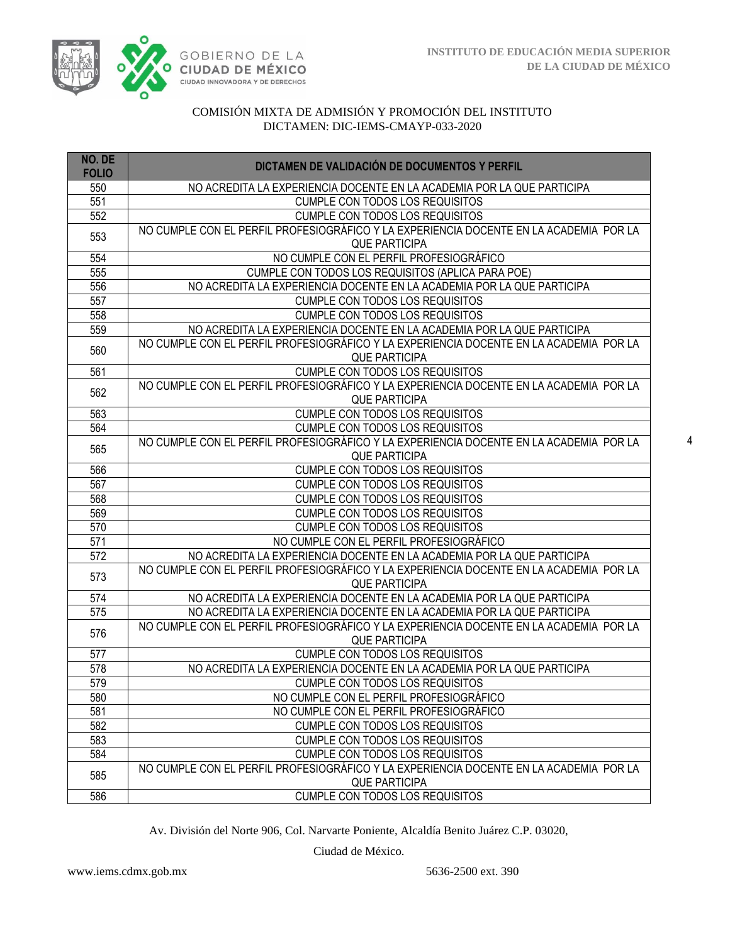

| NO. DE<br><b>FOLIO</b> | DICTAMEN DE VALIDACIÓN DE DOCUMENTOS Y PERFIL                                                                  |
|------------------------|----------------------------------------------------------------------------------------------------------------|
| 550                    | NO ACREDITA LA EXPERIENCIA DOCENTE EN LA ACADEMIA POR LA QUE PARTICIPA                                         |
| 551                    | <b>CUMPLE CON TODOS LOS REQUISITOS</b>                                                                         |
| 552                    | <b>CUMPLE CON TODOS LOS REQUISITOS</b>                                                                         |
| 553                    | NO CUMPLE CON EL PERFIL PROFESIOGRÁFICO Y LA EXPERIENCIA DOCENTE EN LA ACADEMIA POR LA                         |
|                        | <b>QUE PARTICIPA</b>                                                                                           |
| 554                    | NO CUMPLE CON EL PERFIL PROFESIOGRÁFICO                                                                        |
| 555                    | CUMPLE CON TODOS LOS REQUISITOS (APLICA PARA POE)                                                              |
| 556                    | NO ACREDITA LA EXPERIENCIA DOCENTE EN LA ACADEMIA POR LA QUE PARTICIPA                                         |
| 557                    | <b>CUMPLE CON TODOS LOS REQUISITOS</b>                                                                         |
| 558                    | <b>CUMPLE CON TODOS LOS REQUISITOS</b>                                                                         |
| 559                    | NO ACREDITA LA EXPERIENCIA DOCENTE EN LA ACADEMIA POR LA QUE PARTICIPA                                         |
| 560                    | NO CUMPLE CON EL PERFIL PROFESIOGRÁFICO Y LA EXPERIENCIA DOCENTE EN LA ACADEMIA POR LA<br><b>QUE PARTICIPA</b> |
| 561                    | CUMPLE CON TODOS LOS REQUISITOS                                                                                |
|                        | NO CUMPLE CON EL PERFIL PROFESIOGRÁFICO Y LA EXPERIENCIA DOCENTE EN LA ACADEMIA POR LA                         |
| 562                    | <b>QUE PARTICIPA</b>                                                                                           |
| 563                    | <b>CUMPLE CON TODOS LOS REQUISITOS</b>                                                                         |
| 564                    | <b>CUMPLE CON TODOS LOS REQUISITOS</b>                                                                         |
| 565                    | NO CUMPLE CON EL PERFIL PROFESIOGRÁFICO Y LA EXPERIENCIA DOCENTE EN LA ACADEMIA POR LA<br><b>QUE PARTICIPA</b> |
| 566                    | <b>CUMPLE CON TODOS LOS REQUISITOS</b>                                                                         |
| 567                    | <b>CUMPLE CON TODOS LOS REQUISITOS</b>                                                                         |
| 568                    | <b>CUMPLE CON TODOS LOS REQUISITOS</b>                                                                         |
| 569                    | <b>CUMPLE CON TODOS LOS REQUISITOS</b>                                                                         |
| 570                    | <b>CUMPLE CON TODOS LOS REQUISITOS</b>                                                                         |
| 571                    | NO CUMPLE CON EL PERFIL PROFESIOGRÁFICO                                                                        |
| 572                    | NO ACREDITA LA EXPERIENCIA DOCENTE EN LA ACADEMIA POR LA QUE PARTICIPA                                         |
| 573                    | NO CUMPLE CON EL PERFIL PROFESIOGRÁFICO Y LA EXPERIENCIA DOCENTE EN LA ACADEMIA POR LA<br><b>QUE PARTICIPA</b> |
| 574                    | NO ACREDITA LA EXPERIENCIA DOCENTE EN LA ACADEMIA POR LA QUE PARTICIPA                                         |
| 575                    | NO ACREDITA LA EXPERIENCIA DOCENTE EN LA ACADEMIA POR LA QUE PARTICIPA                                         |
| 576                    | NO CUMPLE CON EL PERFIL PROFESIOGRÁFICO Y LA EXPERIENCIA DOCENTE EN LA ACADEMIA POR LA<br><b>QUE PARTICIPA</b> |
| 577                    | <b>CUMPLE CON TODOS LOS REQUISITOS</b>                                                                         |
| 578                    | NO ACREDITA LA EXPERIENCIA DOCENTE EN LA ACADEMIA POR LA QUE PARTICIPA                                         |
| 579                    | <b>CUMPLE CON TODOS LOS REQUISITOS</b>                                                                         |
| 580                    | NO CUMPLE CON EL PERFIL PROFESIOGRÁFICO                                                                        |
| 581                    | NO CUMPLE CON EL PERFIL PROFESIOGRÁFICO                                                                        |
| 582                    | <b>CUMPLE CON TODOS LOS REQUISITOS</b>                                                                         |
| 583                    | CUMPLE CON TODOS LOS REQUISITOS                                                                                |
| 584                    | CUMPLE CON TODOS LOS REQUISITOS                                                                                |
|                        | NO CUMPLE CON EL PERFIL PROFESIOGRÁFICO Y LA EXPERIENCIA DOCENTE EN LA ACADEMIA POR LA                         |
| 585                    | <b>QUE PARTICIPA</b>                                                                                           |
| 586                    | CUMPLE CON TODOS LOS REQUISITOS                                                                                |

Av. División del Norte 906, Col. Narvarte Poniente, Alcaldía Benito Juárez C.P. 03020,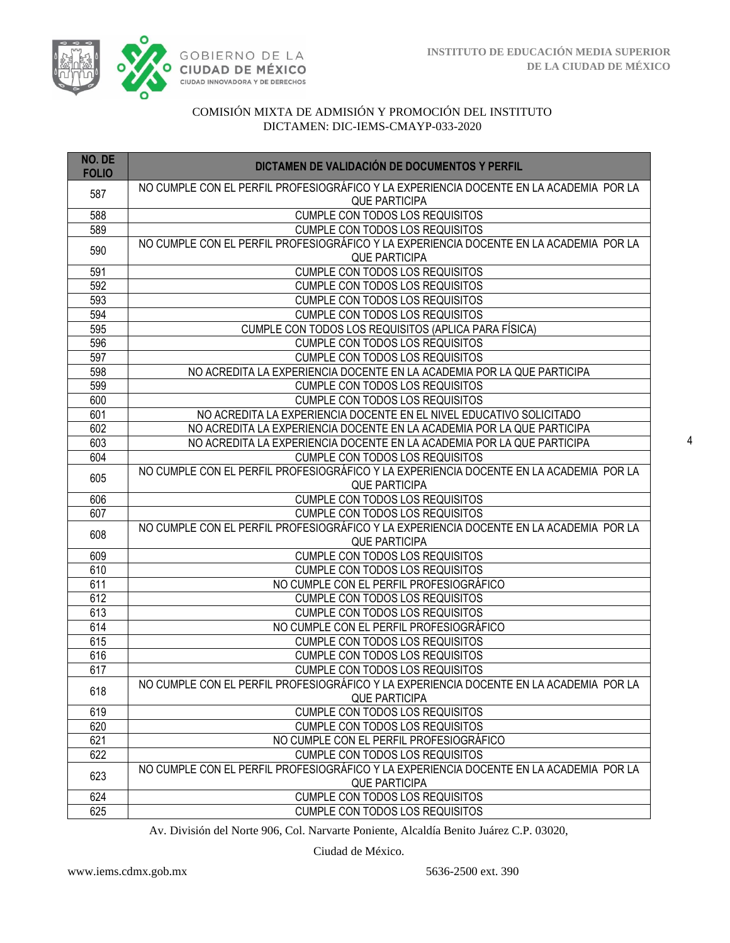

| NO. DE<br><b>FOLIO</b> | DICTAMEN DE VALIDACIÓN DE DOCUMENTOS Y PERFIL                                                                  |
|------------------------|----------------------------------------------------------------------------------------------------------------|
| 587                    | NO CUMPLE CON EL PERFIL PROFESIOGRÁFICO Y LA EXPERIENCIA DOCENTE EN LA ACADEMIA POR LA<br><b>QUE PARTICIPA</b> |
| 588                    | <b>CUMPLE CON TODOS LOS REQUISITOS</b>                                                                         |
| 589                    | CUMPLE CON TODOS LOS REQUISITOS                                                                                |
| 590                    | NO CUMPLE CON EL PERFIL PROFESIOGRÁFICO Y LA EXPERIENCIA DOCENTE EN LA ACADEMIA POR LA<br><b>QUE PARTICIPA</b> |
| 591                    | <b>CUMPLE CON TODOS LOS REQUISITOS</b>                                                                         |
| 592                    | <b>CUMPLE CON TODOS LOS REQUISITOS</b>                                                                         |
| 593                    | <b>CUMPLE CON TODOS LOS REQUISITOS</b>                                                                         |
| 594                    | <b>CUMPLE CON TODOS LOS REQUISITOS</b>                                                                         |
| 595                    | CUMPLE CON TODOS LOS REQUISITOS (APLICA PARA FÍSICA)                                                           |
| 596                    | CUMPLE CON TODOS LOS REQUISITOS                                                                                |
| 597                    | <b>CUMPLE CON TODOS LOS REQUISITOS</b>                                                                         |
| 598                    | NO ACREDITA LA EXPERIENCIA DOCENTE EN LA ACADEMIA POR LA QUE PARTICIPA                                         |
| 599                    | CUMPLE CON TODOS LOS REQUISITOS                                                                                |
| 600                    | <b>CUMPLE CON TODOS LOS REQUISITOS</b>                                                                         |
| 601                    | NO ACREDITA LA EXPERIENCIA DOCENTE EN EL NIVEL EDUCATIVO SOLICITADO                                            |
| 602                    | NO ACREDITA LA EXPERIENCIA DOCENTE EN LA ACADEMIA POR LA QUE PARTICIPA                                         |
| 603                    | NO ACREDITA LA EXPERIENCIA DOCENTE EN LA ACADEMIA POR LA QUE PARTICIPA                                         |
| 604                    | <b>CUMPLE CON TODOS LOS REQUISITOS</b>                                                                         |
| 605                    | NO CUMPLE CON EL PERFIL PROFESIOGRÁFICO Y LA EXPERIENCIA DOCENTE EN LA ACADEMIA POR LA<br><b>QUE PARTICIPA</b> |
| 606                    | <b>CUMPLE CON TODOS LOS REQUISITOS</b>                                                                         |
| 607                    | CUMPLE CON TODOS LOS REQUISITOS                                                                                |
| 608                    | NO CUMPLE CON EL PERFIL PROFESIOGRÁFICO Y LA EXPERIENCIA DOCENTE EN LA ACADEMIA POR LA<br><b>QUE PARTICIPA</b> |
| 609                    | <b>CUMPLE CON TODOS LOS REQUISITOS</b>                                                                         |
| 610                    | <b>CUMPLE CON TODOS LOS REQUISITOS</b>                                                                         |
| 611                    | NO CUMPLE CON EL PERFIL PROFESIOGRÁFICO                                                                        |
| 612                    | <b>CUMPLE CON TODOS LOS REQUISITOS</b>                                                                         |
| 613                    | <b>CUMPLE CON TODOS LOS REQUISITOS</b>                                                                         |
| 614                    | NO CUMPLE CON EL PERFIL PROFESIOGRÁFICO                                                                        |
| 615                    | <b>CUMPLE CON TODOS LOS REQUISITOS</b>                                                                         |
| 616                    | <b>CUMPLE CON TODOS LOS REQUISITOS</b>                                                                         |
| 617                    | <b>CUMPLE CON TODOS LOS REQUISITOS</b>                                                                         |
| 618                    | NO CUMPLE CON EL PERFIL PROFESIOGRÁFICO Y LA EXPERIENCIA DOCENTE EN LA ACADEMIA POR LA<br><b>QUE PARTICIPA</b> |
| 619                    | <b>CUMPLE CON TODOS LOS REQUISITOS</b>                                                                         |
| 620                    | CUMPLE CON TODOS LOS REQUISITOS                                                                                |
| 621                    | NO CUMPLE CON EL PERFIL PROFESIOGRÁFICO                                                                        |
| 622                    | CUMPLE CON TODOS LOS REQUISITOS                                                                                |
| 623                    | NO CUMPLE CON EL PERFIL PROFESIOGRÁFICO Y LA EXPERIENCIA DOCENTE EN LA ACADEMIA POR LA<br><b>QUE PARTICIPA</b> |
| 624                    | <b>CUMPLE CON TODOS LOS REQUISITOS</b>                                                                         |
| 625                    | <b>CUMPLE CON TODOS LOS REQUISITOS</b>                                                                         |

Av. División del Norte 906, Col. Narvarte Poniente, Alcaldía Benito Juárez C.P. 03020,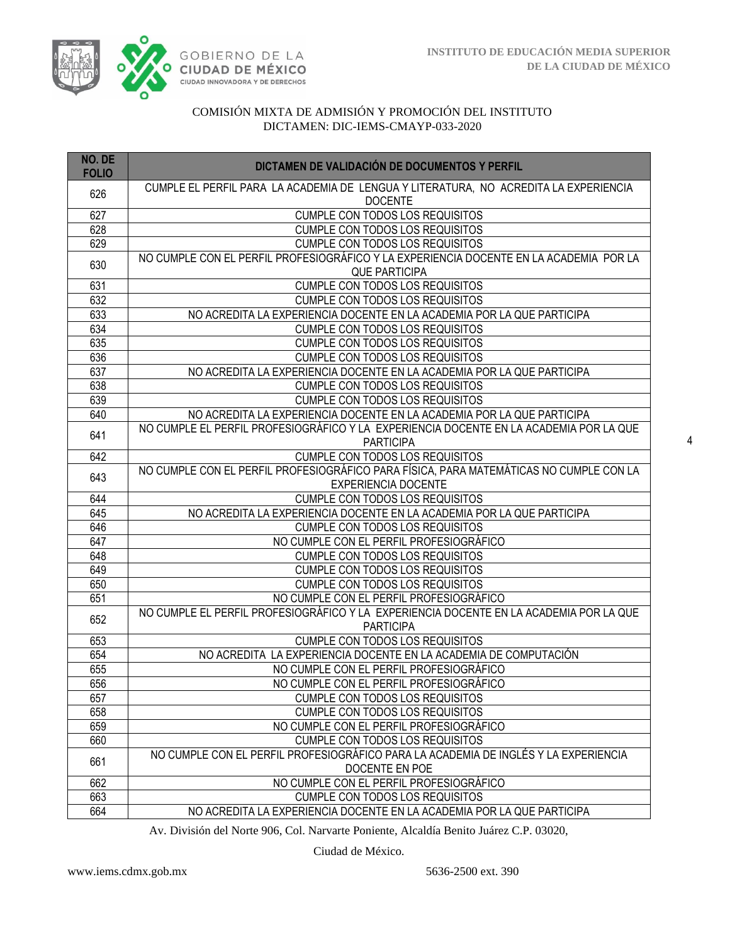

| NO. DE<br><b>FOLIO</b> | DICTAMEN DE VALIDACIÓN DE DOCUMENTOS Y PERFIL                                                          |
|------------------------|--------------------------------------------------------------------------------------------------------|
| 626                    | CUMPLE EL PERFIL PARA LA ACADEMIA DE LENGUA Y LITERATURA, NO ACREDITA LA EXPERIENCIA<br><b>DOCENTE</b> |
| 627                    | <b>CUMPLE CON TODOS LOS REQUISITOS</b>                                                                 |
| 628                    | <b>CUMPLE CON TODOS LOS REQUISITOS</b>                                                                 |
| 629                    | <b>CUMPLE CON TODOS LOS REQUISITOS</b>                                                                 |
| 630                    | NO CUMPLE CON EL PERFIL PROFESIOGRÁFICO Y LA EXPERIENCIA DOCENTE EN LA ACADEMIA POR LA                 |
|                        | <b>QUE PARTICIPA</b>                                                                                   |
| 631                    | <b>CUMPLE CON TODOS LOS REQUISITOS</b>                                                                 |
| 632                    | CUMPLE CON TODOS LOS REQUISITOS                                                                        |
| 633                    | NO ACREDITA LA EXPERIENCIA DOCENTE EN LA ACADEMIA POR LA QUE PARTICIPA                                 |
| 634                    | CUMPLE CON TODOS LOS REQUISITOS                                                                        |
| 635                    | <b>CUMPLE CON TODOS LOS REQUISITOS</b>                                                                 |
| 636                    | CUMPLE CON TODOS LOS REQUISITOS                                                                        |
| 637                    | NO ACREDITA LA EXPERIENCIA DOCENTE EN LA ACADEMIA POR LA QUE PARTICIPA                                 |
| 638                    | <b>CUMPLE CON TODOS LOS REQUISITOS</b>                                                                 |
| 639                    | CUMPLE CON TODOS LOS REQUISITOS                                                                        |
| 640                    | NO ACREDITA LA EXPERIENCIA DOCENTE EN LA ACADEMIA POR LA QUE PARTICIPA                                 |
| 641                    | NO CUMPLE EL PERFIL PROFESIOGRÁFICO Y LA EXPERIENCIA DOCENTE EN LA ACADEMIA POR LA QUE                 |
|                        | <b>PARTICIPA</b>                                                                                       |
| 642                    | <b>CUMPLE CON TODOS LOS REQUISITOS</b>                                                                 |
| 643                    | NO CUMPLE CON EL PERFIL PROFESIOGRÁFICO PARA FÍSICA, PARA MATEMÁTICAS NO CUMPLE CON LA                 |
|                        | <b>EXPERIENCIA DOCENTE</b>                                                                             |
| 644                    | <b>CUMPLE CON TODOS LOS REQUISITOS</b>                                                                 |
| 645                    | NO ACREDITA LA EXPERIENCIA DOCENTE EN LA ACADEMIA POR LA QUE PARTICIPA                                 |
| 646                    | CUMPLE CON TODOS LOS REQUISITOS<br>NO CUMPLE CON EL PERFIL PROFESIOGRÁFICO                             |
| 647<br>648             | <b>CUMPLE CON TODOS LOS REQUISITOS</b>                                                                 |
| 649                    | <b>CUMPLE CON TODOS LOS REQUISITOS</b>                                                                 |
| 650                    | CUMPLE CON TODOS LOS REQUISITOS                                                                        |
| 651                    | NO CUMPLE CON EL PERFIL PROFESIOGRÁFICO                                                                |
|                        | NO CUMPLE EL PERFIL PROFESIOGRÁFICO Y LA EXPERIENCIA DOCENTE EN LA ACADEMIA POR LA QUE                 |
| 652                    | <b>PARTICIPA</b>                                                                                       |
| 653                    | <b>CUMPLE CON TODOS LOS REQUISITOS</b>                                                                 |
| 654                    | NO ACREDITA LA EXPERIENCIA DOCENTE EN LA ACADEMIA DE COMPUTACIÓN                                       |
| 655                    | NO CUMPLE CON EL PERFIL PROFESIOGRÁFICO                                                                |
| 656                    | NO CUMPLE CON EL PERFIL PROFESIOGRÁFICO                                                                |
| 657                    | <b>CUMPLE CON TODOS LOS REQUISITOS</b>                                                                 |
| 658                    | <b>CUMPLE CON TODOS LOS REQUISITOS</b>                                                                 |
| 659                    | NO CUMPLE CON EL PERFIL PROFESIOGRÁFICO                                                                |
| 660                    | <b>CUMPLE CON TODOS LOS REQUISITOS</b>                                                                 |
|                        | NO CUMPLE CON EL PERFIL PROFESIOGRÁFICO PARA LA ACADEMIA DE INGLÉS Y LA EXPERIENCIA                    |
| 661                    | DOCENTE EN POE                                                                                         |
| 662                    | NO CUMPLE CON EL PERFIL PROFESIOGRÁFICO                                                                |
| 663                    | <b>CUMPLE CON TODOS LOS REQUISITOS</b>                                                                 |
| 664                    | NO ACREDITA LA EXPERIENCIA DOCENTE EN LA ACADEMIA POR LA QUE PARTICIPA                                 |

Av. División del Norte 906, Col. Narvarte Poniente, Alcaldía Benito Juárez C.P. 03020,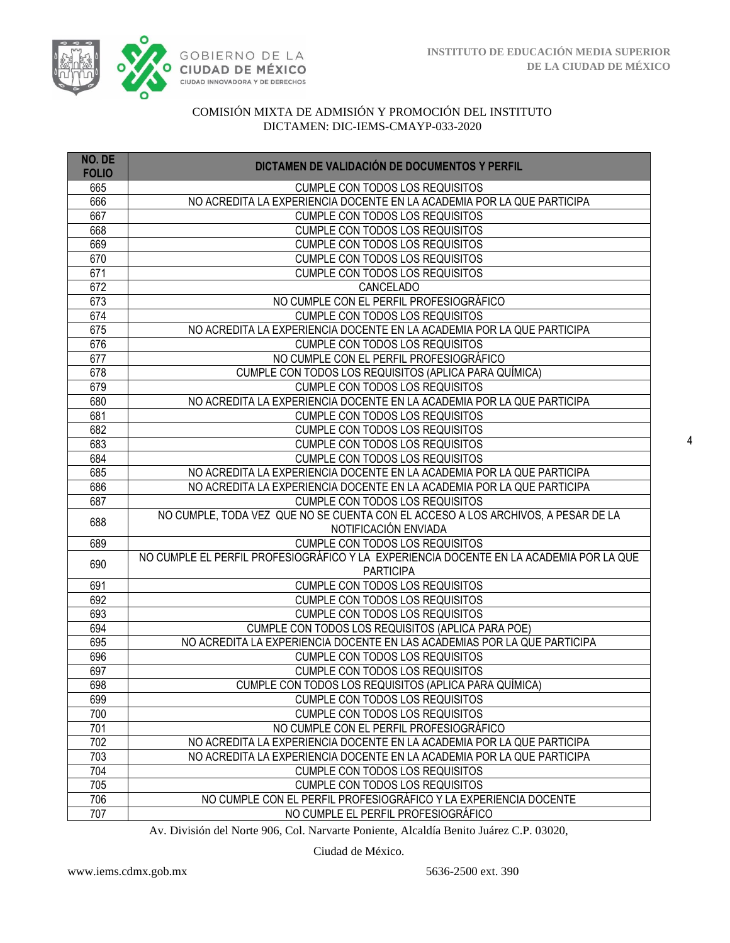

| NO. DE<br><b>FOLIO</b> | DICTAMEN DE VALIDACIÓN DE DOCUMENTOS Y PERFIL                                                              |
|------------------------|------------------------------------------------------------------------------------------------------------|
| 665                    | <b>CUMPLE CON TODOS LOS REQUISITOS</b>                                                                     |
| 666                    | NO ACREDITA LA EXPERIENCIA DOCENTE EN LA ACADEMIA POR LA QUE PARTICIPA                                     |
| 667                    | <b>CUMPLE CON TODOS LOS REQUISITOS</b>                                                                     |
| 668                    | <b>CUMPLE CON TODOS LOS REQUISITOS</b>                                                                     |
| 669                    | <b>CUMPLE CON TODOS LOS REQUISITOS</b>                                                                     |
| 670                    | <b>CUMPLE CON TODOS LOS REQUISITOS</b>                                                                     |
| 671                    | CUMPLE CON TODOS LOS REQUISITOS                                                                            |
| 672                    | CANCELADO                                                                                                  |
| 673                    | NO CUMPLE CON EL PERFIL PROFESIOGRÁFICO                                                                    |
| 674                    | <b>CUMPLE CON TODOS LOS REQUISITOS</b>                                                                     |
| 675                    | NO ACREDITA LA EXPERIENCIA DOCENTE EN LA ACADEMIA POR LA QUE PARTICIPA                                     |
| 676                    | <b>CUMPLE CON TODOS LOS REQUISITOS</b>                                                                     |
| 677                    | NO CUMPLE CON EL PERFIL PROFESIOGRÁFICO                                                                    |
| 678                    | CUMPLE CON TODOS LOS REQUISITOS (APLICA PARA QUÍMICA)                                                      |
| 679                    | <b>CUMPLE CON TODOS LOS REQUISITOS</b>                                                                     |
| 680                    | NO ACREDITA LA EXPERIENCIA DOCENTE EN LA ACADEMIA POR LA QUE PARTICIPA                                     |
| 681                    | CUMPLE CON TODOS LOS REQUISITOS                                                                            |
| 682                    | <b>CUMPLE CON TODOS LOS REQUISITOS</b>                                                                     |
| 683                    | <b>CUMPLE CON TODOS LOS REQUISITOS</b>                                                                     |
| 684                    | CUMPLE CON TODOS LOS REQUISITOS                                                                            |
| 685                    | NO ACREDITA LA EXPERIENCIA DOCENTE EN LA ACADEMIA POR LA QUE PARTICIPA                                     |
| 686                    | NO ACREDITA LA EXPERIENCIA DOCENTE EN LA ACADEMIA POR LA QUE PARTICIPA                                     |
| 687                    | <b>CUMPLE CON TODOS LOS REQUISITOS</b>                                                                     |
| 688                    | NO CUMPLE, TODA VEZ QUE NO SE CUENTA CON EL ACCESO A LOS ARCHIVOS, A PESAR DE LA                           |
|                        | NOTIFICACIÓN ENVIADA                                                                                       |
| 689                    | <b>CUMPLE CON TODOS LOS REQUISITOS</b>                                                                     |
| 690                    | NO CUMPLE EL PERFIL PROFESIOGRÁFICO Y LA EXPERIENCIA DOCENTE EN LA ACADEMIA POR LA QUE<br><b>PARTICIPA</b> |
| 691                    | <b>CUMPLE CON TODOS LOS REQUISITOS</b>                                                                     |
| 692                    | <b>CUMPLE CON TODOS LOS REQUISITOS</b>                                                                     |
| 693                    | <b>CUMPLE CON TODOS LOS REQUISITOS</b>                                                                     |
| 694                    | CUMPLE CON TODOS LOS REQUISITOS (APLICA PARA POE)                                                          |
| 695                    | NO ACREDITA LA EXPERIENCIA DOCENTE EN LAS ACADEMIAS POR LA QUE PARTICIPA                                   |
| 696                    | <b>CUMPLE CON TODOS LOS REQUISITOS</b>                                                                     |
| 697                    | <b>CUMPLE CON TODOS LOS REQUISITOS</b>                                                                     |
| 698                    | CUMPLE CON TODOS LOS REQUISITOS (APLICA PARA QUÍMICA)                                                      |
| 699                    | <b>CUMPLE CON TODOS LOS REQUISITOS</b>                                                                     |
| 700                    | <b>CUMPLE CON TODOS LOS REQUISITOS</b>                                                                     |
| 701                    | NO CUMPLE CON EL PERFIL PROFESIOGRÁFICO                                                                    |
| 702                    | NO ACREDITA LA EXPERIENCIA DOCENTE EN LA ACADEMIA POR LA QUE PARTICIPA                                     |
| 703                    | NO ACREDITA LA EXPERIENCIA DOCENTE EN LA ACADEMIA POR LA QUE PARTICIPA                                     |
| 704                    | <b>CUMPLE CON TODOS LOS REQUISITOS</b>                                                                     |
| 705                    | <b>CUMPLE CON TODOS LOS REQUISITOS</b>                                                                     |
| 706                    | NO CUMPLE CON EL PERFIL PROFESIOGRÁFICO Y LA EXPERIENCIA DOCENTE                                           |
| 707                    | NO CUMPLE EL PERFIL PROFESIOGRÁFICO                                                                        |

Av. División del Norte 906, Col. Narvarte Poniente, Alcaldía Benito Juárez C.P. 03020,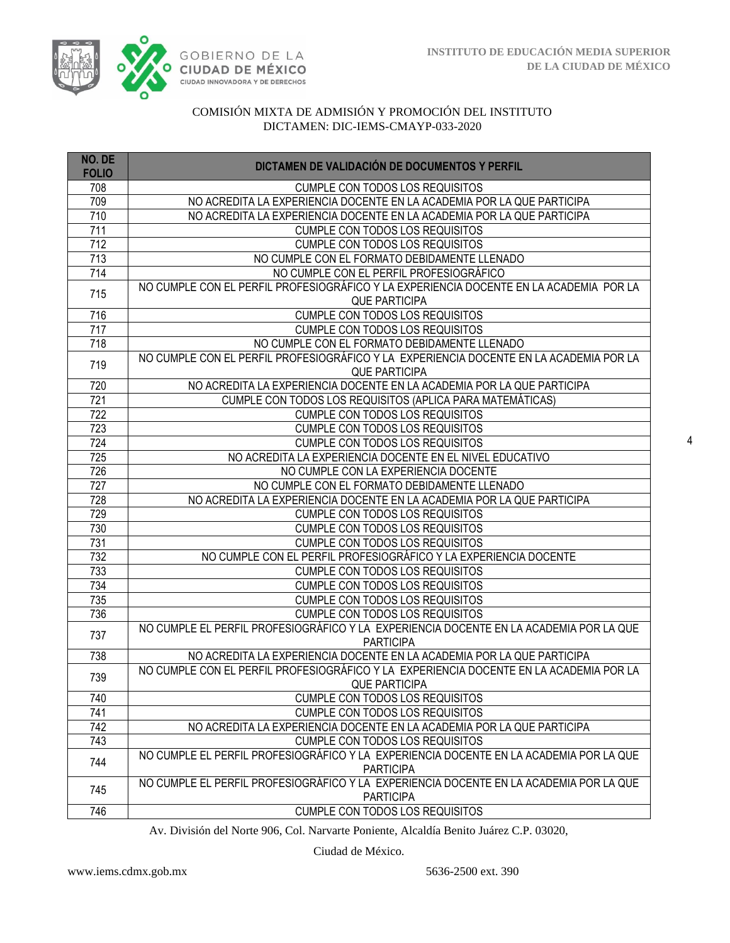

| NO. DE<br><b>FOLIO</b> | DICTAMEN DE VALIDACIÓN DE DOCUMENTOS Y PERFIL                                          |
|------------------------|----------------------------------------------------------------------------------------|
| 708                    | <b>CUMPLE CON TODOS LOS REQUISITOS</b>                                                 |
| 709                    | NO ACREDITA LA EXPERIENCIA DOCENTE EN LA ACADEMIA POR LA QUE PARTICIPA                 |
| 710                    | NO ACREDITA LA EXPERIENCIA DOCENTE EN LA ACADEMIA POR LA QUE PARTICIPA                 |
| 711                    | <b>CUMPLE CON TODOS LOS REQUISITOS</b>                                                 |
| $\overline{712}$       | <b>CUMPLE CON TODOS LOS REQUISITOS</b>                                                 |
| 713                    | NO CUMPLE CON EL FORMATO DEBIDAMENTE LLENADO                                           |
| 714                    | NO CUMPLE CON EL PERFIL PROFESIOGRÁFICO                                                |
| 715                    | NO CUMPLE CON EL PERFIL PROFESIOGRÁFICO Y LA EXPERIENCIA DOCENTE EN LA ACADEMIA POR LA |
|                        | <b>QUE PARTICIPA</b>                                                                   |
| 716                    | <b>CUMPLE CON TODOS LOS REQUISITOS</b>                                                 |
| 717                    | <b>CUMPLE CON TODOS LOS REQUISITOS</b>                                                 |
| 718                    | NO CUMPLE CON EL FORMATO DEBIDAMENTE LLENADO                                           |
| 719                    | NO CUMPLE CON EL PERFIL PROFESIOGRÁFICO Y LA EXPERIENCIA DOCENTE EN LA ACADEMIA POR LA |
|                        | <b>QUE PARTICIPA</b>                                                                   |
| 720                    | NO ACREDITA LA EXPERIENCIA DOCENTE EN LA ACADEMIA POR LA QUE PARTICIPA                 |
| 721                    | CUMPLE CON TODOS LOS REQUISITOS (APLICA PARA MATEMÁTICAS)                              |
| 722                    | <b>CUMPLE CON TODOS LOS REQUISITOS</b>                                                 |
| 723                    | <b>CUMPLE CON TODOS LOS REQUISITOS</b>                                                 |
| 724                    | <b>CUMPLE CON TODOS LOS REQUISITOS</b>                                                 |
| 725                    | NO ACREDITA LA EXPERIENCIA DOCENTE EN EL NIVEL EDUCATIVO                               |
| 726                    | NO CUMPLE CON LA EXPERIENCIA DOCENTE                                                   |
| 727                    | NO CUMPLE CON EL FORMATO DEBIDAMENTE LLENADO                                           |
| 728                    | NO ACREDITA LA EXPERIENCIA DOCENTE EN LA ACADEMIA POR LA QUE PARTICIPA                 |
| 729<br>730             | CUMPLE CON TODOS LOS REQUISITOS<br><b>CUMPLE CON TODOS LOS REQUISITOS</b>              |
| 731                    | <b>CUMPLE CON TODOS LOS REQUISITOS</b>                                                 |
| 732                    | NO CUMPLE CON EL PERFIL PROFESIOGRÁFICO Y LA EXPERIENCIA DOCENTE                       |
| 733                    | <b>CUMPLE CON TODOS LOS REQUISITOS</b>                                                 |
| 734                    | <b>CUMPLE CON TODOS LOS REQUISITOS</b>                                                 |
| 735                    | <b>CUMPLE CON TODOS LOS REQUISITOS</b>                                                 |
| 736                    | <b>CUMPLE CON TODOS LOS REQUISITOS</b>                                                 |
|                        | NO CUMPLE EL PERFIL PROFESIOGRÁFICO Y LA EXPERIENCIA DOCENTE EN LA ACADEMIA POR LA QUE |
| 737                    | <b>PARTICIPA</b>                                                                       |
| 738                    | NO ACREDITA LA EXPERIENCIA DOCENTE EN LA ACADEMIA POR LA QUE PARTICIPA                 |
|                        | NO CUMPLE CON EL PERFIL PROFESIOGRÁFICO Y LA EXPERIENCIA DOCENTE EN LA ACADEMIA POR LA |
| 739                    | <b>QUE PARTICIPA</b>                                                                   |
| 740                    | <b>CUMPLE CON TODOS LOS REQUISITOS</b>                                                 |
| 741                    | CUMPLE CON TODOS LOS REQUISITOS                                                        |
| 742                    | NO ACREDITA LA EXPERIENCIA DOCENTE EN LA ACADEMIA POR LA QUE PARTICIPA                 |
| 743                    | CUMPLE CON TODOS LOS REQUISITOS                                                        |
| 744                    | NO CUMPLE EL PERFIL PROFESIOGRÁFICO Y LA EXPERIENCIA DOCENTE EN LA ACADEMIA POR LA QUE |
|                        | <b>PARTICIPA</b>                                                                       |
| 745                    | NO CUMPLE EL PERFIL PROFESIOGRÁFICO Y LA EXPERIENCIA DOCENTE EN LA ACADEMIA POR LA QUE |
|                        | <b>PARTICIPA</b>                                                                       |
| 746                    | CUMPLE CON TODOS LOS REQUISITOS                                                        |

Av. División del Norte 906, Col. Narvarte Poniente, Alcaldía Benito Juárez C.P. 03020,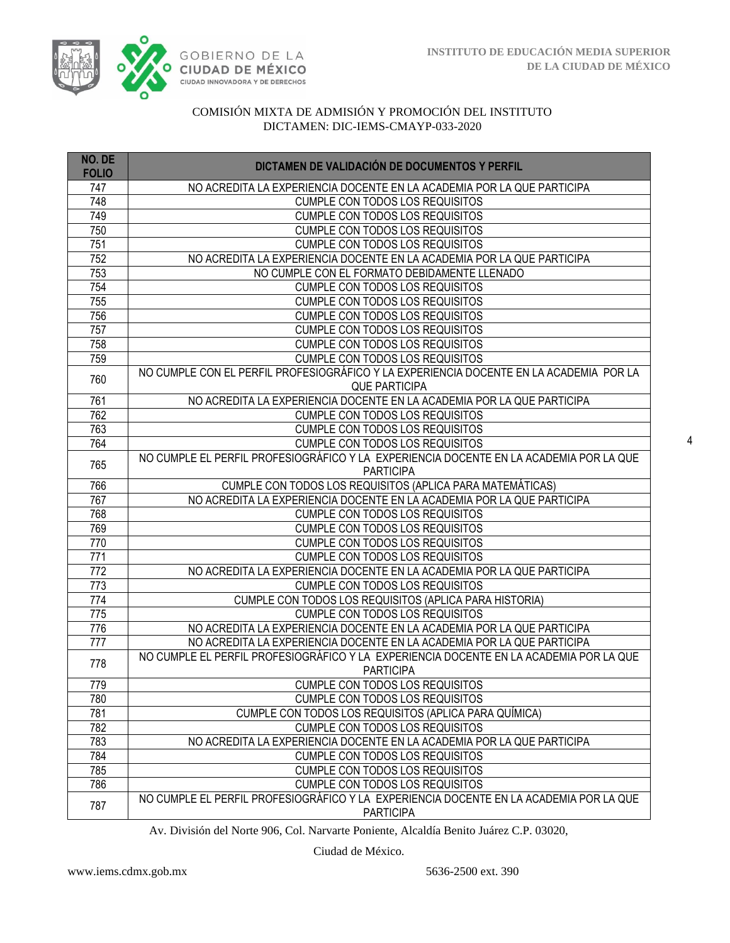

| NO. DE<br><b>FOLIO</b> | DICTAMEN DE VALIDACIÓN DE DOCUMENTOS Y PERFIL                                                                    |
|------------------------|------------------------------------------------------------------------------------------------------------------|
| 747                    | NO ACREDITA LA EXPERIENCIA DOCENTE EN LA ACADEMIA POR LA QUE PARTICIPA                                           |
| 748                    | CUMPLE CON TODOS LOS REQUISITOS                                                                                  |
| 749                    | <b>CUMPLE CON TODOS LOS REQUISITOS</b>                                                                           |
| 750                    | <b>CUMPLE CON TODOS LOS REQUISITOS</b>                                                                           |
| 751                    | CUMPLE CON TODOS LOS REQUISITOS                                                                                  |
| 752                    | NO ACREDITA LA EXPERIENCIA DOCENTE EN LA ACADEMIA POR LA QUE PARTICIPA                                           |
| 753                    | NO CUMPLE CON EL FORMATO DEBIDAMENTE LLENADO                                                                     |
| 754                    | CUMPLE CON TODOS LOS REQUISITOS                                                                                  |
| 755                    | <b>CUMPLE CON TODOS LOS REQUISITOS</b>                                                                           |
| 756                    | CUMPLE CON TODOS LOS REQUISITOS                                                                                  |
| 757                    | CUMPLE CON TODOS LOS REQUISITOS                                                                                  |
| 758                    | CUMPLE CON TODOS LOS REQUISITOS                                                                                  |
| 759                    | CUMPLE CON TODOS LOS REQUISITOS                                                                                  |
| 760                    | NO CUMPLE CON EL PERFIL PROFESIOGRÁFICO Y LA EXPERIENCIA DOCENTE EN LA ACADEMIA POR LA<br><b>QUE PARTICIPA</b>   |
| 761                    | NO ACREDITA LA EXPERIENCIA DOCENTE EN LA ACADEMIA POR LA QUE PARTICIPA                                           |
| 762                    | <b>CUMPLE CON TODOS LOS REQUISITOS</b>                                                                           |
| 763                    | CUMPLE CON TODOS LOS REQUISITOS                                                                                  |
| 764                    | <b>CUMPLE CON TODOS LOS REQUISITOS</b>                                                                           |
| 765                    | NO CUMPLE EL PERFIL PROFESIOGRÁFICO Y LA EXPERIENCIA DOCENTE EN LA ACADEMIA POR LA QUE                           |
|                        | <b>PARTICIPA</b>                                                                                                 |
| 766                    | CUMPLE CON TODOS LOS REQUISITOS (APLICA PARA MATEMÁTICAS)                                                        |
| 767                    | NO ACREDITA LA EXPERIENCIA DOCENTE EN LA ACADEMIA POR LA QUE PARTICIPA                                           |
| 768                    | <b>CUMPLE CON TODOS LOS REQUISITOS</b>                                                                           |
| 769                    | CUMPLE CON TODOS LOS REQUISITOS                                                                                  |
| 770<br>771             | <b>CUMPLE CON TODOS LOS REQUISITOS</b>                                                                           |
| $\overline{772}$       | <b>CUMPLE CON TODOS LOS REQUISITOS</b><br>NO ACREDITA LA EXPERIENCIA DOCENTE EN LA ACADEMIA POR LA QUE PARTICIPA |
| $\overline{773}$       | <b>CUMPLE CON TODOS LOS REQUISITOS</b>                                                                           |
| 774                    | CUMPLE CON TODOS LOS REQUISITOS (APLICA PARA HISTORIA)                                                           |
| 775                    | CUMPLE CON TODOS LOS REQUISITOS                                                                                  |
| 776                    | NO ACREDITA LA EXPERIENCIA DOCENTE EN LA ACADEMIA POR LA QUE PARTICIPA                                           |
| 777                    | NO ACREDITA LA EXPERIENCIA DOCENTE EN LA ACADEMIA POR LA QUE PARTICIPA                                           |
|                        | NO CUMPLE EL PERFIL PROFESIOGRÁFICO Y LA EXPERIENCIA DOCENTE EN LA ACADEMIA POR LA QUE                           |
| 778                    | <b>PARTICIPA</b>                                                                                                 |
| 779                    | CUMPLE CON TODOS LOS REQUISITOS                                                                                  |
| 780                    | <b>CUMPLE CON TODOS LOS REQUISITOS</b>                                                                           |
| 781                    | CUMPLE CON TODOS LOS REQUISITOS (APLICA PARA QUÍMICA)                                                            |
| 782                    | <b>CUMPLE CON TODOS LOS REQUISITOS</b>                                                                           |
| 783                    | NO ACREDITA LA EXPERIENCIA DOCENTE EN LA ACADEMIA POR LA QUE PARTICIPA                                           |
| 784                    | CUMPLE CON TODOS LOS REQUISITOS                                                                                  |
| 785                    | <b>CUMPLE CON TODOS LOS REQUISITOS</b>                                                                           |
| 786                    | <b>CUMPLE CON TODOS LOS REQUISITOS</b>                                                                           |
| 787                    | NO CUMPLE EL PERFIL PROFESIOGRÁFICO Y LA EXPERIENCIA DOCENTE EN LA ACADEMIA POR LA QUE<br><b>PARTICIPA</b>       |

Av. División del Norte 906, Col. Narvarte Poniente, Alcaldía Benito Juárez C.P. 03020,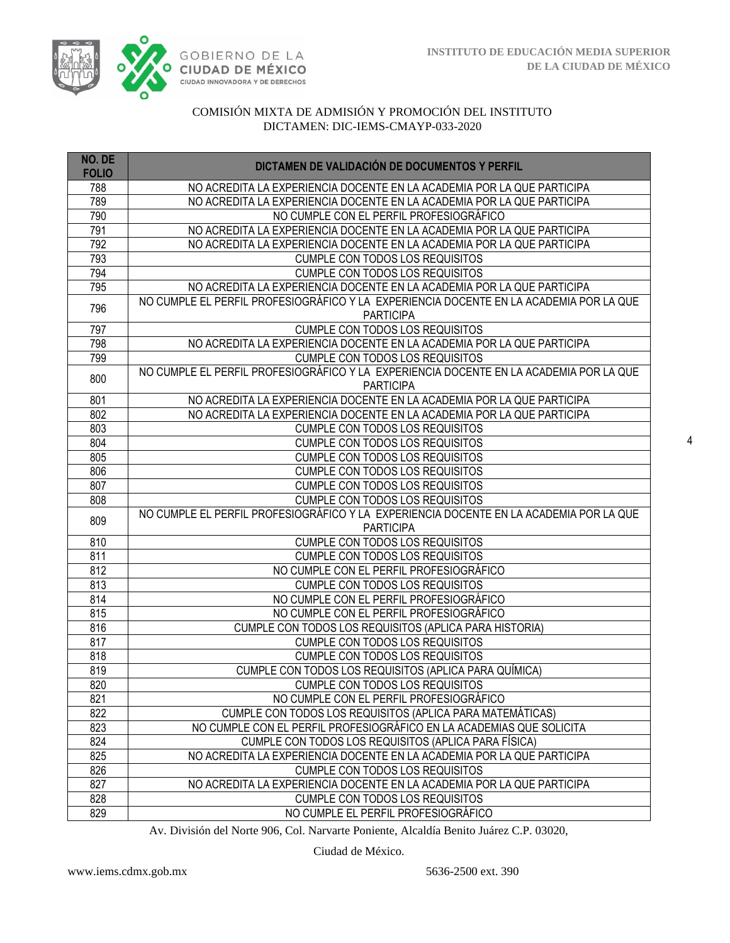

| NO. DE<br><b>FOLIO</b> | DICTAMEN DE VALIDACIÓN DE DOCUMENTOS Y PERFIL                                                              |
|------------------------|------------------------------------------------------------------------------------------------------------|
| 788                    | NO ACREDITA LA EXPERIENCIA DOCENTE EN LA ACADEMIA POR LA QUE PARTICIPA                                     |
| 789                    | NO ACREDITA LA EXPERIENCIA DOCENTE EN LA ACADEMIA POR LA QUE PARTICIPA                                     |
| 790                    | NO CUMPLE CON EL PERFIL PROFESIOGRÁFICO                                                                    |
| 791                    | NO ACREDITA LA EXPERIENCIA DOCENTE EN LA ACADEMIA POR LA QUE PARTICIPA                                     |
| 792                    | NO ACREDITA LA EXPERIENCIA DOCENTE EN LA ACADEMIA POR LA QUE PARTICIPA                                     |
| 793                    | <b>CUMPLE CON TODOS LOS REQUISITOS</b>                                                                     |
| 794                    | <b>CUMPLE CON TODOS LOS REQUISITOS</b>                                                                     |
| 795                    | NO ACREDITA LA EXPERIENCIA DOCENTE EN LA ACADEMIA POR LA QUE PARTICIPA                                     |
| 796                    | NO CUMPLE EL PERFIL PROFESIOGRÁFICO Y LA EXPERIENCIA DOCENTE EN LA ACADEMIA POR LA QUE<br><b>PARTICIPA</b> |
| 797                    | <b>CUMPLE CON TODOS LOS REQUISITOS</b>                                                                     |
| 798                    | NO ACREDITA LA EXPERIENCIA DOCENTE EN LA ACADEMIA POR LA QUE PARTICIPA                                     |
| 799                    | CUMPLE CON TODOS LOS REQUISITOS                                                                            |
| 800                    | NO CUMPLE EL PERFIL PROFESIOGRÁFICO Y LA EXPERIENCIA DOCENTE EN LA ACADEMIA POR LA QUE<br><b>PARTICIPA</b> |
| 801                    | NO ACREDITA LA EXPERIENCIA DOCENTE EN LA ACADEMIA POR LA QUE PARTICIPA                                     |
| 802                    | NO ACREDITA LA EXPERIENCIA DOCENTE EN LA ACADEMIA POR LA QUE PARTICIPA                                     |
| 803                    | CUMPLE CON TODOS LOS REQUISITOS                                                                            |
| 804                    | <b>CUMPLE CON TODOS LOS REQUISITOS</b>                                                                     |
| 805                    | CUMPLE CON TODOS LOS REQUISITOS                                                                            |
| 806                    | CUMPLE CON TODOS LOS REQUISITOS                                                                            |
| 807                    | <b>CUMPLE CON TODOS LOS REQUISITOS</b>                                                                     |
| 808                    | <b>CUMPLE CON TODOS LOS REQUISITOS</b>                                                                     |
| 809                    | NO CUMPLE EL PERFIL PROFESIOGRÁFICO Y LA EXPERIENCIA DOCENTE EN LA ACADEMIA POR LA QUE                     |
|                        | <b>PARTICIPA</b>                                                                                           |
| 810                    | <b>CUMPLE CON TODOS LOS REQUISITOS</b>                                                                     |
| 811                    | <b>CUMPLE CON TODOS LOS REQUISITOS</b>                                                                     |
| 812                    | NO CUMPLE CON EL PERFIL PROFESIOGRÁFICO                                                                    |
| 813                    | CUMPLE CON TODOS LOS REQUISITOS                                                                            |
| 814                    | NO CUMPLE CON EL PERFIL PROFESIOGRÁFICO                                                                    |
| 815                    | NO CUMPLE CON EL PERFIL PROFESIOGRÁFICO                                                                    |
| 816                    | CUMPLE CON TODOS LOS REQUISITOS (APLICA PARA HISTORIA)                                                     |
| 817                    | <b>CUMPLE CON TODOS LOS REQUISITOS</b>                                                                     |
| 818                    | <b>CUMPLE CON TODOS LOS REQUISITOS</b>                                                                     |
| 819                    | CUMPLE CON TODOS LOS REQUISITOS (APLICA PARA QUÍMICA)                                                      |
| 820                    | <b>CUMPLE CON TODOS LOS REQUISITOS</b>                                                                     |
| 821                    | NO CUMPLE CON EL PERFIL PROFESIOGRÁFICO                                                                    |
| 822                    | CUMPLE CON TODOS LOS REQUISITOS (APLICA PARA MATEMÁTICAS)                                                  |
| 823                    | NO CUMPLE CON EL PERFIL PROFESIOGRÁFICO EN LA ACADEMIAS QUE SOLICITA                                       |
| 824                    | CUMPLE CON TODOS LOS REQUISITOS (APLICA PARA FÍSICA)                                                       |
| 825                    | NO ACREDITA LA EXPERIENCIA DOCENTE EN LA ACADEMIA POR LA QUE PARTICIPA                                     |
| 826                    | <b>CUMPLE CON TODOS LOS REQUISITOS</b>                                                                     |
| 827                    | NO ACREDITA LA EXPERIENCIA DOCENTE EN LA ACADEMIA POR LA QUE PARTICIPA                                     |
| 828                    | <b>CUMPLE CON TODOS LOS REQUISITOS</b>                                                                     |
| 829                    | NO CUMPLE EL PERFIL PROFESIOGRÁFICO                                                                        |

Av. División del Norte 906, Col. Narvarte Poniente, Alcaldía Benito Juárez C.P. 03020,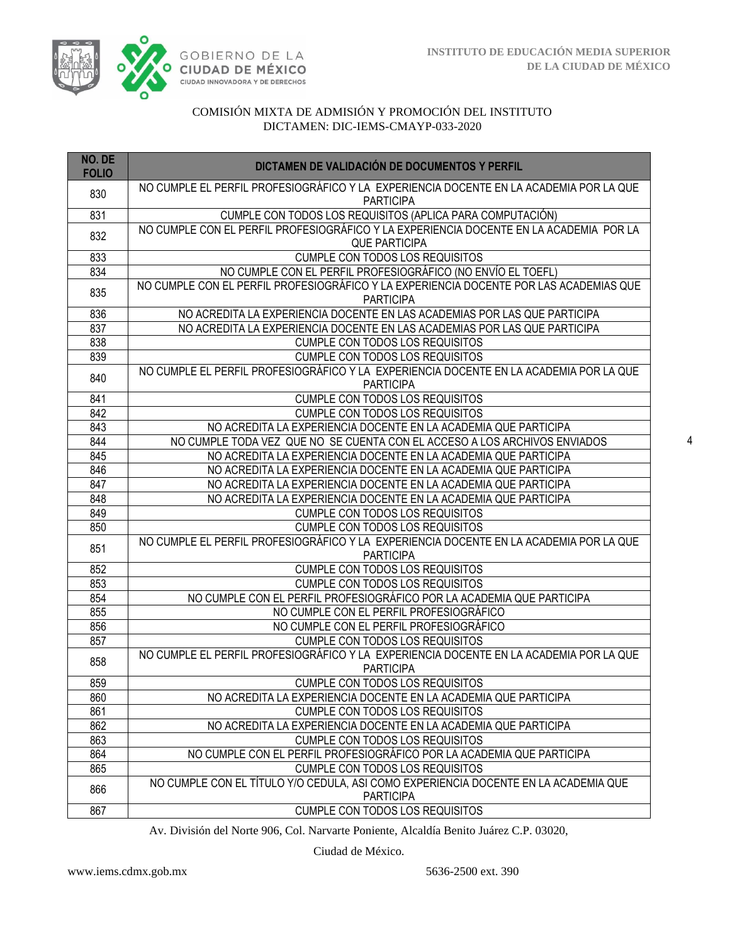

| NO. DE<br><b>FOLIO</b> | DICTAMEN DE VALIDACIÓN DE DOCUMENTOS Y PERFIL                                                              |
|------------------------|------------------------------------------------------------------------------------------------------------|
| 830                    | NO CUMPLE EL PERFIL PROFESIOGRÁFICO Y LA EXPERIENCIA DOCENTE EN LA ACADEMIA POR LA QUE<br><b>PARTICIPA</b> |
| 831                    | CUMPLE CON TODOS LOS REQUISITOS (APLICA PARA COMPUTACIÓN)                                                  |
| 832                    | NO CUMPLE CON EL PERFIL PROFESIOGRÁFICO Y LA EXPERIENCIA DOCENTE EN LA ACADEMIA POR LA                     |
|                        | <b>QUE PARTICIPA</b>                                                                                       |
| 833                    | CUMPLE CON TODOS LOS REQUISITOS                                                                            |
| 834                    | NO CUMPLE CON EL PERFIL PROFESIOGRÁFICO (NO ENVÍO EL TOEFL)                                                |
| 835                    | NO CUMPLE CON EL PERFIL PROFESIOGRÁFICO Y LA EXPERIENCIA DOCENTE POR LAS ACADEMIAS QUE<br><b>PARTICIPA</b> |
| 836                    | NO ACREDITA LA EXPERIENCIA DOCENTE EN LAS ACADEMIAS POR LAS QUE PARTICIPA                                  |
| 837                    | NO ACREDITA LA EXPERIENCIA DOCENTE EN LAS ACADEMIAS POR LAS QUE PARTICIPA                                  |
| 838                    | <b>CUMPLE CON TODOS LOS REQUISITOS</b>                                                                     |
| 839                    | <b>CUMPLE CON TODOS LOS REQUISITOS</b>                                                                     |
|                        | NO CUMPLE EL PERFIL PROFESIOGRÁFICO Y LA EXPERIENCIA DOCENTE EN LA ACADEMIA POR LA QUE                     |
| 840                    | <b>PARTICIPA</b>                                                                                           |
| 841                    | <b>CUMPLE CON TODOS LOS REQUISITOS</b>                                                                     |
| 842                    | <b>CUMPLE CON TODOS LOS REQUISITOS</b>                                                                     |
| 843                    | NO ACREDITA LA EXPERIENCIA DOCENTE EN LA ACADEMIA QUE PARTICIPA                                            |
| 844                    | NO CUMPLE TODA VEZ QUE NO SE CUENTA CON EL ACCESO A LOS ARCHIVOS ENVIADOS                                  |
| 845                    | NO ACREDITA LA EXPERIENCIA DOCENTE EN LA ACADEMIA QUE PARTICIPA                                            |
| 846                    | NO ACREDITA LA EXPERIENCIA DOCENTE EN LA ACADEMIA QUE PARTICIPA                                            |
| 847                    | NO ACREDITA LA EXPERIENCIA DOCENTE EN LA ACADEMIA QUE PARTICIPA                                            |
| 848                    | NO ACREDITA LA EXPERIENCIA DOCENTE EN LA ACADEMIA QUE PARTICIPA                                            |
| 849                    | CUMPLE CON TODOS LOS REQUISITOS                                                                            |
| 850                    | CUMPLE CON TODOS LOS REQUISITOS                                                                            |
|                        | NO CUMPLE EL PERFIL PROFESIOGRÁFICO Y LA EXPERIENCIA DOCENTE EN LA ACADEMIA POR LA QUE                     |
| 851                    | <b>PARTICIPA</b>                                                                                           |
| 852                    | CUMPLE CON TODOS LOS REQUISITOS                                                                            |
| 853                    | <b>CUMPLE CON TODOS LOS REQUISITOS</b>                                                                     |
| 854                    | NO CUMPLE CON EL PERFIL PROFESIOGRÁFICO POR LA ACADEMIA QUE PARTICIPA                                      |
| 855                    | NO CUMPLE CON EL PERFIL PROFESIOGRÁFICO                                                                    |
| 856                    | NO CUMPLE CON EL PERFIL PROFESIOGRÁFICO                                                                    |
| 857                    | <b>CUMPLE CON TODOS LOS REQUISITOS</b>                                                                     |
|                        | NO CUMPLE EL PERFIL PROFESIOGRÁFICO Y LA EXPERIENCIA DOCENTE EN LA ACADEMIA POR LA QUE                     |
| 858                    | <b>PARTICIPA</b>                                                                                           |
| 859                    | CUMPLE CON TODOS LOS REQUISITOS                                                                            |
| 860                    | NO ACREDITA LA EXPERIENCIA DOCENTE EN LA ACADEMIA QUE PARTICIPA                                            |
| 861                    | <b>CUMPLE CON TODOS LOS REQUISITOS</b>                                                                     |
| 862                    | NO ACREDITA LA EXPERIENCIA DOCENTE EN LA ACADEMIA QUE PARTICIPA                                            |
| 863                    | <b>CUMPLE CON TODOS LOS REQUISITOS</b>                                                                     |
| 864                    | NO CUMPLE CON EL PERFIL PROFESIOGRÁFICO POR LA ACADEMIA QUE PARTICIPA                                      |
| 865                    | CUMPLE CON TODOS LOS REQUISITOS                                                                            |
| 866                    | NO CUMPLE CON EL TÍTULO Y/O CEDULA, ASI COMO EXPERIENCIA DOCENTE EN LA ACADEMIA QUE                        |
|                        | <b>PARTICIPA</b>                                                                                           |
| 867                    | <b>CUMPLE CON TODOS LOS REQUISITOS</b>                                                                     |

Av. División del Norte 906, Col. Narvarte Poniente, Alcaldía Benito Juárez C.P. 03020,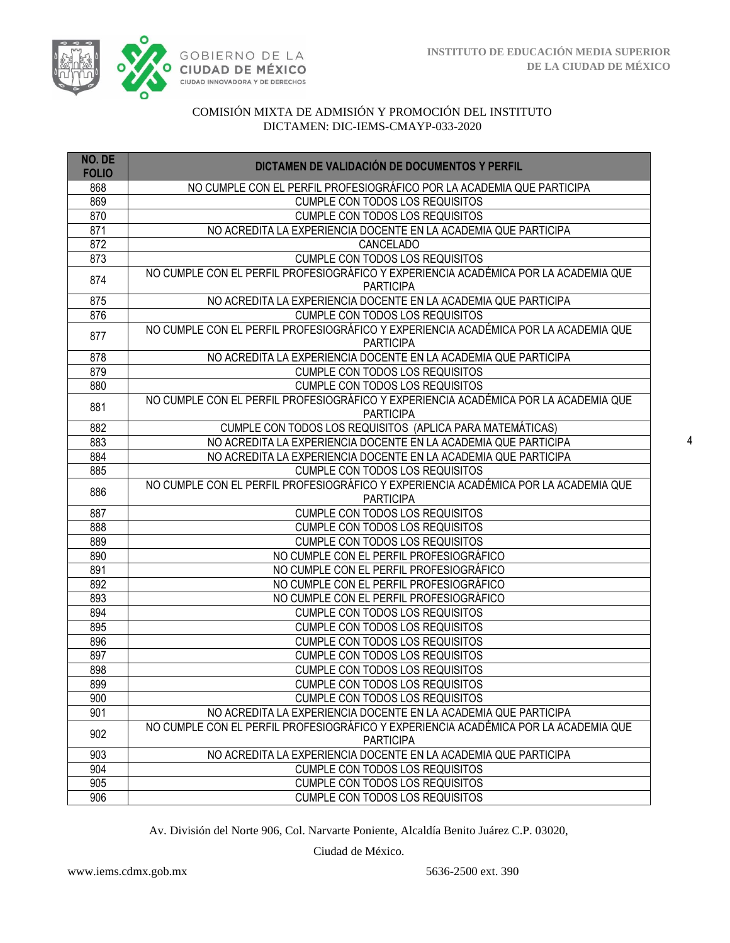

| NO. DE<br><b>FOLIO</b> | DICTAMEN DE VALIDACIÓN DE DOCUMENTOS Y PERFIL                                                           |
|------------------------|---------------------------------------------------------------------------------------------------------|
| 868                    | NO CUMPLE CON EL PERFIL PROFESIOGRÁFICO POR LA ACADEMIA QUE PARTICIPA                                   |
| 869                    | <b>CUMPLE CON TODOS LOS REQUISITOS</b>                                                                  |
| 870                    | <b>CUMPLE CON TODOS LOS REQUISITOS</b>                                                                  |
| 871                    | NO ACREDITA LA EXPERIENCIA DOCENTE EN LA ACADEMIA QUE PARTICIPA                                         |
| 872                    | <b>CANCELADO</b>                                                                                        |
| 873                    | CUMPLE CON TODOS LOS REQUISITOS                                                                         |
| 874                    | NO CUMPLE CON EL PERFIL PROFESIOGRÁFICO Y EXPERIENCIA ACADÉMICA POR LA ACADEMIA QUE<br><b>PARTICIPA</b> |
| 875                    | NO ACREDITA LA EXPERIENCIA DOCENTE EN LA ACADEMIA QUE PARTICIPA                                         |
| 876                    | <b>CUMPLE CON TODOS LOS REQUISITOS</b>                                                                  |
| 877                    | NO CUMPLE CON EL PERFIL PROFESIOGRÁFICO Y EXPERIENCIA ACADÉMICA POR LA ACADEMIA QUE<br><b>PARTICIPA</b> |
| 878                    | NO ACREDITA LA EXPERIENCIA DOCENTE EN LA ACADEMIA QUE PARTICIPA                                         |
| 879                    | <b>CUMPLE CON TODOS LOS REQUISITOS</b>                                                                  |
| 880                    | <b>CUMPLE CON TODOS LOS REQUISITOS</b>                                                                  |
| 881                    | NO CUMPLE CON EL PERFIL PROFESIOGRÁFICO Y EXPERIENCIA ACADÉMICA POR LA ACADEMIA QUE<br><b>PARTICIPA</b> |
| 882                    | CUMPLE CON TODOS LOS REQUISITOS (APLICA PARA MATEMÁTICAS)                                               |
| 883                    | NO ACREDITA LA EXPERIENCIA DOCENTE EN LA ACADEMIA QUE PARTICIPA                                         |
| 884                    | NO ACREDITA LA EXPERIENCIA DOCENTE EN LA ACADEMIA QUE PARTICIPA                                         |
| 885                    | <b>CUMPLE CON TODOS LOS REQUISITOS</b>                                                                  |
| 886                    | NO CUMPLE CON EL PERFIL PROFESIOGRÁFICO Y EXPERIENCIA ACADÉMICA POR LA ACADEMIA QUE<br><b>PARTICIPA</b> |
| 887                    | <b>CUMPLE CON TODOS LOS REQUISITOS</b>                                                                  |
| 888                    | <b>CUMPLE CON TODOS LOS REQUISITOS</b>                                                                  |
| 889                    | <b>CUMPLE CON TODOS LOS REQUISITOS</b>                                                                  |
| 890                    | NO CUMPLE CON EL PERFIL PROFESIOGRÁFICO                                                                 |
| 891                    | NO CUMPLE CON EL PERFIL PROFESIOGRÁFICO                                                                 |
| 892                    | NO CUMPLE CON EL PERFIL PROFESIOGRÁFICO                                                                 |
| 893                    | NO CUMPLE CON EL PERFIL PROFESIOGRÁFICO                                                                 |
| 894                    | <b>CUMPLE CON TODOS LOS REQUISITOS</b>                                                                  |
| 895                    | <b>CUMPLE CON TODOS LOS REQUISITOS</b>                                                                  |
| 896                    | <b>CUMPLE CON TODOS LOS REQUISITOS</b>                                                                  |
| 897                    | <b>CUMPLE CON TODOS LOS REQUISITOS</b>                                                                  |
| 898                    | <b>CUMPLE CON TODOS LOS REQUISITOS</b>                                                                  |
| 899                    | CUMPLE CON TODOS LOS REQUISITOS                                                                         |
| 900                    | <b>CUMPLE CON TODOS LOS REQUISITOS</b>                                                                  |
| 901                    | NO ACREDITA LA EXPERIENCIA DOCENTE EN LA ACADEMIA QUE PARTICIPA                                         |
| 902                    | NO CUMPLE CON EL PERFIL PROFESIOGRÁFICO Y EXPERIENCIA ACADÉMICA POR LA ACADEMIA QUE<br><b>PARTICIPA</b> |
| 903                    | NO ACREDITA LA EXPERIENCIA DOCENTE EN LA ACADEMIA QUE PARTICIPA                                         |
| 904                    | <b>CUMPLE CON TODOS LOS REQUISITOS</b>                                                                  |
| $\overline{905}$       | CUMPLE CON TODOS LOS REQUISITOS                                                                         |
| 906                    | CUMPLE CON TODOS LOS REQUISITOS                                                                         |

Av. División del Norte 906, Col. Narvarte Poniente, Alcaldía Benito Juárez C.P. 03020,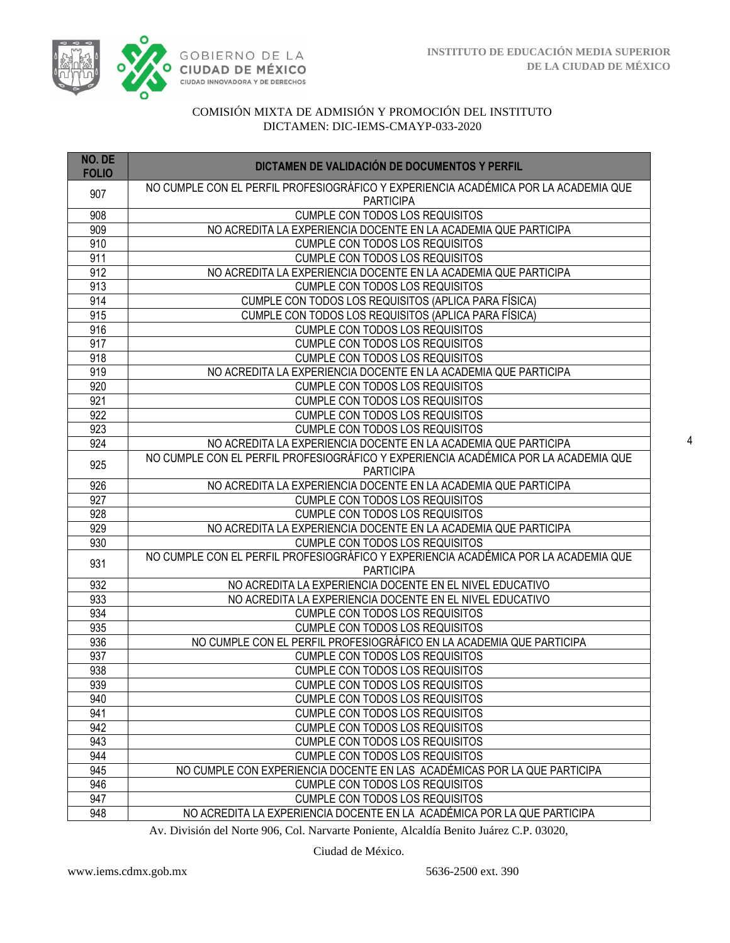

| NO. DE<br><b>FOLIO</b> | DICTAMEN DE VALIDACIÓN DE DOCUMENTOS Y PERFIL                                                           |
|------------------------|---------------------------------------------------------------------------------------------------------|
| 907                    | NO CUMPLE CON EL PERFIL PROFESIOGRÁFICO Y EXPERIENCIA ACADÉMICA POR LA ACADEMIA QUE<br><b>PARTICIPA</b> |
| 908                    | <b>CUMPLE CON TODOS LOS REQUISITOS</b>                                                                  |
| 909                    | NO ACREDITA LA EXPERIENCIA DOCENTE EN LA ACADEMIA QUE PARTICIPA                                         |
| 910                    | CUMPLE CON TODOS LOS REQUISITOS                                                                         |
| 911                    | CUMPLE CON TODOS LOS REQUISITOS                                                                         |
| 912                    | NO ACREDITA LA EXPERIENCIA DOCENTE EN LA ACADEMIA QUE PARTICIPA                                         |
| 913                    | <b>CUMPLE CON TODOS LOS REQUISITOS</b>                                                                  |
| 914                    | CUMPLE CON TODOS LOS REQUISITOS (APLICA PARA FÍSICA)                                                    |
| 915                    | CUMPLE CON TODOS LOS REQUISITOS (APLICA PARA FÍSICA)                                                    |
| 916                    | CUMPLE CON TODOS LOS REQUISITOS                                                                         |
| 917                    | CUMPLE CON TODOS LOS REQUISITOS                                                                         |
| $\overline{918}$       | <b>CUMPLE CON TODOS LOS REQUISITOS</b>                                                                  |
| 919                    | NO ACREDITA LA EXPERIENCIA DOCENTE EN LA ACADEMIA QUE PARTICIPA                                         |
| 920                    | CUMPLE CON TODOS LOS REQUISITOS                                                                         |
| 921                    | <b>CUMPLE CON TODOS LOS REQUISITOS</b>                                                                  |
| 922                    | <b>CUMPLE CON TODOS LOS REQUISITOS</b>                                                                  |
| 923                    | <b>CUMPLE CON TODOS LOS REQUISITOS</b>                                                                  |
| 924                    | NO ACREDITA LA EXPERIENCIA DOCENTE EN LA ACADEMIA QUE PARTICIPA                                         |
| 925                    | NO CUMPLE CON EL PERFIL PROFESIOGRÁFICO Y EXPERIENCIA ACADÉMICA POR LA ACADEMIA QUE                     |
|                        | <b>PARTICIPA</b>                                                                                        |
| 926                    | NO ACREDITA LA EXPERIENCIA DOCENTE EN LA ACADEMIA QUE PARTICIPA                                         |
| 927                    | <b>CUMPLE CON TODOS LOS REQUISITOS</b>                                                                  |
| 928                    | <b>CUMPLE CON TODOS LOS REQUISITOS</b>                                                                  |
| 929                    | NO ACREDITA LA EXPERIENCIA DOCENTE EN LA ACADEMIA QUE PARTICIPA                                         |
| 930                    | <b>CUMPLE CON TODOS LOS REQUISITOS</b>                                                                  |
| 931                    | NO CUMPLE CON EL PERFIL PROFESIOGRÁFICO Y EXPERIENCIA ACADÉMICA POR LA ACADEMIA QUE<br><b>PARTICIPA</b> |
| 932                    | NO ACREDITA LA EXPERIENCIA DOCENTE EN EL NIVEL EDUCATIVO                                                |
| 933                    | NO ACREDITA LA EXPERIENCIA DOCENTE EN EL NIVEL EDUCATIVO                                                |
| 934                    | <b>CUMPLE CON TODOS LOS REQUISITOS</b>                                                                  |
| 935                    | <b>CUMPLE CON TODOS LOS REQUISITOS</b>                                                                  |
| 936                    | NO CUMPLE CON EL PERFIL PROFESIOGRÁFICO EN LA ACADEMIA QUE PARTICIPA                                    |
| 937                    | <b>CUMPLE CON TODOS LOS REQUISITOS</b>                                                                  |
| 938                    | CUMPLE CON TODOS LOS REQUISITOS                                                                         |
| 939                    | <b>CUMPLE CON TODOS LOS REQUISITOS</b>                                                                  |
| 940                    | <b>CUMPLE CON TODOS LOS REQUISITOS</b>                                                                  |
| 941                    | <b>CUMPLE CON TODOS LOS REQUISITOS</b>                                                                  |
| 942                    | <b>CUMPLE CON TODOS LOS REQUISITOS</b>                                                                  |
| 943                    | <b>CUMPLE CON TODOS LOS REQUISITOS</b>                                                                  |
| 944                    | <b>CUMPLE CON TODOS LOS REQUISITOS</b>                                                                  |
| 945                    | NO CUMPLE CON EXPERIENCIA DOCENTE EN LAS ACADÉMICAS POR LA QUE PARTICIPA                                |
| 946                    | <b>CUMPLE CON TODOS LOS REQUISITOS</b>                                                                  |
| 947                    | <b>CUMPLE CON TODOS LOS REQUISITOS</b>                                                                  |
| 948                    | NO ACREDITA LA EXPERIENCIA DOCENTE EN LA ACADÉMICA POR LA QUE PARTICIPA                                 |

Av. División del Norte 906, Col. Narvarte Poniente, Alcaldía Benito Juárez C.P. 03020,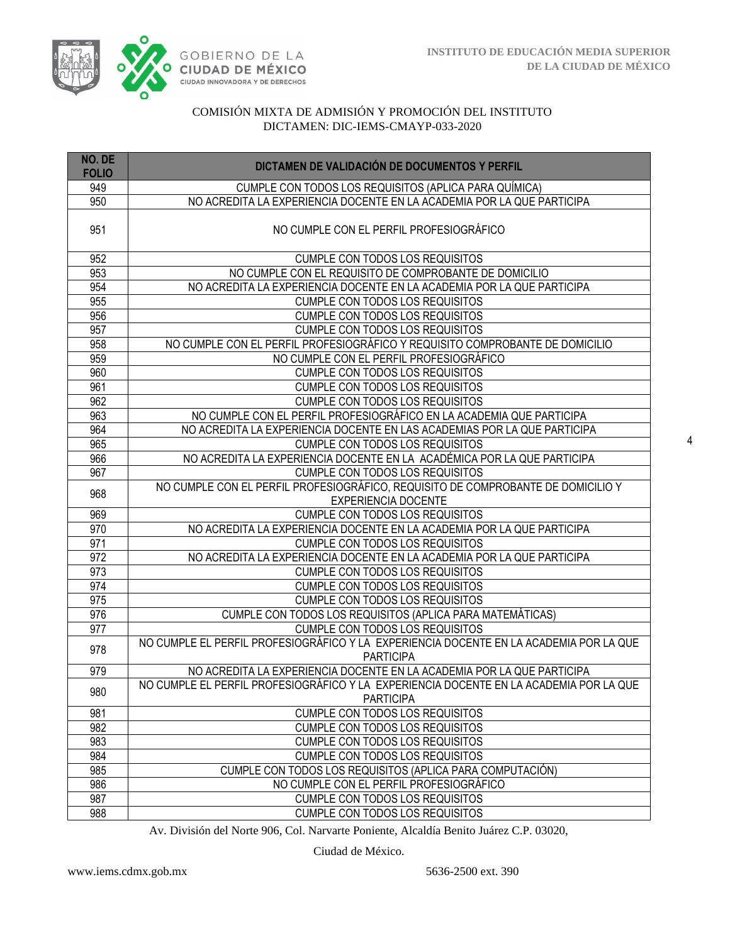

| NO. DE<br><b>FOLIO</b> | DICTAMEN DE VALIDACIÓN DE DOCUMENTOS Y PERFIL                                                                  |  |  |  |  |  |  |
|------------------------|----------------------------------------------------------------------------------------------------------------|--|--|--|--|--|--|
| 949                    | CUMPLE CON TODOS LOS REQUISITOS (APLICA PARA QUÍMICA)                                                          |  |  |  |  |  |  |
| 950                    | NO ACREDITA LA EXPERIENCIA DOCENTE EN LA ACADEMIA POR LA QUE PARTICIPA                                         |  |  |  |  |  |  |
| 951                    | NO CUMPLE CON EL PERFIL PROFESIOGRÁFICO                                                                        |  |  |  |  |  |  |
| 952                    | <b>CUMPLE CON TODOS LOS REQUISITOS</b>                                                                         |  |  |  |  |  |  |
| 953                    | NO CUMPLE CON EL REQUISITO DE COMPROBANTE DE DOMICILIO                                                         |  |  |  |  |  |  |
| 954                    | NO ACREDITA LA EXPERIENCIA DOCENTE EN LA ACADEMIA POR LA QUE PARTICIPA                                         |  |  |  |  |  |  |
| 955                    | <b>CUMPLE CON TODOS LOS REQUISITOS</b>                                                                         |  |  |  |  |  |  |
| 956                    | <b>CUMPLE CON TODOS LOS REQUISITOS</b>                                                                         |  |  |  |  |  |  |
| 957                    | CUMPLE CON TODOS LOS REQUISITOS                                                                                |  |  |  |  |  |  |
| 958                    | NO CUMPLE CON EL PERFIL PROFESIOGRÁFICO Y REQUISITO COMPROBANTE DE DOMICILIO                                   |  |  |  |  |  |  |
| 959                    | NO CUMPLE CON EL PERFIL PROFESIOGRÁFICO                                                                        |  |  |  |  |  |  |
| 960                    | CUMPLE CON TODOS LOS REQUISITOS                                                                                |  |  |  |  |  |  |
| 961                    | CUMPLE CON TODOS LOS REQUISITOS                                                                                |  |  |  |  |  |  |
| 962                    | CUMPLE CON TODOS LOS REQUISITOS                                                                                |  |  |  |  |  |  |
| 963                    | NO CUMPLE CON EL PERFIL PROFESIOGRÁFICO EN LA ACADEMIA QUE PARTICIPA                                           |  |  |  |  |  |  |
| 964                    | NO ACREDITA LA EXPERIENCIA DOCENTE EN LAS ACADEMIAS POR LA QUE PARTICIPA                                       |  |  |  |  |  |  |
| 965                    | <b>CUMPLE CON TODOS LOS REQUISITOS</b>                                                                         |  |  |  |  |  |  |
| 966                    | NO ACREDITA LA EXPERIENCIA DOCENTE EN LA ACADÉMICA POR LA QUE PARTICIPA                                        |  |  |  |  |  |  |
| 967                    | <b>CUMPLE CON TODOS LOS REQUISITOS</b>                                                                         |  |  |  |  |  |  |
| 968                    | NO CUMPLE CON EL PERFIL PROFESIOGRÁFICO, REQUISITO DE COMPROBANTE DE DOMICILIO Y<br><b>EXPERIENCIA DOCENTE</b> |  |  |  |  |  |  |
| 969                    | <b>CUMPLE CON TODOS LOS REQUISITOS</b>                                                                         |  |  |  |  |  |  |
| 970                    | NO ACREDITA LA EXPERIENCIA DOCENTE EN LA ACADEMIA POR LA QUE PARTICIPA                                         |  |  |  |  |  |  |
| 971                    | CUMPLE CON TODOS LOS REQUISITOS                                                                                |  |  |  |  |  |  |
| 972                    | NO ACREDITA LA EXPERIENCIA DOCENTE EN LA ACADEMIA POR LA QUE PARTICIPA                                         |  |  |  |  |  |  |
| 973                    | <b>CUMPLE CON TODOS LOS REQUISITOS</b>                                                                         |  |  |  |  |  |  |
| 974                    | <b>CUMPLE CON TODOS LOS REQUISITOS</b>                                                                         |  |  |  |  |  |  |
| 975                    | <b>CUMPLE CON TODOS LOS REQUISITOS</b>                                                                         |  |  |  |  |  |  |
| 976                    | CUMPLE CON TODOS LOS REQUISITOS (APLICA PARA MATEMÁTICAS)                                                      |  |  |  |  |  |  |
| 977                    | <b>CUMPLE CON TODOS LOS REQUISITOS</b>                                                                         |  |  |  |  |  |  |
| 978                    | NO CUMPLE EL PERFIL PROFESIOGRÁFICO Y LA EXPERIENCIA DOCENTE EN LA ACADEMIA POR LA QUE<br><b>PARTICIPA</b>     |  |  |  |  |  |  |
| 979                    | NO ACREDITA LA EXPERIENCIA DOCENTE EN LA ACADEMIA POR LA QUE PARTICIPA                                         |  |  |  |  |  |  |
| 980                    | NO CUMPLE EL PERFIL PROFESIOGRÁFICO Y LA EXPERIENCIA DOCENTE EN LA ACADEMIA POR LA QUE                         |  |  |  |  |  |  |
|                        | <b>PARTICIPA</b>                                                                                               |  |  |  |  |  |  |
| 981                    | <b>CUMPLE CON TODOS LOS REQUISITOS</b>                                                                         |  |  |  |  |  |  |
| 982                    | <b>CUMPLE CON TODOS LOS REQUISITOS</b>                                                                         |  |  |  |  |  |  |
| 983                    | <b>CUMPLE CON TODOS LOS REQUISITOS</b>                                                                         |  |  |  |  |  |  |
| 984                    | <b>CUMPLE CON TODOS LOS REQUISITOS</b>                                                                         |  |  |  |  |  |  |
| 985                    | CUMPLE CON TODOS LOS REQUISITOS (APLICA PARA COMPUTACIÓN)                                                      |  |  |  |  |  |  |
| 986                    | NO CUMPLE CON EL PERFIL PROFESIOGRÁFICO                                                                        |  |  |  |  |  |  |
| 987                    | <b>CUMPLE CON TODOS LOS REQUISITOS</b>                                                                         |  |  |  |  |  |  |
| 988                    | <b>CUMPLE CON TODOS LOS REQUISITOS</b>                                                                         |  |  |  |  |  |  |

Av. División del Norte 906, Col. Narvarte Poniente, Alcaldía Benito Juárez C.P. 03020,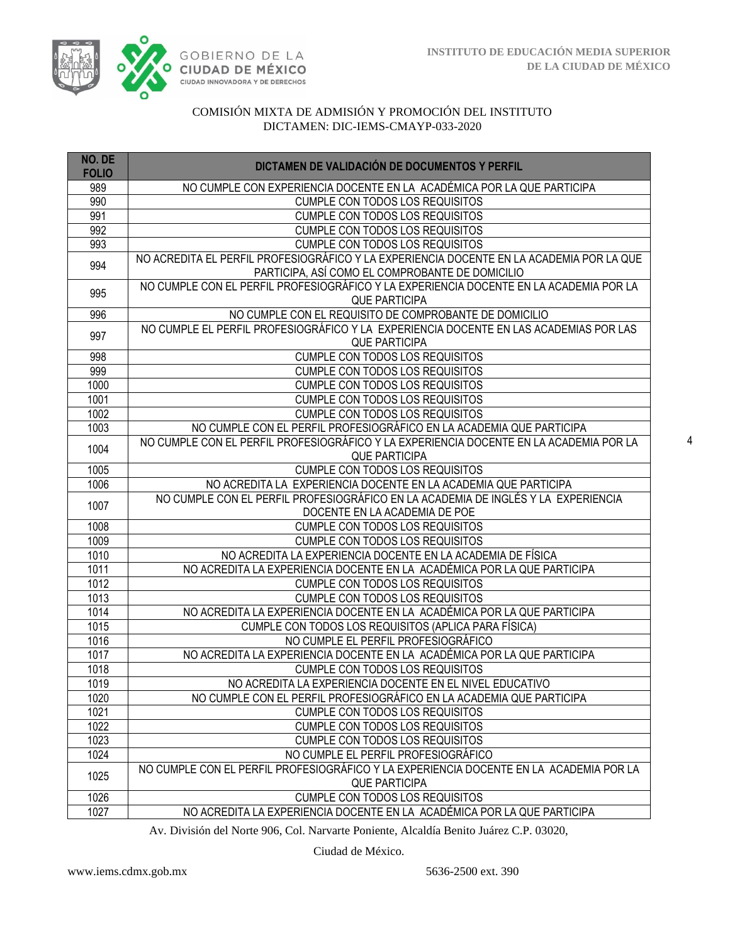

| NO. DE       | DICTAMEN DE VALIDACIÓN DE DOCUMENTOS Y PERFIL                                            |  |  |  |  |  |
|--------------|------------------------------------------------------------------------------------------|--|--|--|--|--|
| <b>FOLIO</b> |                                                                                          |  |  |  |  |  |
| 989          | NO CUMPLE CON EXPERIENCIA DOCENTE EN LA ACADÉMICA POR LA QUE PARTICIPA                   |  |  |  |  |  |
| 990          | <b>CUMPLE CON TODOS LOS REQUISITOS</b>                                                   |  |  |  |  |  |
| 991          | <b>CUMPLE CON TODOS LOS REQUISITOS</b>                                                   |  |  |  |  |  |
| 992          | CUMPLE CON TODOS LOS REQUISITOS                                                          |  |  |  |  |  |
| 993          | <b>CUMPLE CON TODOS LOS REQUISITOS</b>                                                   |  |  |  |  |  |
| 994          | NO ACREDITA EL PERFIL PROFESIOGRÁFICO Y LA EXPERIENCIA DOCENTE EN LA ACADEMIA POR LA QUE |  |  |  |  |  |
|              | PARTICIPA, ASÍ COMO EL COMPROBANTE DE DOMICILIO                                          |  |  |  |  |  |
| 995          | NO CUMPLE CON EL PERFIL PROFESIOGRÁFICO Y LA EXPERIENCIA DOCENTE EN LA ACADEMIA POR LA   |  |  |  |  |  |
|              | <b>QUE PARTICIPA</b>                                                                     |  |  |  |  |  |
| 996          | NO CUMPLE CON EL REQUISITO DE COMPROBANTE DE DOMICILIO                                   |  |  |  |  |  |
| 997          | NO CUMPLE EL PERFIL PROFESIOGRÁFICO Y LA EXPERIENCIA DOCENTE EN LAS ACADEMIAS POR LAS    |  |  |  |  |  |
|              | <b>QUE PARTICIPA</b>                                                                     |  |  |  |  |  |
| 998          | <b>CUMPLE CON TODOS LOS REQUISITOS</b>                                                   |  |  |  |  |  |
| 999          | <b>CUMPLE CON TODOS LOS REQUISITOS</b>                                                   |  |  |  |  |  |
| 1000         | <b>CUMPLE CON TODOS LOS REQUISITOS</b>                                                   |  |  |  |  |  |
| 1001         | <b>CUMPLE CON TODOS LOS REQUISITOS</b>                                                   |  |  |  |  |  |
| 1002         | <b>CUMPLE CON TODOS LOS REQUISITOS</b>                                                   |  |  |  |  |  |
| 1003         | NO CUMPLE CON EL PERFIL PROFESIOGRÁFICO EN LA ACADEMIA QUE PARTICIPA                     |  |  |  |  |  |
| 1004         | NO CUMPLE CON EL PERFIL PROFESIOGRÁFICO Y LA EXPERIENCIA DOCENTE EN LA ACADEMIA POR LA   |  |  |  |  |  |
|              | <b>QUE PARTICIPA</b>                                                                     |  |  |  |  |  |
| 1005         | <b>CUMPLE CON TODOS LOS REQUISITOS</b>                                                   |  |  |  |  |  |
| 1006         | NO ACREDITA LA EXPERIENCIA DOCENTE EN LA ACADEMIA QUE PARTICIPA                          |  |  |  |  |  |
| 1007         | NO CUMPLE CON EL PERFIL PROFESIOGRÁFICO EN LA ACADEMIA DE INGLÉS Y LA EXPERIENCIA        |  |  |  |  |  |
|              | DOCENTE EN LA ACADEMIA DE POE                                                            |  |  |  |  |  |
| 1008         | <b>CUMPLE CON TODOS LOS REQUISITOS</b>                                                   |  |  |  |  |  |
| 1009         | <b>CUMPLE CON TODOS LOS REQUISITOS</b>                                                   |  |  |  |  |  |
| 1010         | NO ACREDITA LA EXPERIENCIA DOCENTE EN LA ACADEMIA DE FÍSICA                              |  |  |  |  |  |
| 1011         | NO ACREDITA LA EXPERIENCIA DOCENTE EN LA ACADÉMICA POR LA QUE PARTICIPA                  |  |  |  |  |  |
| 1012         | <b>CUMPLE CON TODOS LOS REQUISITOS</b>                                                   |  |  |  |  |  |
| 1013         | <b>CUMPLE CON TODOS LOS REQUISITOS</b>                                                   |  |  |  |  |  |
| 1014         | NO ACREDITA LA EXPERIENCIA DOCENTE EN LA ACADÉMICA POR LA QUE PARTICIPA                  |  |  |  |  |  |
| 1015         | CUMPLE CON TODOS LOS REQUISITOS (APLICA PARA FÍSICA)                                     |  |  |  |  |  |
| 1016         | NO CUMPLE EL PERFIL PROFESIOGRÁFICO                                                      |  |  |  |  |  |
| 1017         | NO ACREDITA LA EXPERIENCIA DOCENTE EN LA ACADÉMICA POR LA QUE PARTICIPA                  |  |  |  |  |  |
| 1018         | <b>CUMPLE CON TODOS LOS REQUISITOS</b>                                                   |  |  |  |  |  |
| 1019         | NO ACREDITA LA EXPERIENCIA DOCENTE EN EL NIVEL EDUCATIVO                                 |  |  |  |  |  |
| 1020         | NO CUMPLE CON EL PERFIL PROFESIOGRÁFICO EN LA ACADEMIA QUE PARTICIPA                     |  |  |  |  |  |
| 1021         | CUMPLE CON TODOS LOS REQUISITOS                                                          |  |  |  |  |  |
| 1022         | <b>CUMPLE CON TODOS LOS REQUISITOS</b>                                                   |  |  |  |  |  |
| 1023         | <b>CUMPLE CON TODOS LOS REQUISITOS</b>                                                   |  |  |  |  |  |
| 1024         | NO CUMPLE EL PERFIL PROFESIOGRÁFICO                                                      |  |  |  |  |  |
| 1025         | NO CUMPLE CON EL PERFIL PROFESIOGRÁFICO Y LA EXPERIENCIA DOCENTE EN LA ACADEMIA POR LA   |  |  |  |  |  |
|              | <b>QUE PARTICIPA</b>                                                                     |  |  |  |  |  |
| 1026         | CUMPLE CON TODOS LOS REQUISITOS                                                          |  |  |  |  |  |
| 1027         | NO ACREDITA LA EXPERIENCIA DOCENTE EN LA ACADÉMICA POR LA QUE PARTICIPA                  |  |  |  |  |  |

Av. División del Norte 906, Col. Narvarte Poniente, Alcaldía Benito Juárez C.P. 03020,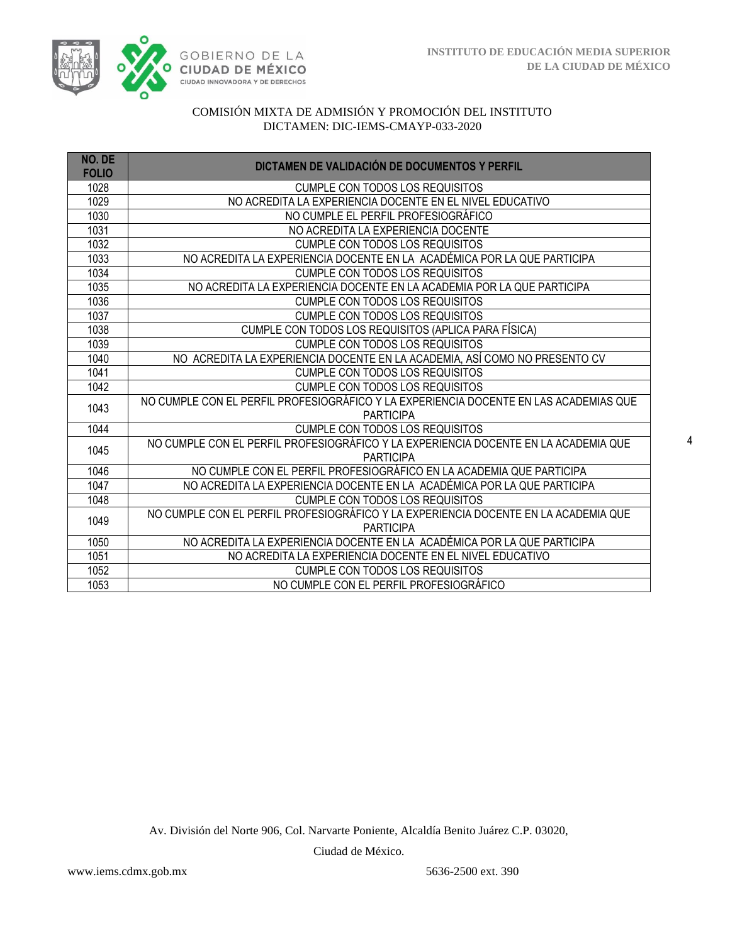

| NO. DE<br><b>FOLIO</b> | DICTAMEN DE VALIDACIÓN DE DOCUMENTOS Y PERFIL                                                             |  |  |  |  |  |
|------------------------|-----------------------------------------------------------------------------------------------------------|--|--|--|--|--|
| 1028                   | <b>CUMPLE CON TODOS LOS REQUISITOS</b>                                                                    |  |  |  |  |  |
| 1029                   | NO ACREDITA LA EXPERIENCIA DOCENTE EN EL NIVEL EDUCATIVO                                                  |  |  |  |  |  |
| 1030                   | NO CUMPLE EL PERFIL PROFESIOGRÁFICO                                                                       |  |  |  |  |  |
| 1031                   | NO ACREDITA LA EXPERIENCIA DOCENTE                                                                        |  |  |  |  |  |
| 1032                   | <b>CUMPLE CON TODOS LOS REQUISITOS</b>                                                                    |  |  |  |  |  |
| 1033                   | NO ACREDITA LA EXPERIENCIA DOCENTE EN LA ACADÉMICA POR LA QUE PARTICIPA                                   |  |  |  |  |  |
| 1034                   | <b>CUMPLE CON TODOS LOS REQUISITOS</b>                                                                    |  |  |  |  |  |
| 1035                   | NO ACREDITA LA EXPERIENCIA DOCENTE EN LA ACADEMIA POR LA QUE PARTICIPA                                    |  |  |  |  |  |
| 1036                   | <b>CUMPLE CON TODOS LOS REQUISITOS</b>                                                                    |  |  |  |  |  |
| 1037                   | <b>CUMPLE CON TODOS LOS REQUISITOS</b>                                                                    |  |  |  |  |  |
| 1038                   | CUMPLE CON TODOS LOS REQUISITOS (APLICA PARA FÍSICA)                                                      |  |  |  |  |  |
| 1039                   | <b>CUMPLE CON TODOS LOS REQUISITOS</b>                                                                    |  |  |  |  |  |
| 1040                   | NO ACREDITA LA EXPERIENCIA DOCENTE EN LA ACADEMIA, ASÍ COMO NO PRESENTO CV                                |  |  |  |  |  |
| 1041                   | <b>CUMPLE CON TODOS LOS REQUISITOS</b>                                                                    |  |  |  |  |  |
| 1042                   | <b>CUMPLE CON TODOS LOS REQUISITOS</b>                                                                    |  |  |  |  |  |
| 1043                   | NO CUMPLE CON EL PERFIL PROFESIOGRÁFICO Y LA EXPERIENCIA DOCENTE EN LAS ACADEMIAS QUE<br><b>PARTICIPA</b> |  |  |  |  |  |
| 1044                   | <b>CUMPLE CON TODOS LOS REQUISITOS</b>                                                                    |  |  |  |  |  |
| 1045                   | NO CUMPLE CON EL PERFIL PROFESIOGRÁFICO Y LA EXPERIENCIA DOCENTE EN LA ACADEMIA QUE<br><b>PARTICIPA</b>   |  |  |  |  |  |
| 1046                   | NO CUMPLE CON EL PERFIL PROFESIOGRÁFICO EN LA ACADEMIA QUE PARTICIPA                                      |  |  |  |  |  |
| 1047                   | NO ACREDITA LA EXPERIENCIA DOCENTE EN LA ACADÉMICA POR LA QUE PARTICIPA                                   |  |  |  |  |  |
| 1048                   | <b>CUMPLE CON TODOS LOS REQUISITOS</b>                                                                    |  |  |  |  |  |
| 1049                   | NO CUMPLE CON EL PERFIL PROFESIOGRÁFICO Y LA EXPERIENCIA DOCENTE EN LA ACADEMIA QUE<br><b>PARTICIPA</b>   |  |  |  |  |  |
| 1050                   | NO ACREDITA LA EXPERIENCIA DOCENTE EN LA ACADÉMICA POR LA QUE PARTICIPA                                   |  |  |  |  |  |
| 1051                   | NO ACREDITA LA EXPERIENCIA DOCENTE EN EL NIVEL EDUCATIVO                                                  |  |  |  |  |  |
| 1052                   | CUMPLE CON TODOS LOS REQUISITOS                                                                           |  |  |  |  |  |
| 1053                   | NO CUMPLE CON EL PERFIL PROFESIOGRÁFICO                                                                   |  |  |  |  |  |

Av. División del Norte 906, Col. Narvarte Poniente, Alcaldía Benito Juárez C.P. 03020,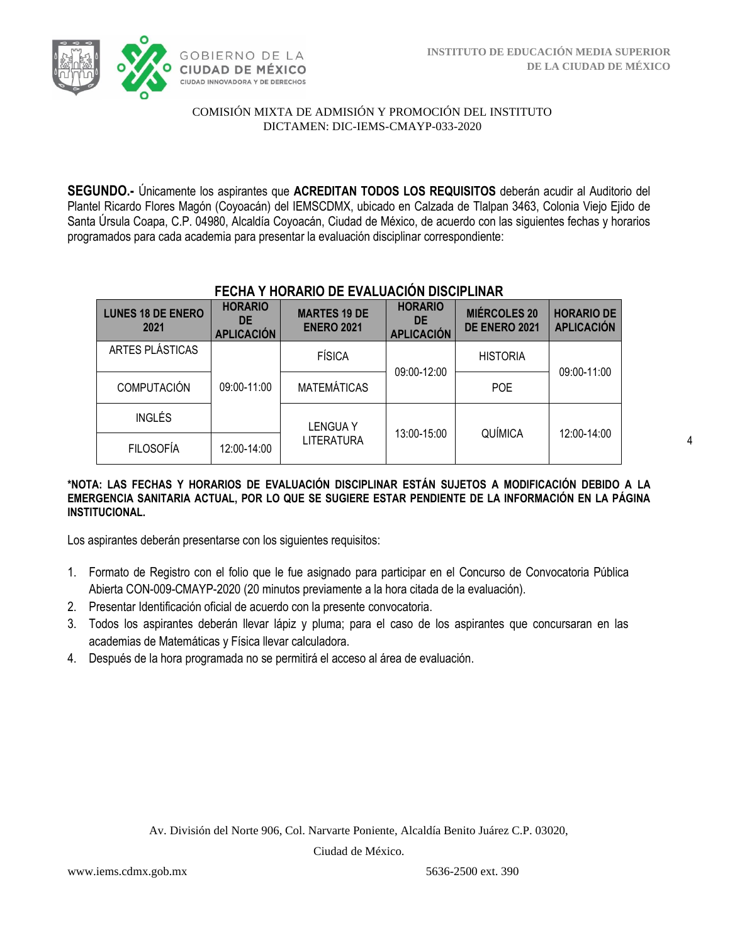

**SEGUNDO.-** Únicamente los aspirantes que **ACREDITAN TODOS LOS REQUISITOS** deberán acudir al Auditorio del Plantel Ricardo Flores Magón (Coyoacán) del IEMSCDMX, ubicado en Calzada de Tlalpan 3463, Colonia Viejo Ejido de Santa Úrsula Coapa, C.P. 04980, Alcaldía Coyoacán, Ciudad de México, de acuerdo con las siguientes fechas y horarios programados para cada academia para presentar la evaluación disciplinar correspondiente:

| <b>LUNES 18 DE ENERO</b><br>2021 | <b>HORARIO</b><br><b>DE</b><br><b>APLICACIÓN</b> | <b>MARTES 19 DE</b><br><b>ENERO 2021</b> | <b>HORARIO</b><br><b>DE</b><br><b>APLICACIÓN</b> | <b>MIÉRCOLES 20</b><br>DE ENERO 2021 | <b>HORARIO DE</b><br><b>APLICACIÓN</b> |  |
|----------------------------------|--------------------------------------------------|------------------------------------------|--------------------------------------------------|--------------------------------------|----------------------------------------|--|
| ARTES PLÁSTICAS                  |                                                  | <b>FÍSICA</b>                            | 09:00-12:00                                      | <b>HISTORIA</b>                      | 09:00-11:00                            |  |
| <b>COMPUTACIÓN</b>               | 09:00-11:00                                      | <b>MATEMÁTICAS</b>                       |                                                  | <b>POE</b>                           |                                        |  |
| <b>INGLÉS</b>                    |                                                  | LENGUA Y                                 | 13:00-15:00                                      | QUÍMICA                              | 12:00-14:00                            |  |
| <b>FILOSOFÍA</b>                 | 12:00-14:00                                      | LITERATURA                               |                                                  |                                      |                                        |  |

# **FECHA Y HORARIO DE EVALUACIÓN DISCIPLINAR**

#### **\*NOTA: LAS FECHAS Y HORARIOS DE EVALUACIÓN DISCIPLINAR ESTÁN SUJETOS A MODIFICACIÓN DEBIDO A LA EMERGENCIA SANITARIA ACTUAL, POR LO QUE SE SUGIERE ESTAR PENDIENTE DE LA INFORMACIÓN EN LA PÁGINA INSTITUCIONAL.**

Los aspirantes deberán presentarse con los siguientes requisitos:

- 1. Formato de Registro con el folio que le fue asignado para participar en el Concurso de Convocatoria Pública Abierta CON-009-CMAYP-2020 (20 minutos previamente a la hora citada de la evaluación).
- 2. Presentar Identificación oficial de acuerdo con la presente convocatoria.
- 3. Todos los aspirantes deberán llevar lápiz y pluma; para el caso de los aspirantes que concursaran en las academias de Matemáticas y Física llevar calculadora.
- 4. Después de la hora programada no se permitirá el acceso al área de evaluación.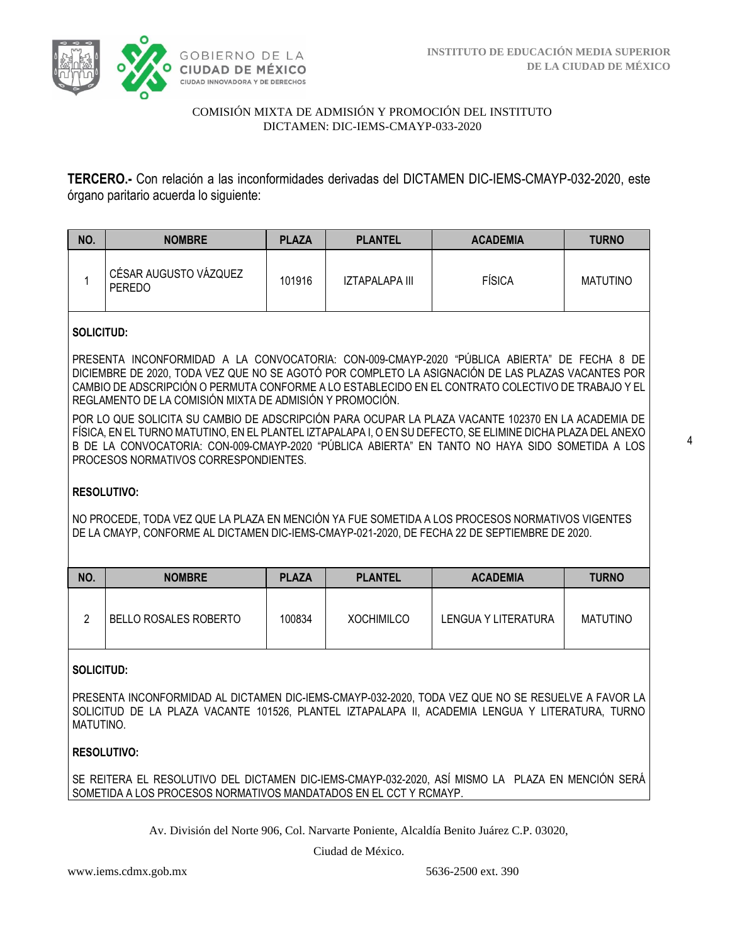

**TERCERO.-** Con relación a las inconformidades derivadas del DICTAMEN DIC-IEMS-CMAYP-032-2020, este órgano paritario acuerda lo siguiente:

| NO. | <b>NOMBRE</b>                   | <b>PLAZA</b> | <b>PLANTEL</b> | <b>ACADEMIA</b> | <b>TURNO</b>    |
|-----|---------------------------------|--------------|----------------|-----------------|-----------------|
|     | CÉSAR AUGUSTO VÁZQUEZ<br>PEREDO | 101916       | IZTAPALAPA III | FÍSICA          | <b>MATUTINO</b> |

## **SOLICITUD:**

PRESENTA INCONFORMIDAD A LA CONVOCATORIA: CON-009-CMAYP-2020 "PÚBLICA ABIERTA" DE FECHA 8 DE DICIEMBRE DE 2020, TODA VEZ QUE NO SE AGOTÓ POR COMPLETO LA ASIGNACIÓN DE LAS PLAZAS VACANTES POR CAMBIO DE ADSCRIPCIÓN O PERMUTA CONFORME A LO ESTABLECIDO EN EL CONTRATO COLECTIVO DE TRABAJO Y EL REGLAMENTO DE LA COMISIÓN MIXTA DE ADMISIÓN Y PROMOCIÓN.

POR LO QUE SOLICITA SU CAMBIO DE ADSCRIPCIÓN PARA OCUPAR LA PLAZA VACANTE 102370 EN LA ACADEMIA DE FÍSICA, EN EL TURNO MATUTINO, EN EL PLANTEL IZTAPALAPA I, O EN SU DEFECTO, SE ELIMINE DICHA PLAZA DEL ANEXO B DE LA CONVOCATORIA: CON-009-CMAYP-2020 "PÚBLICA ABIERTA" EN TANTO NO HAYA SIDO SOMETIDA A LOS PROCESOS NORMATIVOS CORRESPONDIENTES.

## **RESOLUTIVO:**

NO PROCEDE, TODA VEZ QUE LA PLAZA EN MENCIÓN YA FUE SOMETIDA A LOS PROCESOS NORMATIVOS VIGENTES DE LA CMAYP, CONFORME AL DICTAMEN DIC-IEMS-CMAYP-021-2020, DE FECHA 22 DE SEPTIEMBRE DE 2020.

| NO. | <b>NOMBRE</b>         | <b>PLAZA</b> | <b>PLANTEL</b>    | <b>ACADEMIA</b>     | <b>TURNO</b>    |
|-----|-----------------------|--------------|-------------------|---------------------|-----------------|
|     | BELLO ROSALES ROBERTO | 100834       | <b>XOCHIMILCO</b> | LENGUA Y LITERATURA | <b>MATUTINO</b> |

## **SOLICITUD:**

PRESENTA INCONFORMIDAD AL DICTAMEN DIC-IEMS-CMAYP-032-2020, TODA VEZ QUE NO SE RESUELVE A FAVOR LA SOLICITUD DE LA PLAZA VACANTE 101526, PLANTEL IZTAPALAPA II, ACADEMIA LENGUA Y LITERATURA, TURNO MATUTINO.

## **RESOLUTIVO:**

SE REITERA EL RESOLUTIVO DEL DICTAMEN DIC-IEMS-CMAYP-032-2020, ASÍ MISMO LA PLAZA EN MENCIÓN SERÁ SOMETIDA A LOS PROCESOS NORMATIVOS MANDATADOS EN EL CCT Y RCMAYP.

Av. División del Norte 906, Col. Narvarte Poniente, Alcaldía Benito Juárez C.P. 03020,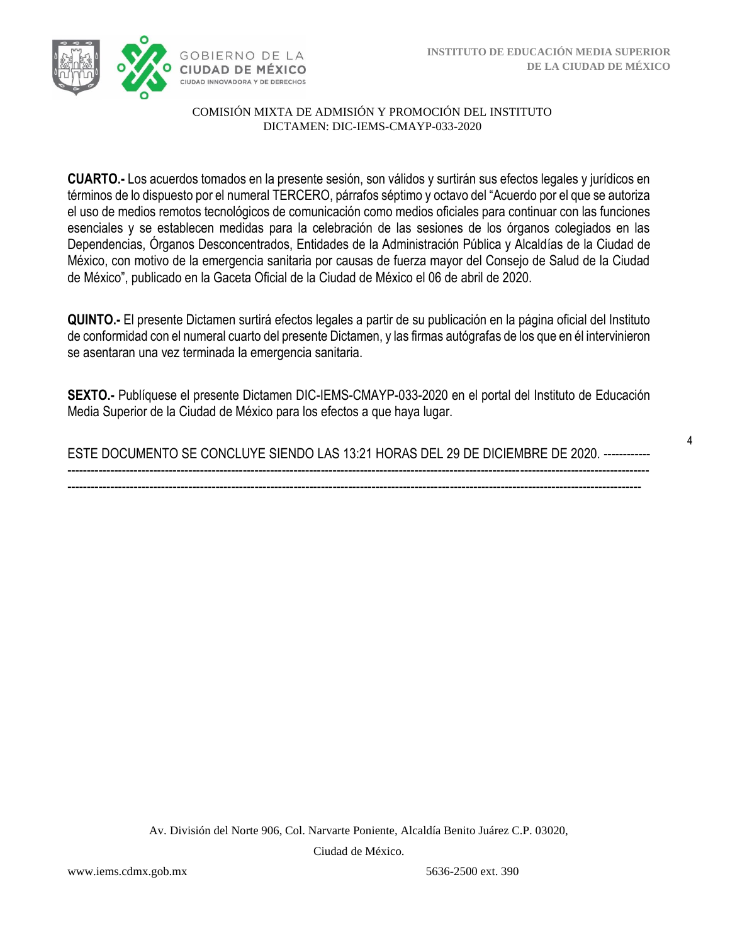

**CUARTO.-** Los acuerdos tomados en la presente sesión, son válidos y surtirán sus efectos legales y jurídicos en términos de lo dispuesto por el numeral TERCERO, párrafos séptimo y octavo del "Acuerdo por el que se autoriza el uso de medios remotos tecnológicos de comunicación como medios oficiales para continuar con las funciones esenciales y se establecen medidas para la celebración de las sesiones de los órganos colegiados en las Dependencias, Órganos Desconcentrados, Entidades de la Administración Pública y Alcaldías de la Ciudad de México, con motivo de la emergencia sanitaria por causas de fuerza mayor del Consejo de Salud de la Ciudad de México", publicado en la Gaceta Oficial de la Ciudad de México el 06 de abril de 2020.

**QUINTO.-** El presente Dictamen surtirá efectos legales a partir de su publicación en la página oficial del Instituto de conformidad con el numeral cuarto del presente Dictamen, y las firmas autógrafas de los que en él intervinieron se asentaran una vez terminada la emergencia sanitaria.

**SEXTO.-** Publíquese el presente Dictamen DIC-IEMS-CMAYP-033-2020 en el portal del Instituto de Educación Media Superior de la Ciudad de México para los efectos a que haya lugar.

ESTE DOCUMENTO SE CONCLUYE SIENDO LAS 13:21 HORAS DEL 29 DE DICIEMBRE DE 2020. ------------ ----------------------------------------------------------------------------------------------------------------------------------------------------- ---------------------------------------------------------------------------------------------------------------------------------------------------

Av. División del Norte 906, Col. Narvarte Poniente, Alcaldía Benito Juárez C.P. 03020,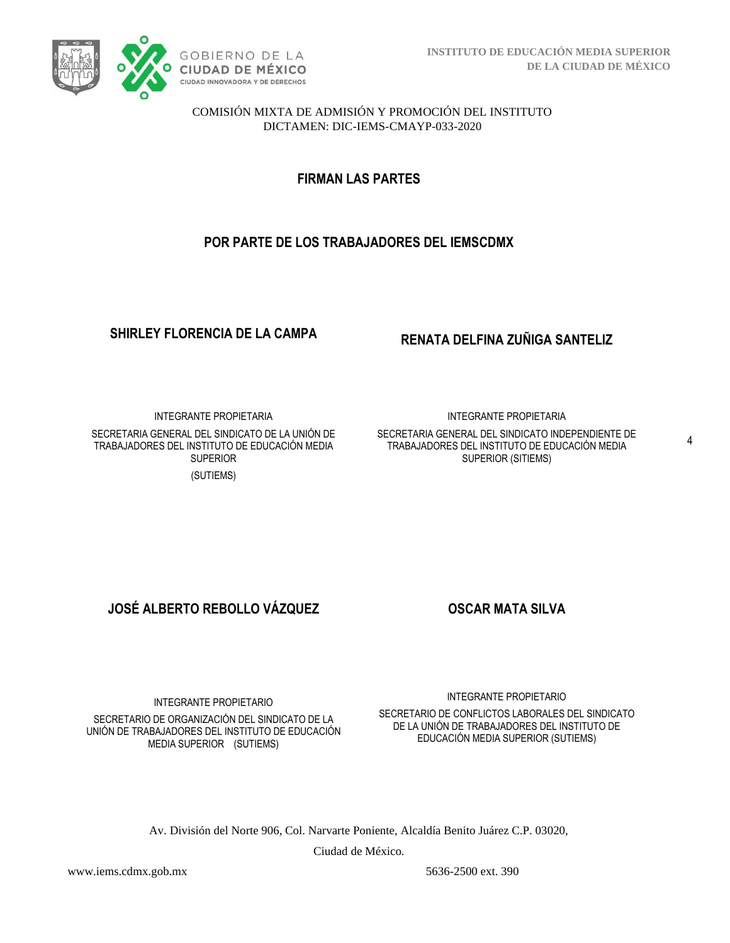

**FIRMAN LAS PARTES**

# **POR PARTE DE LOS TRABAJADORES DEL IEMSCDMX**

**SHIRLEY FLORENCIA DE LA CAMPA RENATA DELFINA ZUÑIGA SANTELIZ**

INTEGRANTE PROPIETARIA SECRETARIA GENERAL DEL SINDICATO DE LA UNIÓN DE TRABAJADORES DEL INSTITUTO DE EDUCACIÓN MEDIA SUPERIOR (SUTIEMS)

INTEGRANTE PROPIETARIA

SECRETARIA GENERAL DEL SINDICATO INDEPENDIENTE DE TRABAJADORES DEL INSTITUTO DE EDUCACIÓN MEDIA SUPERIOR (SITIEMS)

**JOSÉ ALBERTO REBOLLO VÁZQUEZ OSCAR MATA SILVA**

INTEGRANTE PROPIETARIO

SECRETARIO DE ORGANIZACIÓN DEL SINDICATO DE LA UNIÓN DE TRABAJADORES DEL INSTITUTO DE EDUCACIÓN MEDIA SUPERIOR (SUTIEMS)

INTEGRANTE PROPIETARIO

SECRETARIO DE CONFLICTOS LABORALES DEL SINDICATO DE LA UNIÓN DE TRABAJADORES DEL INSTITUTO DE EDUCACIÓN MEDIA SUPERIOR (SUTIEMS)

Av. División del Norte 906, Col. Narvarte Poniente, Alcaldía Benito Juárez C.P. 03020,

Ciudad de México.

www.iems.cdmx.gob.mx 5636-2500 ext. 390